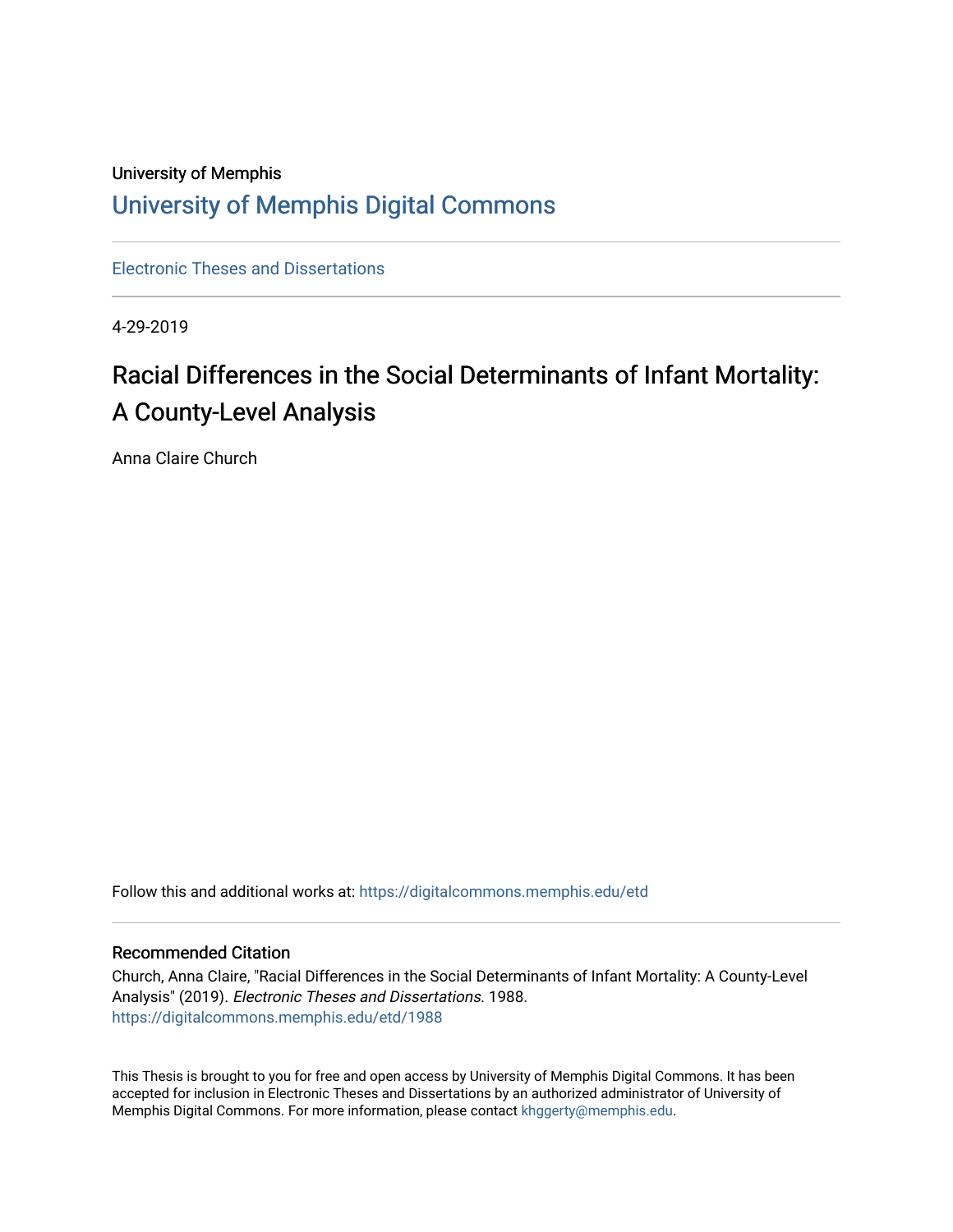## University of Memphis [University of Memphis Digital Commons](https://digitalcommons.memphis.edu/)

[Electronic Theses and Dissertations](https://digitalcommons.memphis.edu/etd)

4-29-2019

# Racial Differences in the Social Determinants of Infant Mortality: A County-Level Analysis

Anna Claire Church

Follow this and additional works at: [https://digitalcommons.memphis.edu/etd](https://digitalcommons.memphis.edu/etd?utm_source=digitalcommons.memphis.edu%2Fetd%2F1988&utm_medium=PDF&utm_campaign=PDFCoverPages) 

#### Recommended Citation

Church, Anna Claire, "Racial Differences in the Social Determinants of Infant Mortality: A County-Level Analysis" (2019). Electronic Theses and Dissertations. 1988. [https://digitalcommons.memphis.edu/etd/1988](https://digitalcommons.memphis.edu/etd/1988?utm_source=digitalcommons.memphis.edu%2Fetd%2F1988&utm_medium=PDF&utm_campaign=PDFCoverPages) 

This Thesis is brought to you for free and open access by University of Memphis Digital Commons. It has been accepted for inclusion in Electronic Theses and Dissertations by an authorized administrator of University of Memphis Digital Commons. For more information, please contact [khggerty@memphis.edu.](mailto:khggerty@memphis.edu)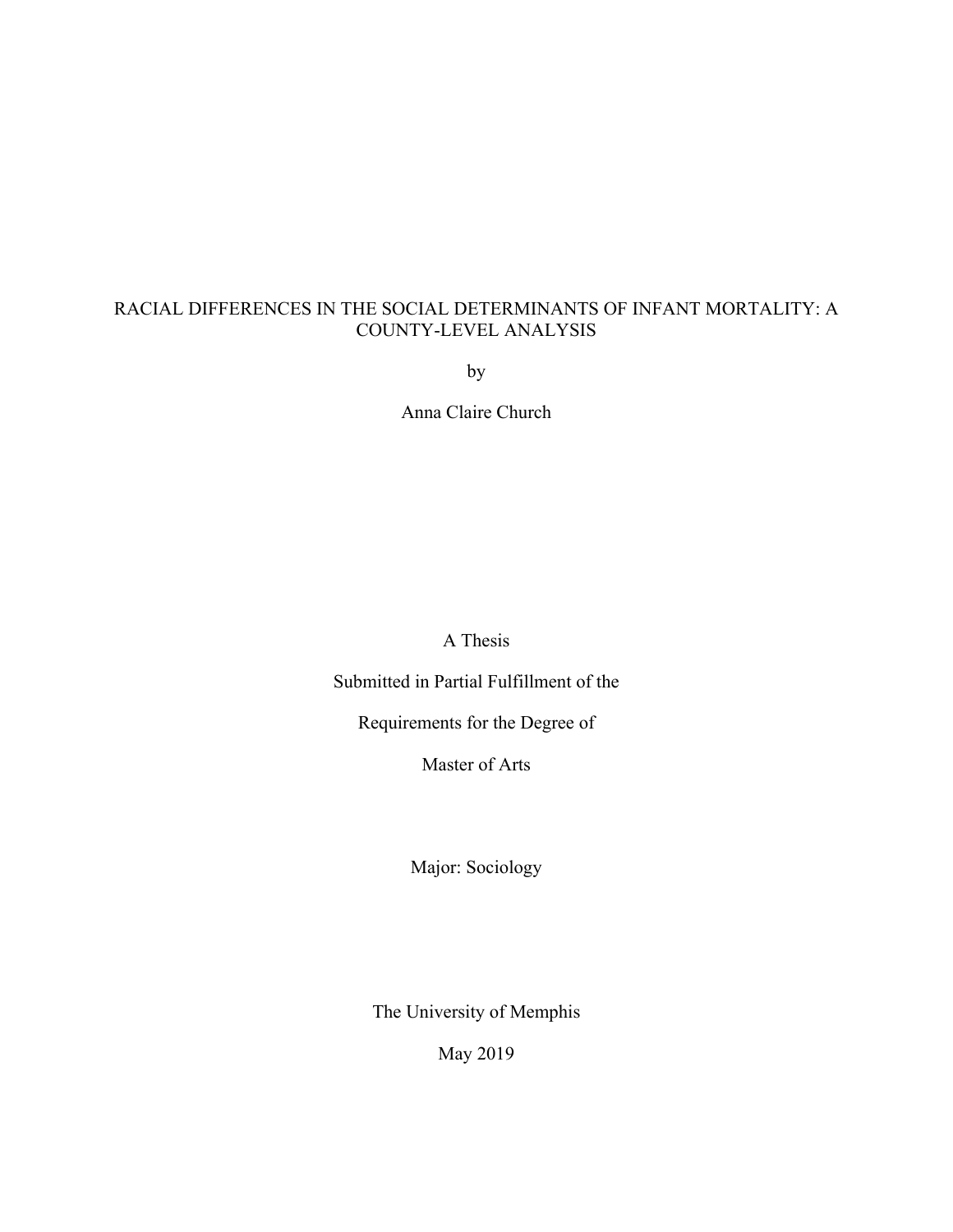### RACIAL DIFFERENCES IN THE SOCIAL DETERMINANTS OF INFANT MORTALITY: A COUNTY-LEVEL ANALYSIS

by

Anna Claire Church

A Thesis

Submitted in Partial Fulfillment of the

Requirements for the Degree of

Master of Arts

Major: Sociology

The University of Memphis

May 2019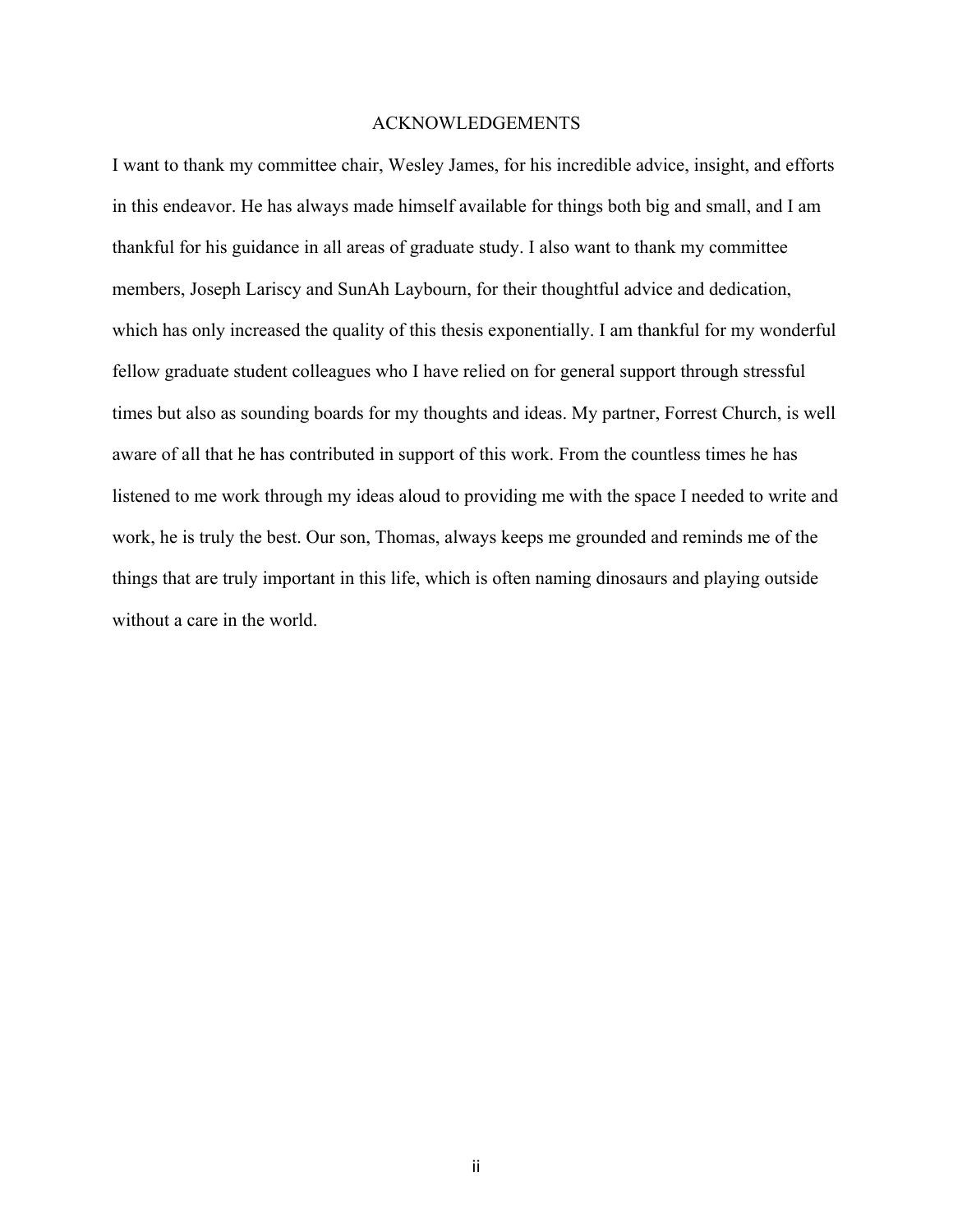#### ACKNOWLEDGEMENTS

I want to thank my committee chair, Wesley James, for his incredible advice, insight, and efforts in this endeavor. He has always made himself available for things both big and small, and I am thankful for his guidance in all areas of graduate study. I also want to thank my committee members, Joseph Lariscy and SunAh Laybourn, for their thoughtful advice and dedication, which has only increased the quality of this thesis exponentially. I am thankful for my wonderful fellow graduate student colleagues who I have relied on for general support through stressful times but also as sounding boards for my thoughts and ideas. My partner, Forrest Church, is well aware of all that he has contributed in support of this work. From the countless times he has listened to me work through my ideas aloud to providing me with the space I needed to write and work, he is truly the best. Our son, Thomas, always keeps me grounded and reminds me of the things that are truly important in this life, which is often naming dinosaurs and playing outside without a care in the world.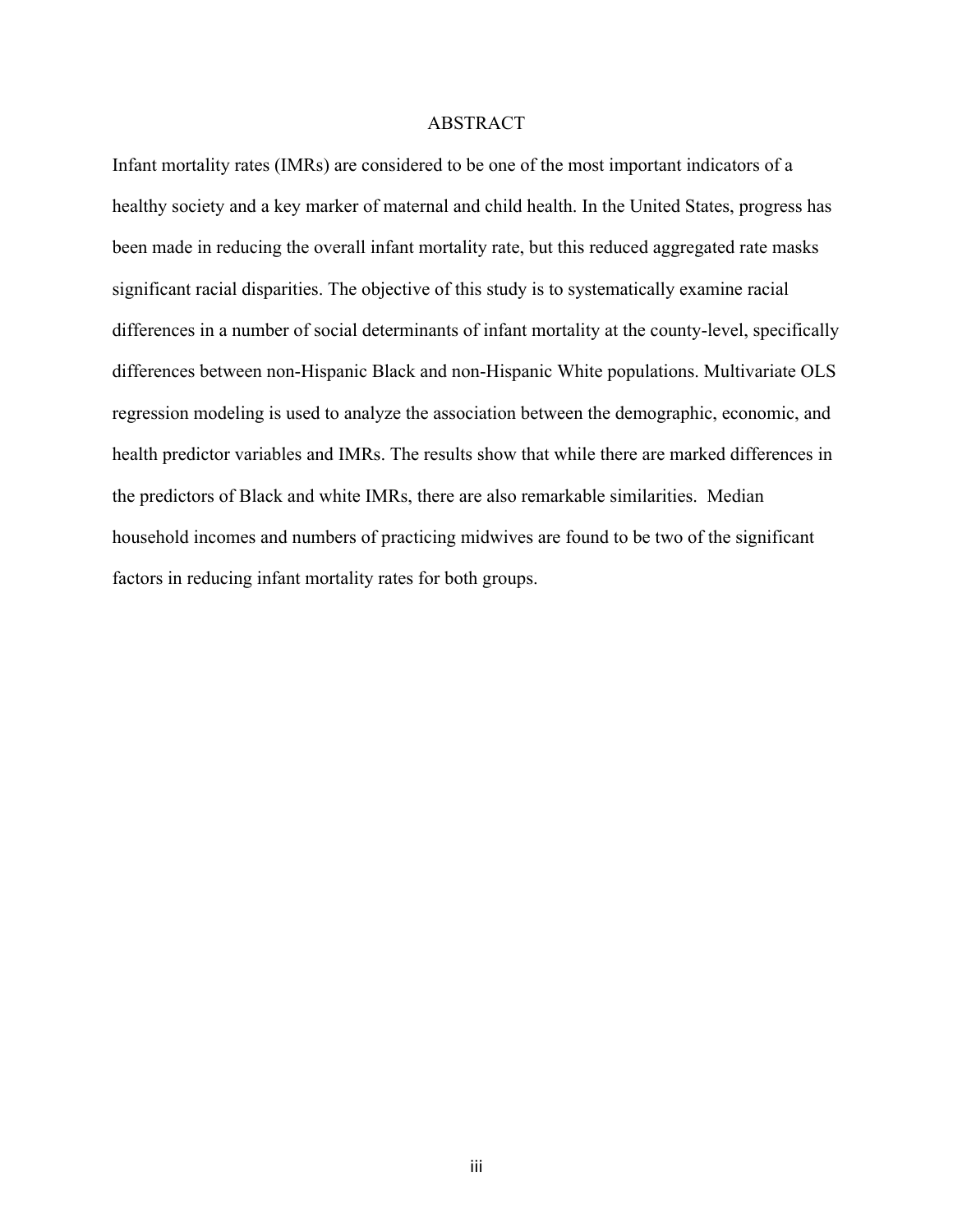#### ABSTRACT

Infant mortality rates (IMRs) are considered to be one of the most important indicators of a healthy society and a key marker of maternal and child health. In the United States, progress has been made in reducing the overall infant mortality rate, but this reduced aggregated rate masks significant racial disparities. The objective of this study is to systematically examine racial differences in a number of social determinants of infant mortality at the county-level, specifically differences between non-Hispanic Black and non-Hispanic White populations. Multivariate OLS regression modeling is used to analyze the association between the demographic, economic, and health predictor variables and IMRs. The results show that while there are marked differences in the predictors of Black and white IMRs, there are also remarkable similarities. Median household incomes and numbers of practicing midwives are found to be two of the significant factors in reducing infant mortality rates for both groups.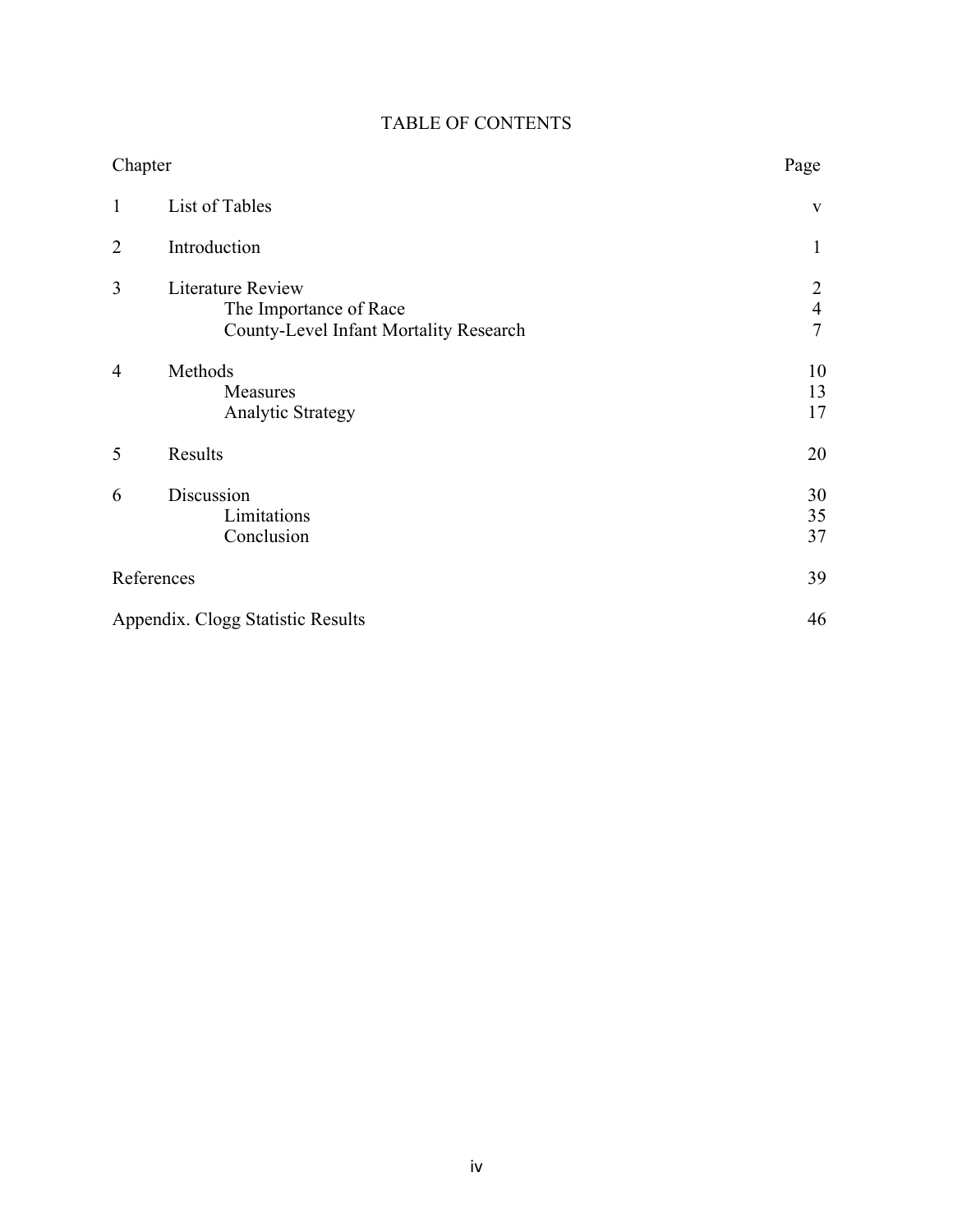| Chapter        |                                                                                                     | Page                                  |
|----------------|-----------------------------------------------------------------------------------------------------|---------------------------------------|
| $\mathbf{1}$   | List of Tables                                                                                      | $\mathbf{V}$                          |
| $\overline{2}$ | Introduction                                                                                        | 1                                     |
| 3              | <b>Literature Review</b><br>The Importance of Race<br><b>County-Level Infant Mortality Research</b> | 2<br>$\overline{4}$<br>$\overline{7}$ |
| 4              | Methods<br>Measures<br>Analytic Strategy                                                            | 10<br>13<br>17                        |
| 5              | Results                                                                                             | 20                                    |
| 6              | Discussion<br>Limitations<br>Conclusion                                                             | 30<br>35<br>37                        |
| References     |                                                                                                     | 39                                    |
|                | Appendix. Clogg Statistic Results                                                                   | 46                                    |

## TABLE OF CONTENTS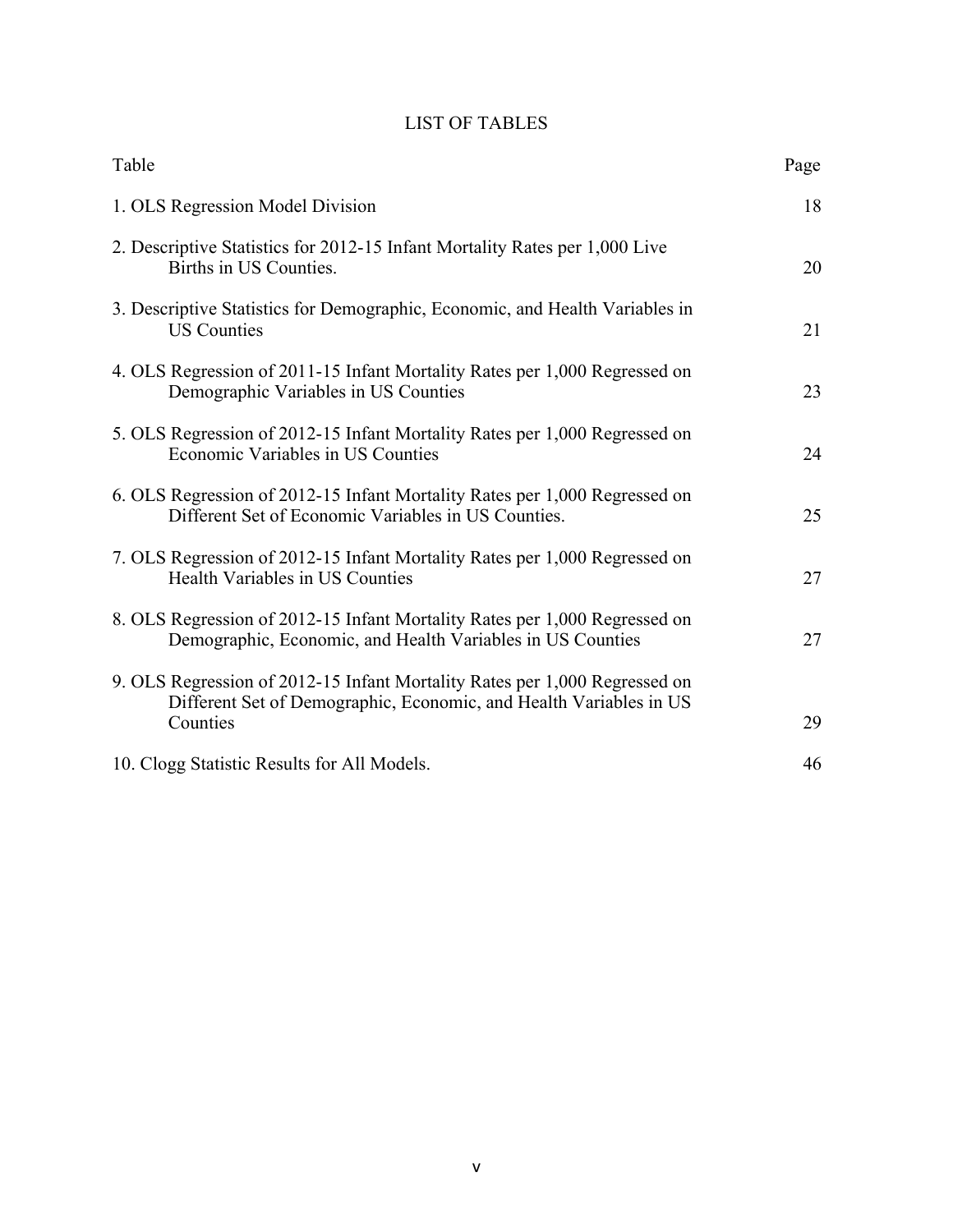## LIST OF TABLES

| Table                                                                                                                                            | Page |
|--------------------------------------------------------------------------------------------------------------------------------------------------|------|
| 1. OLS Regression Model Division                                                                                                                 | 18   |
| 2. Descriptive Statistics for 2012-15 Infant Mortality Rates per 1,000 Live<br>Births in US Counties.                                            | 20   |
| 3. Descriptive Statistics for Demographic, Economic, and Health Variables in<br><b>US Counties</b>                                               | 21   |
| 4. OLS Regression of 2011-15 Infant Mortality Rates per 1,000 Regressed on<br>Demographic Variables in US Counties                               | 23   |
| 5. OLS Regression of 2012-15 Infant Mortality Rates per 1,000 Regressed on<br>Economic Variables in US Counties                                  | 24   |
| 6. OLS Regression of 2012-15 Infant Mortality Rates per 1,000 Regressed on<br>Different Set of Economic Variables in US Counties.                | 25   |
| 7. OLS Regression of 2012-15 Infant Mortality Rates per 1,000 Regressed on<br>Health Variables in US Counties                                    | 27   |
| 8. OLS Regression of 2012-15 Infant Mortality Rates per 1,000 Regressed on<br>Demographic, Economic, and Health Variables in US Counties         | 27   |
| 9. OLS Regression of 2012-15 Infant Mortality Rates per 1,000 Regressed on<br>Different Set of Demographic, Economic, and Health Variables in US |      |
| Counties                                                                                                                                         | 29   |
| 10. Clogg Statistic Results for All Models.                                                                                                      | 46   |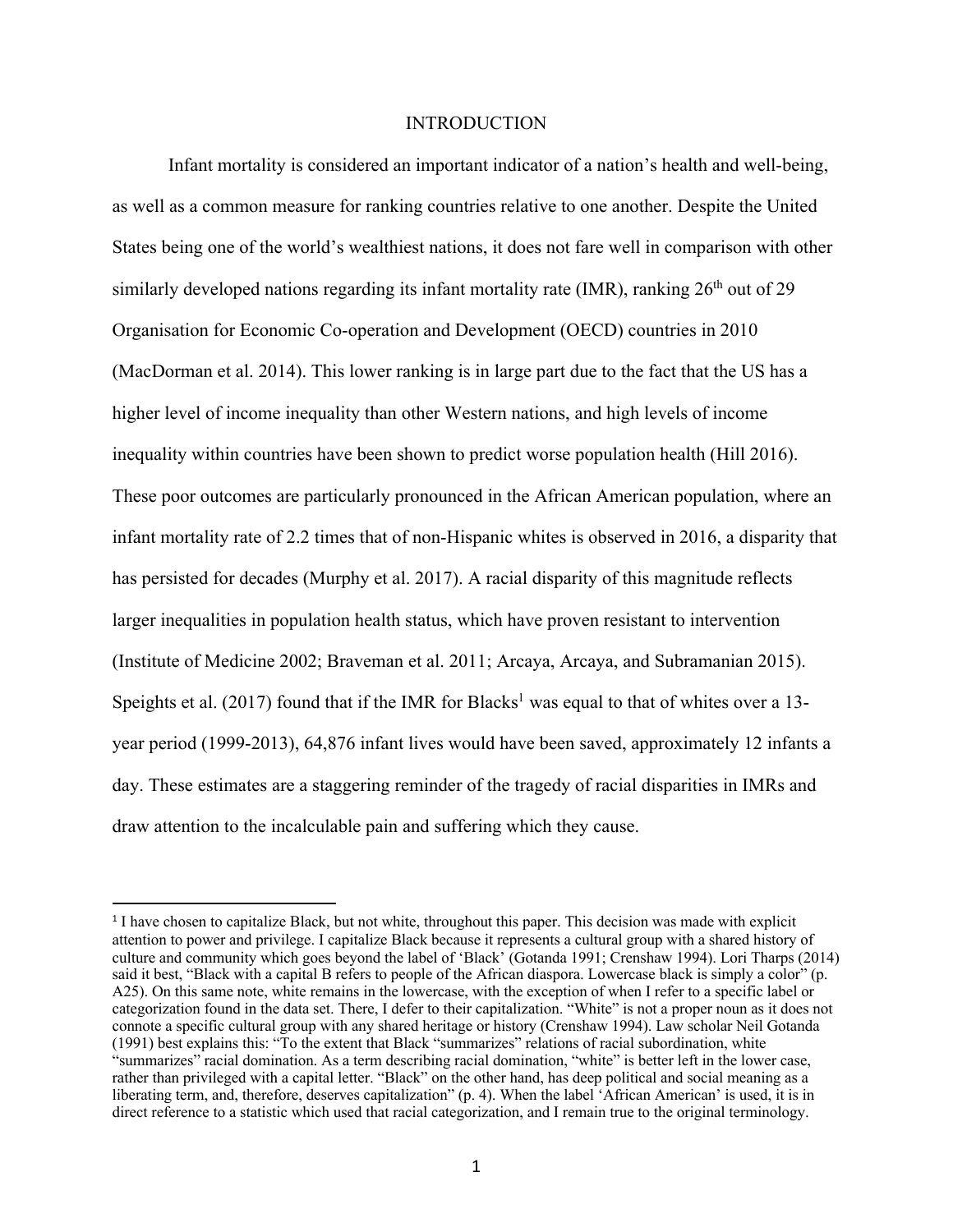#### INTRODUCTION

Infant mortality is considered an important indicator of a nation's health and well-being, as well as a common measure for ranking countries relative to one another. Despite the United States being one of the world's wealthiest nations, it does not fare well in comparison with other similarly developed nations regarding its infant mortality rate (IMR), ranking  $26<sup>th</sup>$  out of 29 Organisation for Economic Co-operation and Development (OECD) countries in 2010 (MacDorman et al. 2014). This lower ranking is in large part due to the fact that the US has a higher level of income inequality than other Western nations, and high levels of income inequality within countries have been shown to predict worse population health (Hill 2016). These poor outcomes are particularly pronounced in the African American population, where an infant mortality rate of 2.2 times that of non-Hispanic whites is observed in 2016, a disparity that has persisted for decades (Murphy et al. 2017). A racial disparity of this magnitude reflects larger inequalities in population health status, which have proven resistant to intervention (Institute of Medicine 2002; Braveman et al. 2011; Arcaya, Arcaya, and Subramanian 2015). Speights et al. (2017) found that if the IMR for Blacks<sup>1</sup> was equal to that of whites over a 13year period (1999-2013), 64,876 infant lives would have been saved, approximately 12 infants a day. These estimates are a staggering reminder of the tragedy of racial disparities in IMRs and draw attention to the incalculable pain and suffering which they cause.

 <sup>1</sup> I have chosen to capitalize Black, but not white, throughout this paper. This decision was made with explicit attention to power and privilege. I capitalize Black because it represents a cultural group with a shared history of culture and community which goes beyond the label of 'Black' (Gotanda 1991; Crenshaw 1994). Lori Tharps (2014) said it best, "Black with a capital B refers to people of the African diaspora. Lowercase black is simply a color" (p. A25). On this same note, white remains in the lowercase, with the exception of when I refer to a specific label or categorization found in the data set. There, I defer to their capitalization. "White" is not a proper noun as it does not connote a specific cultural group with any shared heritage or history (Crenshaw 1994). Law scholar Neil Gotanda (1991) best explains this: "To the extent that Black "summarizes" relations of racial subordination, white "summarizes" racial domination. As a term describing racial domination, "white" is better left in the lower case, rather than privileged with a capital letter. "Black" on the other hand, has deep political and social meaning as a liberating term, and, therefore, deserves capitalization" (p. 4). When the label 'African American' is used, it is in direct reference to a statistic which used that racial categorization, and I remain true to the original terminology.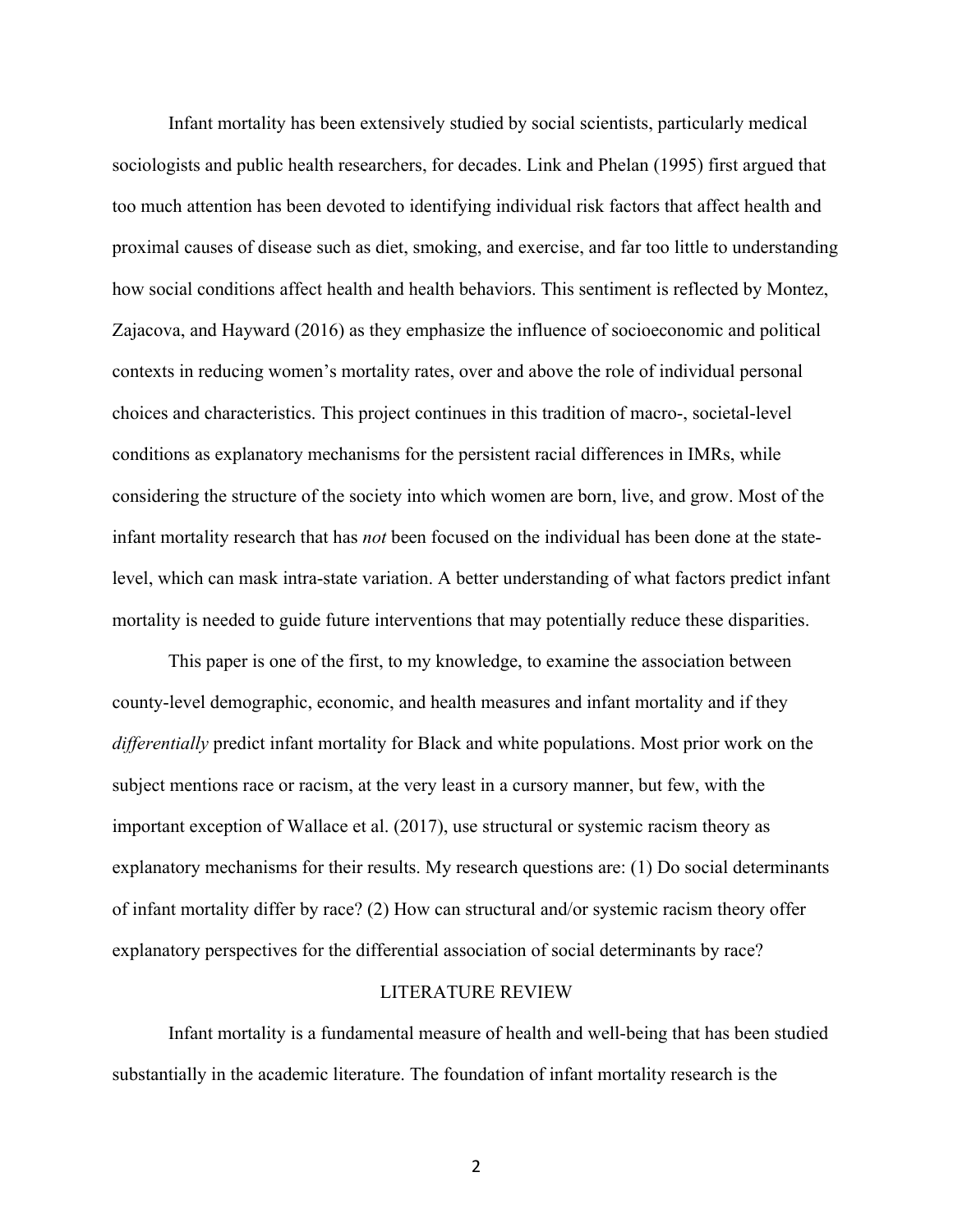Infant mortality has been extensively studied by social scientists, particularly medical sociologists and public health researchers, for decades. Link and Phelan (1995) first argued that too much attention has been devoted to identifying individual risk factors that affect health and proximal causes of disease such as diet, smoking, and exercise, and far too little to understanding how social conditions affect health and health behaviors. This sentiment is reflected by Montez, Zajacova, and Hayward (2016) as they emphasize the influence of socioeconomic and political contexts in reducing women's mortality rates, over and above the role of individual personal choices and characteristics. This project continues in this tradition of macro-, societal-level conditions as explanatory mechanisms for the persistent racial differences in IMRs, while considering the structure of the society into which women are born, live, and grow. Most of the infant mortality research that has *not* been focused on the individual has been done at the statelevel, which can mask intra-state variation. A better understanding of what factors predict infant mortality is needed to guide future interventions that may potentially reduce these disparities.

This paper is one of the first, to my knowledge, to examine the association between county-level demographic, economic, and health measures and infant mortality and if they *differentially* predict infant mortality for Black and white populations. Most prior work on the subject mentions race or racism, at the very least in a cursory manner, but few, with the important exception of Wallace et al. (2017), use structural or systemic racism theory as explanatory mechanisms for their results. My research questions are: (1) Do social determinants of infant mortality differ by race? (2) How can structural and/or systemic racism theory offer explanatory perspectives for the differential association of social determinants by race?

#### LITERATURE REVIEW

Infant mortality is a fundamental measure of health and well-being that has been studied substantially in the academic literature. The foundation of infant mortality research is the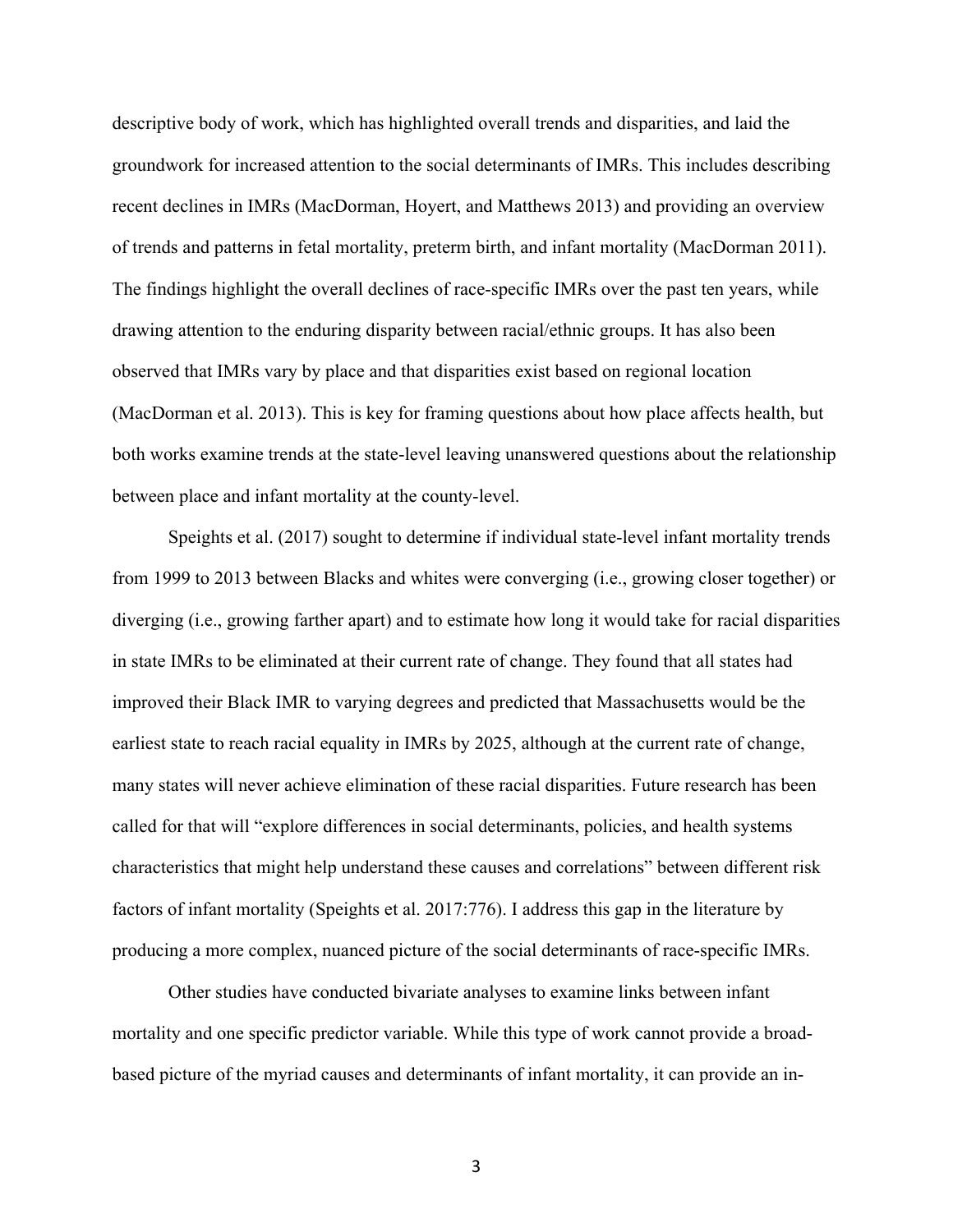descriptive body of work, which has highlighted overall trends and disparities, and laid the groundwork for increased attention to the social determinants of IMRs. This includes describing recent declines in IMRs (MacDorman, Hoyert, and Matthews 2013) and providing an overview of trends and patterns in fetal mortality, preterm birth, and infant mortality (MacDorman 2011). The findings highlight the overall declines of race-specific IMRs over the past ten years, while drawing attention to the enduring disparity between racial/ethnic groups. It has also been observed that IMRs vary by place and that disparities exist based on regional location (MacDorman et al. 2013). This is key for framing questions about how place affects health, but both works examine trends at the state-level leaving unanswered questions about the relationship between place and infant mortality at the county-level.

Speights et al. (2017) sought to determine if individual state-level infant mortality trends from 1999 to 2013 between Blacks and whites were converging (i.e., growing closer together) or diverging (i.e., growing farther apart) and to estimate how long it would take for racial disparities in state IMRs to be eliminated at their current rate of change. They found that all states had improved their Black IMR to varying degrees and predicted that Massachusetts would be the earliest state to reach racial equality in IMRs by 2025, although at the current rate of change, many states will never achieve elimination of these racial disparities. Future research has been called for that will "explore differences in social determinants, policies, and health systems characteristics that might help understand these causes and correlations" between different risk factors of infant mortality (Speights et al. 2017:776). I address this gap in the literature by producing a more complex, nuanced picture of the social determinants of race-specific IMRs.

Other studies have conducted bivariate analyses to examine links between infant mortality and one specific predictor variable. While this type of work cannot provide a broadbased picture of the myriad causes and determinants of infant mortality, it can provide an in-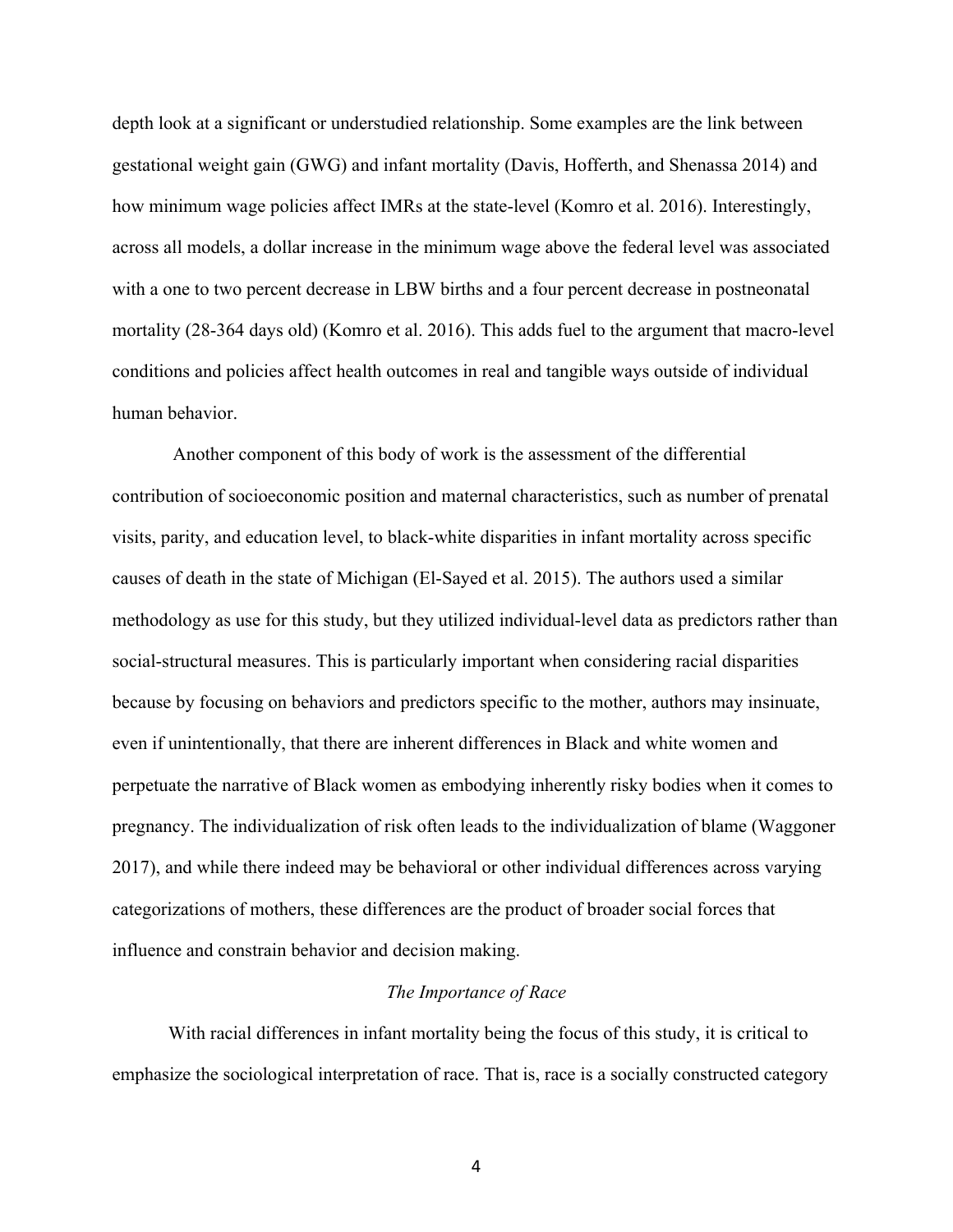depth look at a significant or understudied relationship. Some examples are the link between gestational weight gain (GWG) and infant mortality (Davis, Hofferth, and Shenassa 2014) and how minimum wage policies affect IMRs at the state-level (Komro et al. 2016). Interestingly, across all models, a dollar increase in the minimum wage above the federal level was associated with a one to two percent decrease in LBW births and a four percent decrease in postneonatal mortality (28-364 days old) (Komro et al. 2016). This adds fuel to the argument that macro-level conditions and policies affect health outcomes in real and tangible ways outside of individual human behavior.

Another component of this body of work is the assessment of the differential contribution of socioeconomic position and maternal characteristics, such as number of prenatal visits, parity, and education level, to black-white disparities in infant mortality across specific causes of death in the state of Michigan (El-Sayed et al. 2015). The authors used a similar methodology as use for this study, but they utilized individual-level data as predictors rather than social-structural measures. This is particularly important when considering racial disparities because by focusing on behaviors and predictors specific to the mother, authors may insinuate, even if unintentionally, that there are inherent differences in Black and white women and perpetuate the narrative of Black women as embodying inherently risky bodies when it comes to pregnancy. The individualization of risk often leads to the individualization of blame (Waggoner 2017), and while there indeed may be behavioral or other individual differences across varying categorizations of mothers, these differences are the product of broader social forces that influence and constrain behavior and decision making.

#### *The Importance of Race*

With racial differences in infant mortality being the focus of this study, it is critical to emphasize the sociological interpretation of race. That is, race is a socially constructed category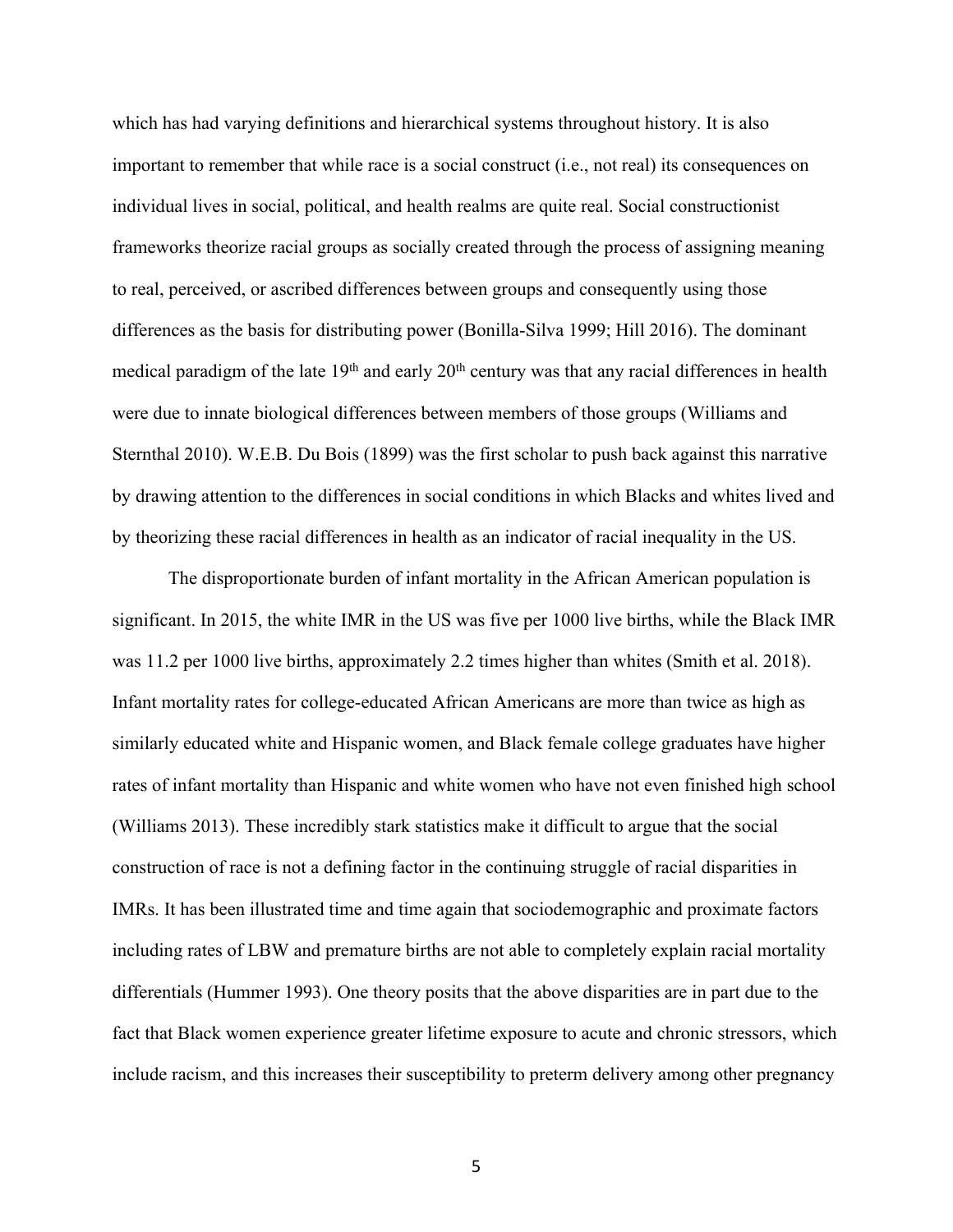which has had varying definitions and hierarchical systems throughout history. It is also important to remember that while race is a social construct (i.e., not real) its consequences on individual lives in social, political, and health realms are quite real. Social constructionist frameworks theorize racial groups as socially created through the process of assigning meaning to real, perceived, or ascribed differences between groups and consequently using those differences as the basis for distributing power (Bonilla-Silva 1999; Hill 2016). The dominant medical paradigm of the late  $19<sup>th</sup>$  and early  $20<sup>th</sup>$  century was that any racial differences in health were due to innate biological differences between members of those groups (Williams and Sternthal 2010). W.E.B. Du Bois (1899) was the first scholar to push back against this narrative by drawing attention to the differences in social conditions in which Blacks and whites lived and by theorizing these racial differences in health as an indicator of racial inequality in the US.

The disproportionate burden of infant mortality in the African American population is significant. In 2015, the white IMR in the US was five per 1000 live births, while the Black IMR was 11.2 per 1000 live births, approximately 2.2 times higher than whites (Smith et al. 2018). Infant mortality rates for college-educated African Americans are more than twice as high as similarly educated white and Hispanic women, and Black female college graduates have higher rates of infant mortality than Hispanic and white women who have not even finished high school (Williams 2013). These incredibly stark statistics make it difficult to argue that the social construction of race is not a defining factor in the continuing struggle of racial disparities in IMRs. It has been illustrated time and time again that sociodemographic and proximate factors including rates of LBW and premature births are not able to completely explain racial mortality differentials (Hummer 1993). One theory posits that the above disparities are in part due to the fact that Black women experience greater lifetime exposure to acute and chronic stressors, which include racism, and this increases their susceptibility to preterm delivery among other pregnancy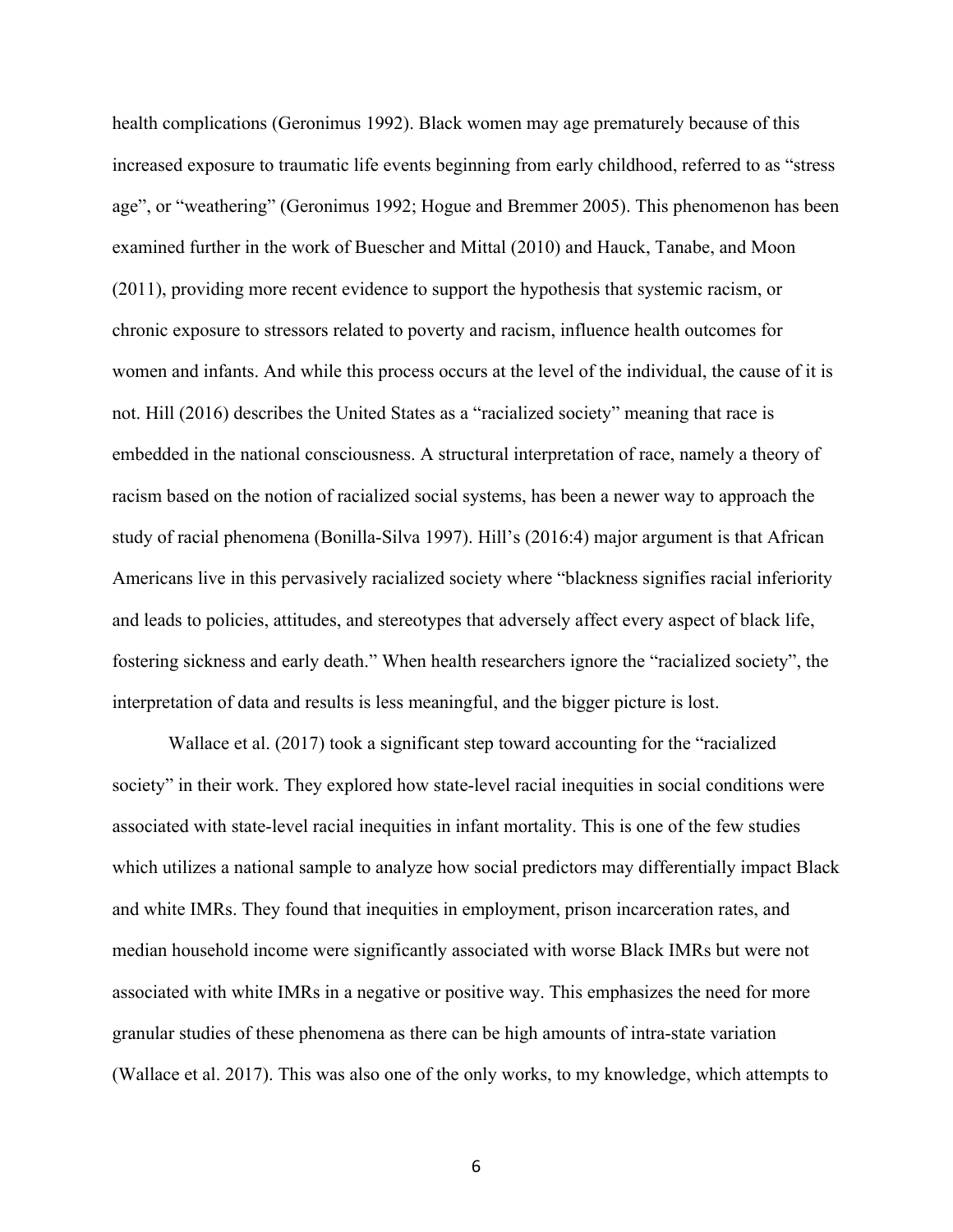health complications (Geronimus 1992). Black women may age prematurely because of this increased exposure to traumatic life events beginning from early childhood, referred to as "stress age", or "weathering" (Geronimus 1992; Hogue and Bremmer 2005). This phenomenon has been examined further in the work of Buescher and Mittal (2010) and Hauck, Tanabe, and Moon (2011), providing more recent evidence to support the hypothesis that systemic racism, or chronic exposure to stressors related to poverty and racism, influence health outcomes for women and infants. And while this process occurs at the level of the individual, the cause of it is not. Hill (2016) describes the United States as a "racialized society" meaning that race is embedded in the national consciousness. A structural interpretation of race, namely a theory of racism based on the notion of racialized social systems, has been a newer way to approach the study of racial phenomena (Bonilla-Silva 1997). Hill's (2016:4) major argument is that African Americans live in this pervasively racialized society where "blackness signifies racial inferiority and leads to policies, attitudes, and stereotypes that adversely affect every aspect of black life, fostering sickness and early death." When health researchers ignore the "racialized society", the interpretation of data and results is less meaningful, and the bigger picture is lost.

Wallace et al. (2017) took a significant step toward accounting for the "racialized society" in their work. They explored how state-level racial inequities in social conditions were associated with state-level racial inequities in infant mortality. This is one of the few studies which utilizes a national sample to analyze how social predictors may differentially impact Black and white IMRs. They found that inequities in employment, prison incarceration rates, and median household income were significantly associated with worse Black IMRs but were not associated with white IMRs in a negative or positive way. This emphasizes the need for more granular studies of these phenomena as there can be high amounts of intra-state variation (Wallace et al. 2017). This was also one of the only works, to my knowledge, which attempts to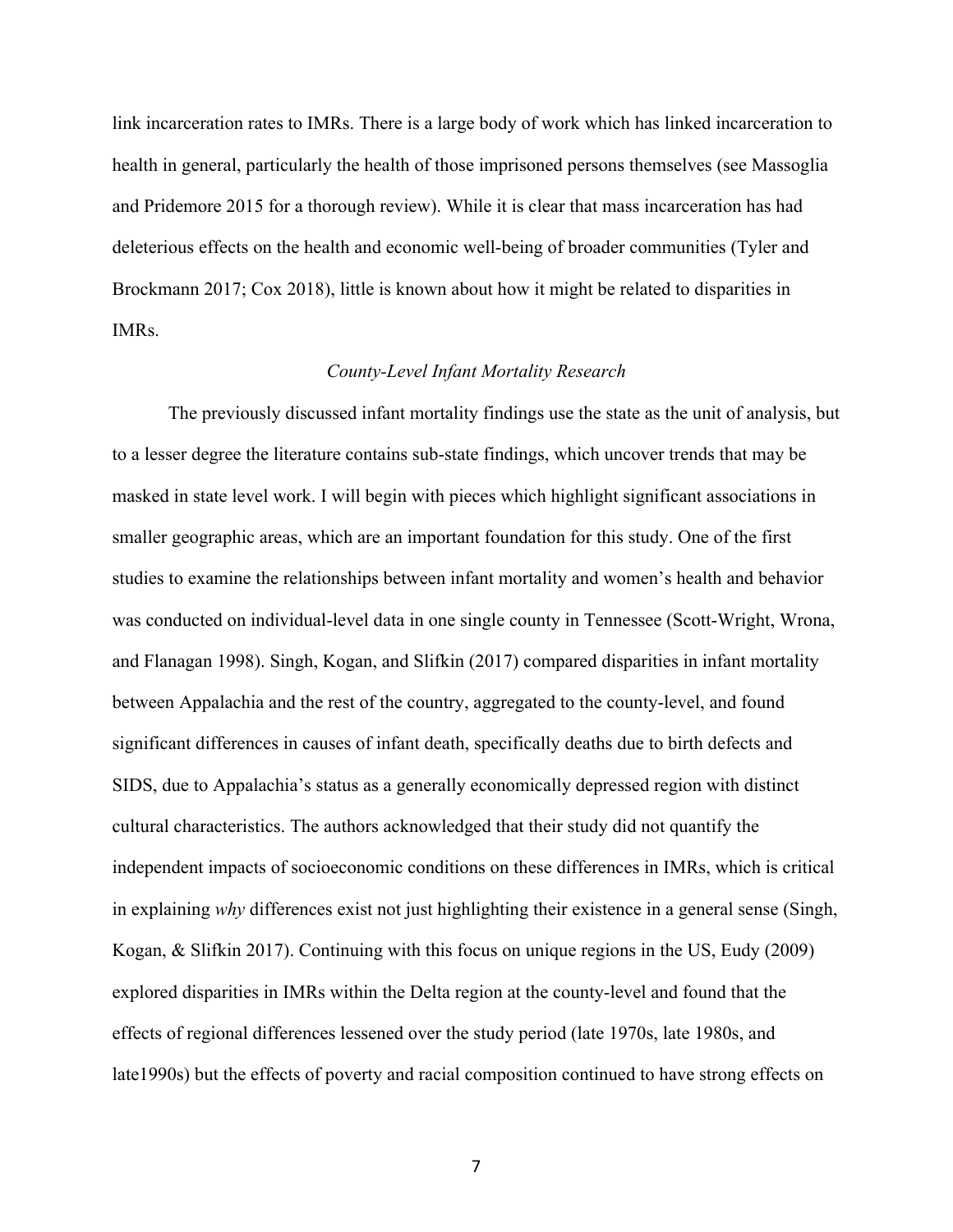link incarceration rates to IMRs. There is a large body of work which has linked incarceration to health in general, particularly the health of those imprisoned persons themselves (see Massoglia and Pridemore 2015 for a thorough review). While it is clear that mass incarceration has had deleterious effects on the health and economic well-being of broader communities (Tyler and Brockmann 2017; Cox 2018), little is known about how it might be related to disparities in IMRs.

#### *County-Level Infant Mortality Research*

The previously discussed infant mortality findings use the state as the unit of analysis, but to a lesser degree the literature contains sub-state findings, which uncover trends that may be masked in state level work. I will begin with pieces which highlight significant associations in smaller geographic areas, which are an important foundation for this study. One of the first studies to examine the relationships between infant mortality and women's health and behavior was conducted on individual-level data in one single county in Tennessee (Scott-Wright, Wrona, and Flanagan 1998). Singh, Kogan, and Slifkin (2017) compared disparities in infant mortality between Appalachia and the rest of the country, aggregated to the county-level, and found significant differences in causes of infant death, specifically deaths due to birth defects and SIDS, due to Appalachia's status as a generally economically depressed region with distinct cultural characteristics. The authors acknowledged that their study did not quantify the independent impacts of socioeconomic conditions on these differences in IMRs, which is critical in explaining *why* differences exist not just highlighting their existence in a general sense (Singh, Kogan, & Slifkin 2017). Continuing with this focus on unique regions in the US, Eudy (2009) explored disparities in IMRs within the Delta region at the county-level and found that the effects of regional differences lessened over the study period (late 1970s, late 1980s, and late1990s) but the effects of poverty and racial composition continued to have strong effects on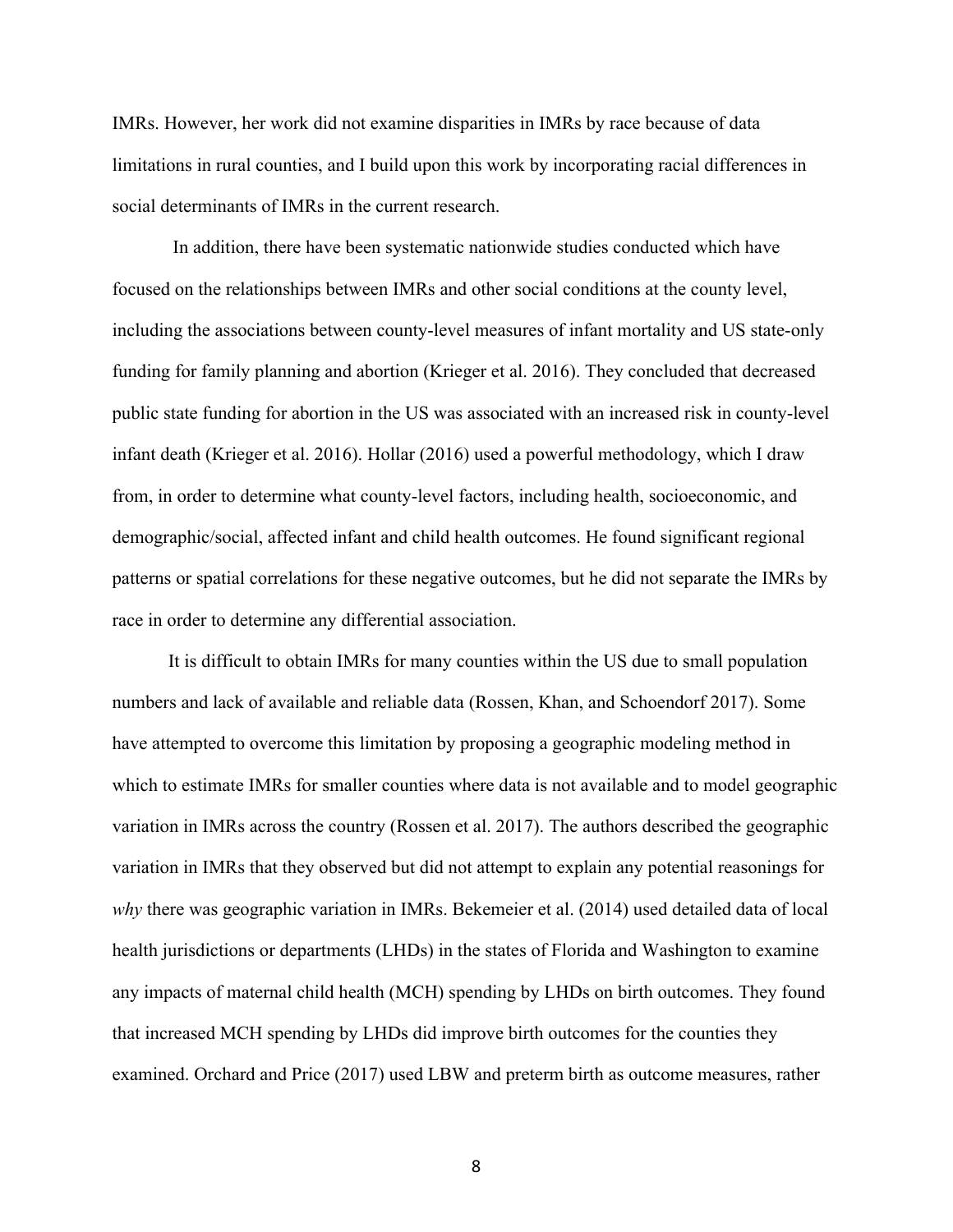IMRs. However, her work did not examine disparities in IMRs by race because of data limitations in rural counties, and I build upon this work by incorporating racial differences in social determinants of IMRs in the current research.

In addition, there have been systematic nationwide studies conducted which have focused on the relationships between IMRs and other social conditions at the county level, including the associations between county-level measures of infant mortality and US state-only funding for family planning and abortion (Krieger et al. 2016). They concluded that decreased public state funding for abortion in the US was associated with an increased risk in county-level infant death (Krieger et al. 2016). Hollar (2016) used a powerful methodology, which I draw from, in order to determine what county-level factors, including health, socioeconomic, and demographic/social, affected infant and child health outcomes. He found significant regional patterns or spatial correlations for these negative outcomes, but he did not separate the IMRs by race in order to determine any differential association.

It is difficult to obtain IMRs for many counties within the US due to small population numbers and lack of available and reliable data (Rossen, Khan, and Schoendorf 2017). Some have attempted to overcome this limitation by proposing a geographic modeling method in which to estimate IMRs for smaller counties where data is not available and to model geographic variation in IMRs across the country (Rossen et al. 2017). The authors described the geographic variation in IMRs that they observed but did not attempt to explain any potential reasonings for *why* there was geographic variation in IMRs. Bekemeier et al. (2014) used detailed data of local health jurisdictions or departments (LHDs) in the states of Florida and Washington to examine any impacts of maternal child health (MCH) spending by LHDs on birth outcomes. They found that increased MCH spending by LHDs did improve birth outcomes for the counties they examined. Orchard and Price (2017) used LBW and preterm birth as outcome measures, rather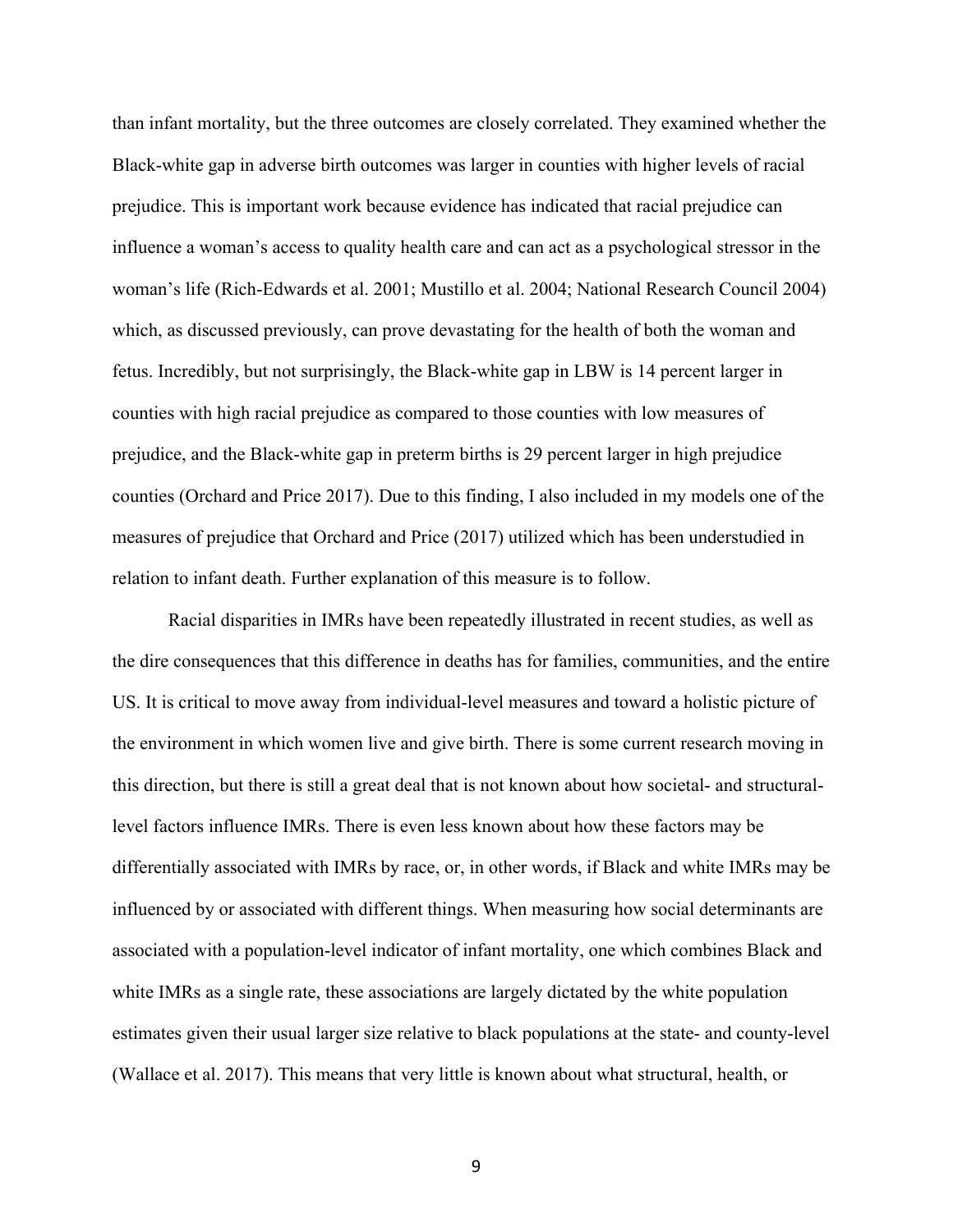than infant mortality, but the three outcomes are closely correlated. They examined whether the Black-white gap in adverse birth outcomes was larger in counties with higher levels of racial prejudice. This is important work because evidence has indicated that racial prejudice can influence a woman's access to quality health care and can act as a psychological stressor in the woman's life (Rich-Edwards et al. 2001; Mustillo et al. 2004; National Research Council 2004) which, as discussed previously, can prove devastating for the health of both the woman and fetus. Incredibly, but not surprisingly, the Black-white gap in LBW is 14 percent larger in counties with high racial prejudice as compared to those counties with low measures of prejudice, and the Black-white gap in preterm births is 29 percent larger in high prejudice counties (Orchard and Price 2017). Due to this finding, I also included in my models one of the measures of prejudice that Orchard and Price (2017) utilized which has been understudied in relation to infant death. Further explanation of this measure is to follow.

Racial disparities in IMRs have been repeatedly illustrated in recent studies, as well as the dire consequences that this difference in deaths has for families, communities, and the entire US. It is critical to move away from individual-level measures and toward a holistic picture of the environment in which women live and give birth. There is some current research moving in this direction, but there is still a great deal that is not known about how societal- and structurallevel factors influence IMRs. There is even less known about how these factors may be differentially associated with IMRs by race, or, in other words, if Black and white IMRs may be influenced by or associated with different things. When measuring how social determinants are associated with a population-level indicator of infant mortality, one which combines Black and white IMRs as a single rate, these associations are largely dictated by the white population estimates given their usual larger size relative to black populations at the state- and county-level (Wallace et al. 2017). This means that very little is known about what structural, health, or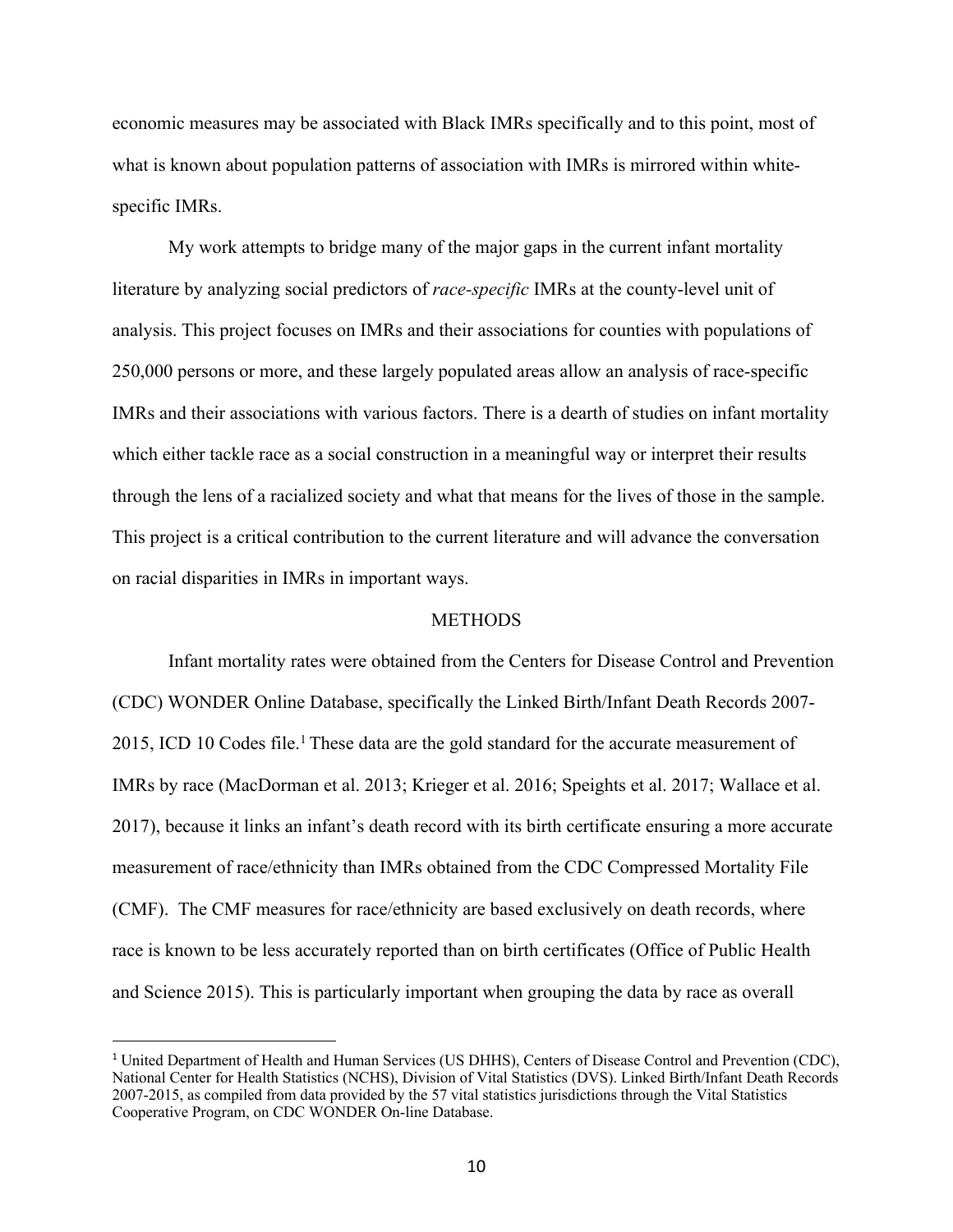economic measures may be associated with Black IMRs specifically and to this point, most of what is known about population patterns of association with IMRs is mirrored within whitespecific IMRs.

My work attempts to bridge many of the major gaps in the current infant mortality literature by analyzing social predictors of *race-specific* IMRs at the county-level unit of analysis. This project focuses on IMRs and their associations for counties with populations of 250,000 persons or more, and these largely populated areas allow an analysis of race-specific IMRs and their associations with various factors. There is a dearth of studies on infant mortality which either tackle race as a social construction in a meaningful way or interpret their results through the lens of a racialized society and what that means for the lives of those in the sample. This project is a critical contribution to the current literature and will advance the conversation on racial disparities in IMRs in important ways.

#### **METHODS**

Infant mortality rates were obtained from the Centers for Disease Control and Prevention (CDC) WONDER Online Database, specifically the Linked Birth/Infant Death Records 2007- 2015, ICD 10 Codes file.<sup>1</sup> These data are the gold standard for the accurate measurement of IMRs by race (MacDorman et al. 2013; Krieger et al. 2016; Speights et al. 2017; Wallace et al. 2017), because it links an infant's death record with its birth certificate ensuring a more accurate measurement of race/ethnicity than IMRs obtained from the CDC Compressed Mortality File (CMF). The CMF measures for race/ethnicity are based exclusively on death records, where race is known to be less accurately reported than on birth certificates (Office of Public Health and Science 2015). This is particularly important when grouping the data by race as overall

 <sup>1</sup> United Department of Health and Human Services (US DHHS), Centers of Disease Control and Prevention (CDC), National Center for Health Statistics (NCHS), Division of Vital Statistics (DVS). Linked Birth/Infant Death Records 2007-2015, as compiled from data provided by the 57 vital statistics jurisdictions through the Vital Statistics Cooperative Program, on CDC WONDER On-line Database.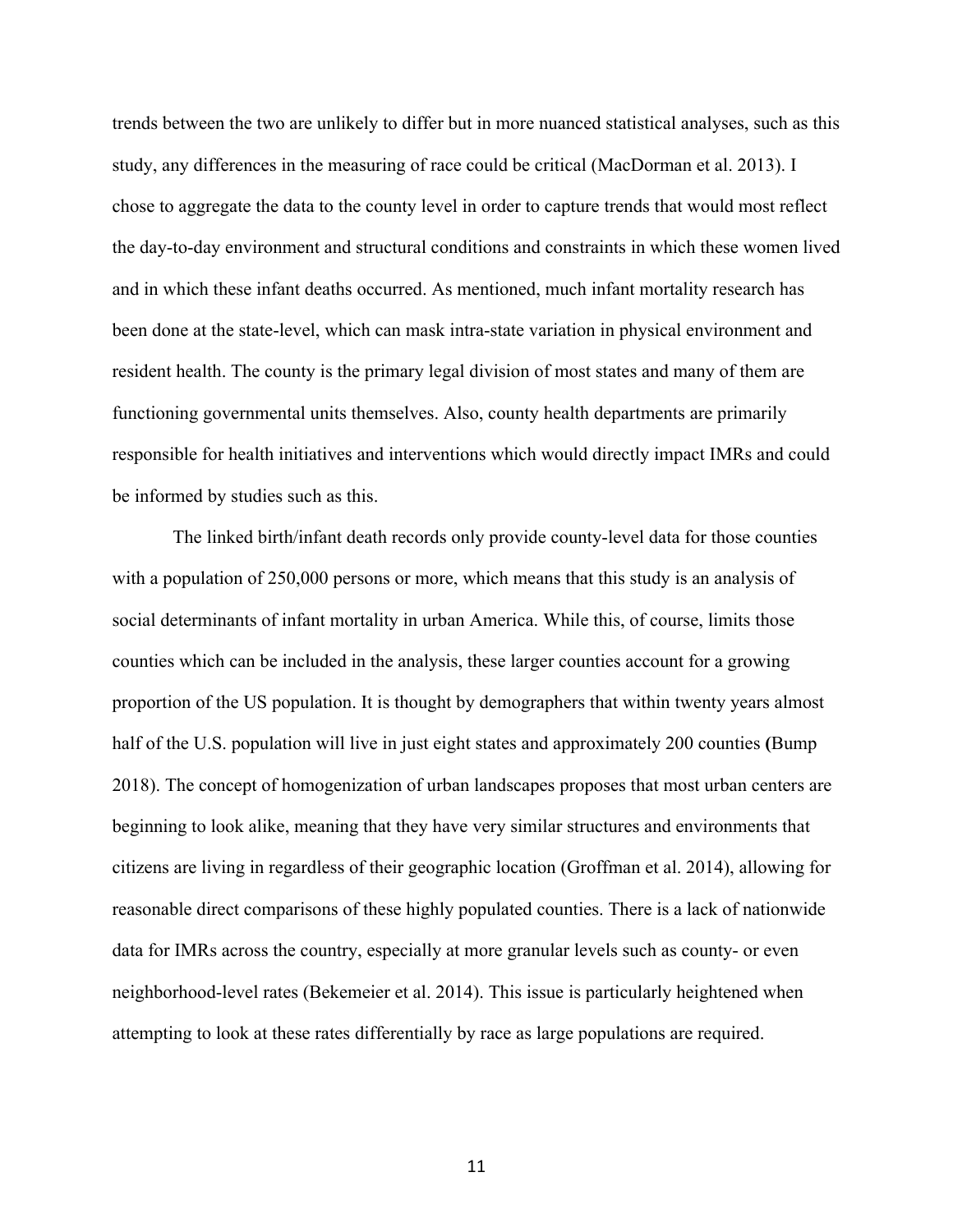trends between the two are unlikely to differ but in more nuanced statistical analyses, such as this study, any differences in the measuring of race could be critical (MacDorman et al. 2013). I chose to aggregate the data to the county level in order to capture trends that would most reflect the day-to-day environment and structural conditions and constraints in which these women lived and in which these infant deaths occurred. As mentioned, much infant mortality research has been done at the state-level, which can mask intra-state variation in physical environment and resident health. The county is the primary legal division of most states and many of them are functioning governmental units themselves. Also, county health departments are primarily responsible for health initiatives and interventions which would directly impact IMRs and could be informed by studies such as this.

The linked birth/infant death records only provide county-level data for those counties with a population of 250,000 persons or more, which means that this study is an analysis of social determinants of infant mortality in urban America. While this, of course, limits those counties which can be included in the analysis, these larger counties account for a growing proportion of the US population. It is thought by demographers that within twenty years almost half of the U.S. population will live in just eight states and approximately 200 counties **(**Bump 2018). The concept of homogenization of urban landscapes proposes that most urban centers are beginning to look alike, meaning that they have very similar structures and environments that citizens are living in regardless of their geographic location (Groffman et al. 2014), allowing for reasonable direct comparisons of these highly populated counties. There is a lack of nationwide data for IMRs across the country, especially at more granular levels such as county- or even neighborhood-level rates (Bekemeier et al. 2014). This issue is particularly heightened when attempting to look at these rates differentially by race as large populations are required.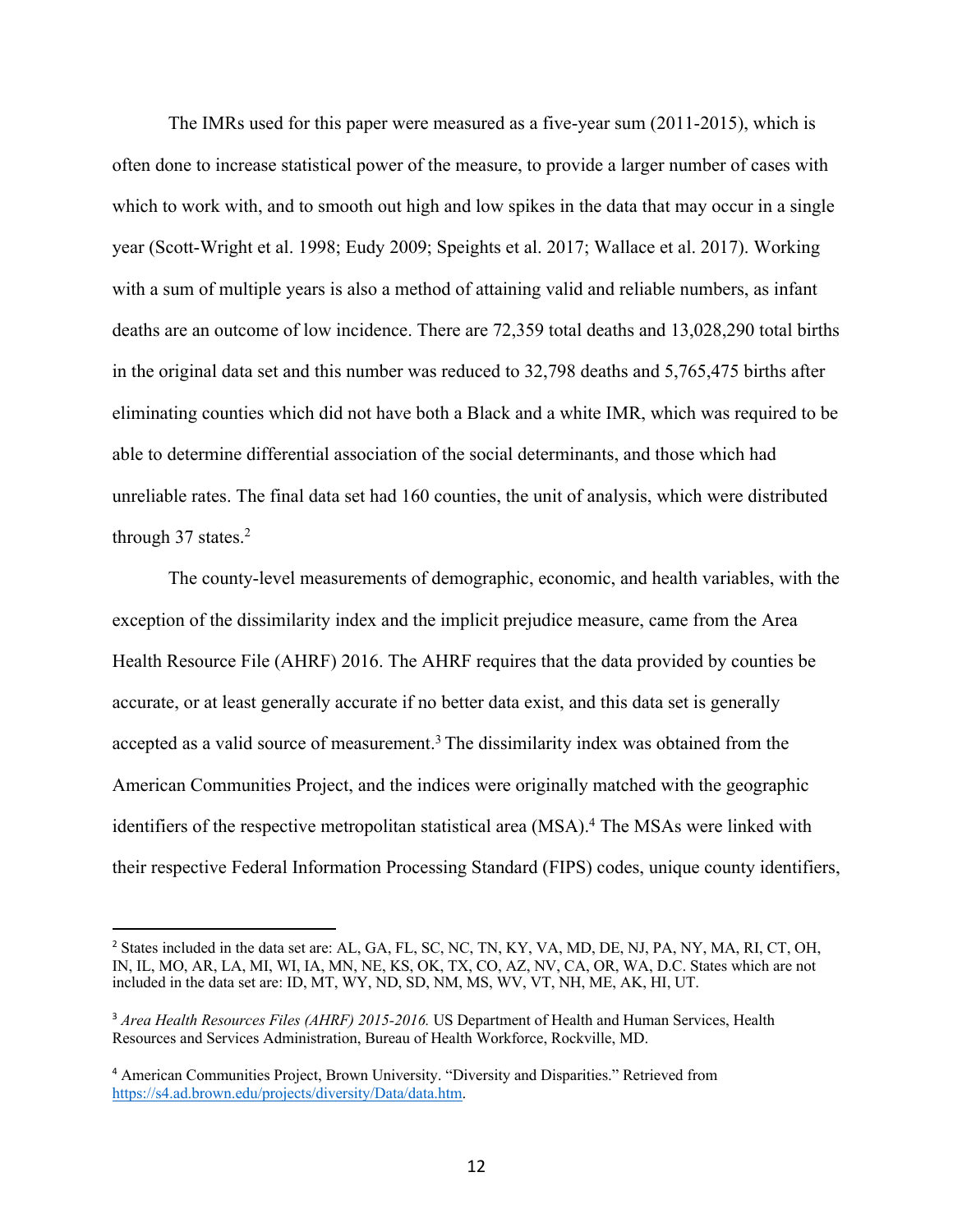The IMRs used for this paper were measured as a five-year sum (2011-2015), which is often done to increase statistical power of the measure, to provide a larger number of cases with which to work with, and to smooth out high and low spikes in the data that may occur in a single year (Scott-Wright et al. 1998; Eudy 2009; Speights et al. 2017; Wallace et al. 2017). Working with a sum of multiple years is also a method of attaining valid and reliable numbers, as infant deaths are an outcome of low incidence. There are 72,359 total deaths and 13,028,290 total births in the original data set and this number was reduced to 32,798 deaths and 5,765,475 births after eliminating counties which did not have both a Black and a white IMR, which was required to be able to determine differential association of the social determinants, and those which had unreliable rates. The final data set had 160 counties, the unit of analysis, which were distributed through 37 states.<sup>2</sup>

The county-level measurements of demographic, economic, and health variables, with the exception of the dissimilarity index and the implicit prejudice measure, came from the Area Health Resource File (AHRF) 2016. The AHRF requires that the data provided by counties be accurate, or at least generally accurate if no better data exist, and this data set is generally accepted as a valid source of measurement. <sup>3</sup> The dissimilarity index was obtained from the American Communities Project, and the indices were originally matched with the geographic identifiers of the respective metropolitan statistical area (MSA).<sup>4</sup> The MSAs were linked with their respective Federal Information Processing Standard (FIPS) codes, unique county identifiers,

<sup>&</sup>lt;sup>2</sup> States included in the data set are: AL, GA, FL, SC, NC, TN, KY, VA, MD, DE, NJ, PA, NY, MA, RI, CT, OH, IN, IL, MO, AR, LA, MI, WI, IA, MN, NE, KS, OK, TX, CO, AZ, NV, CA, OR, WA, D.C. States which are not included in the data set are: ID, MT, WY, ND, SD, NM, MS, WV, VT, NH, ME, AK, HI, UT.

<sup>&</sup>lt;sup>3</sup> Area Health Resources Files (AHRF) 2015-2016. US Department of Health and Human Services, Health Resources and Services Administration, Bureau of Health Workforce, Rockville, MD.

<sup>4</sup> American Communities Project, Brown University. "Diversity and Disparities." Retrieved from https://s4.ad.brown.edu/projects/diversity/Data/data.htm.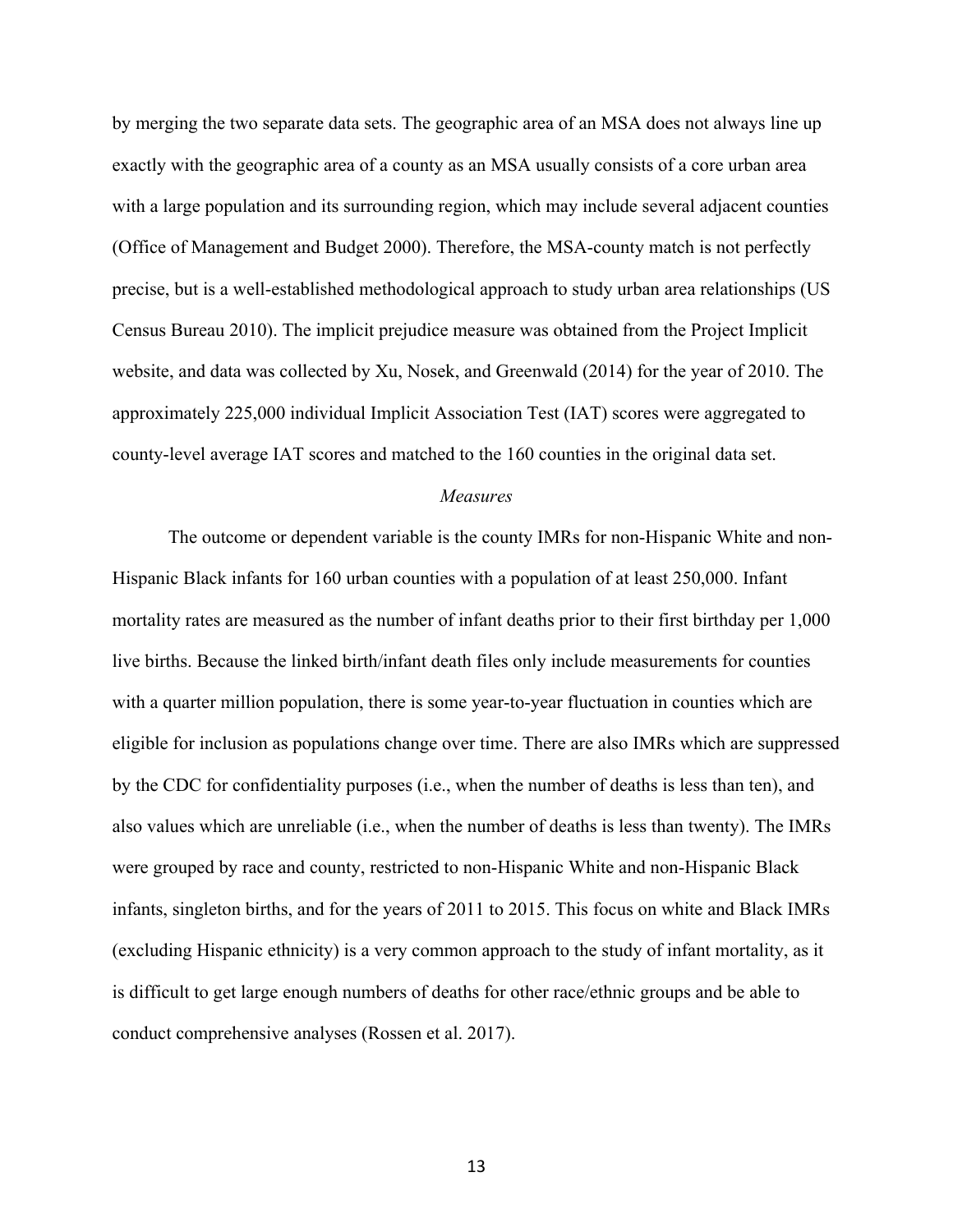by merging the two separate data sets. The geographic area of an MSA does not always line up exactly with the geographic area of a county as an MSA usually consists of a core urban area with a large population and its surrounding region, which may include several adjacent counties (Office of Management and Budget 2000). Therefore, the MSA-county match is not perfectly precise, but is a well-established methodological approach to study urban area relationships (US Census Bureau 2010). The implicit prejudice measure was obtained from the Project Implicit website, and data was collected by Xu, Nosek, and Greenwald (2014) for the year of 2010. The approximately 225,000 individual Implicit Association Test (IAT) scores were aggregated to county-level average IAT scores and matched to the 160 counties in the original data set.

#### *Measures*

The outcome or dependent variable is the county IMRs for non-Hispanic White and non-Hispanic Black infants for 160 urban counties with a population of at least 250,000. Infant mortality rates are measured as the number of infant deaths prior to their first birthday per 1,000 live births. Because the linked birth/infant death files only include measurements for counties with a quarter million population, there is some year-to-year fluctuation in counties which are eligible for inclusion as populations change over time. There are also IMRs which are suppressed by the CDC for confidentiality purposes (i.e., when the number of deaths is less than ten), and also values which are unreliable (i.e., when the number of deaths is less than twenty). The IMRs were grouped by race and county, restricted to non-Hispanic White and non-Hispanic Black infants, singleton births, and for the years of 2011 to 2015. This focus on white and Black IMRs (excluding Hispanic ethnicity) is a very common approach to the study of infant mortality, as it is difficult to get large enough numbers of deaths for other race/ethnic groups and be able to conduct comprehensive analyses (Rossen et al. 2017).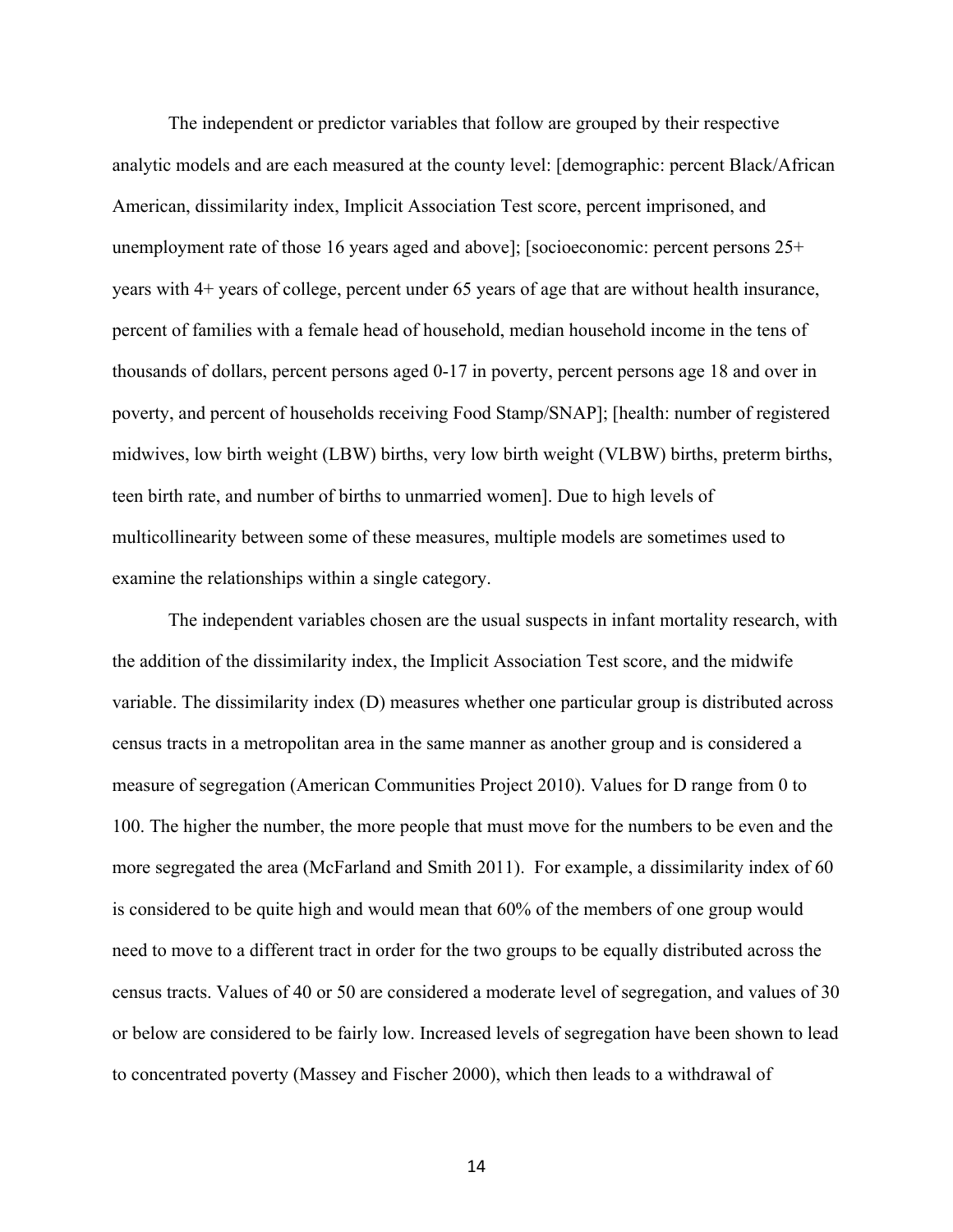The independent or predictor variables that follow are grouped by their respective analytic models and are each measured at the county level: [demographic: percent Black/African American, dissimilarity index, Implicit Association Test score, percent imprisoned, and unemployment rate of those 16 years aged and above]; [socioeconomic: percent persons 25+ years with 4+ years of college, percent under 65 years of age that are without health insurance, percent of families with a female head of household, median household income in the tens of thousands of dollars, percent persons aged 0-17 in poverty, percent persons age 18 and over in poverty, and percent of households receiving Food Stamp/SNAP]; [health: number of registered midwives, low birth weight (LBW) births, very low birth weight (VLBW) births, preterm births, teen birth rate, and number of births to unmarried women]. Due to high levels of multicollinearity between some of these measures, multiple models are sometimes used to examine the relationships within a single category.

The independent variables chosen are the usual suspects in infant mortality research, with the addition of the dissimilarity index, the Implicit Association Test score, and the midwife variable. The dissimilarity index (D) measures whether one particular group is distributed across census tracts in a metropolitan area in the same manner as another group and is considered a measure of segregation (American Communities Project 2010). Values for D range from 0 to 100. The higher the number, the more people that must move for the numbers to be even and the more segregated the area (McFarland and Smith 2011). For example, a dissimilarity index of 60 is considered to be quite high and would mean that 60% of the members of one group would need to move to a different tract in order for the two groups to be equally distributed across the census tracts. Values of 40 or 50 are considered a moderate level of segregation, and values of 30 or below are considered to be fairly low. Increased levels of segregation have been shown to lead to concentrated poverty (Massey and Fischer 2000), which then leads to a withdrawal of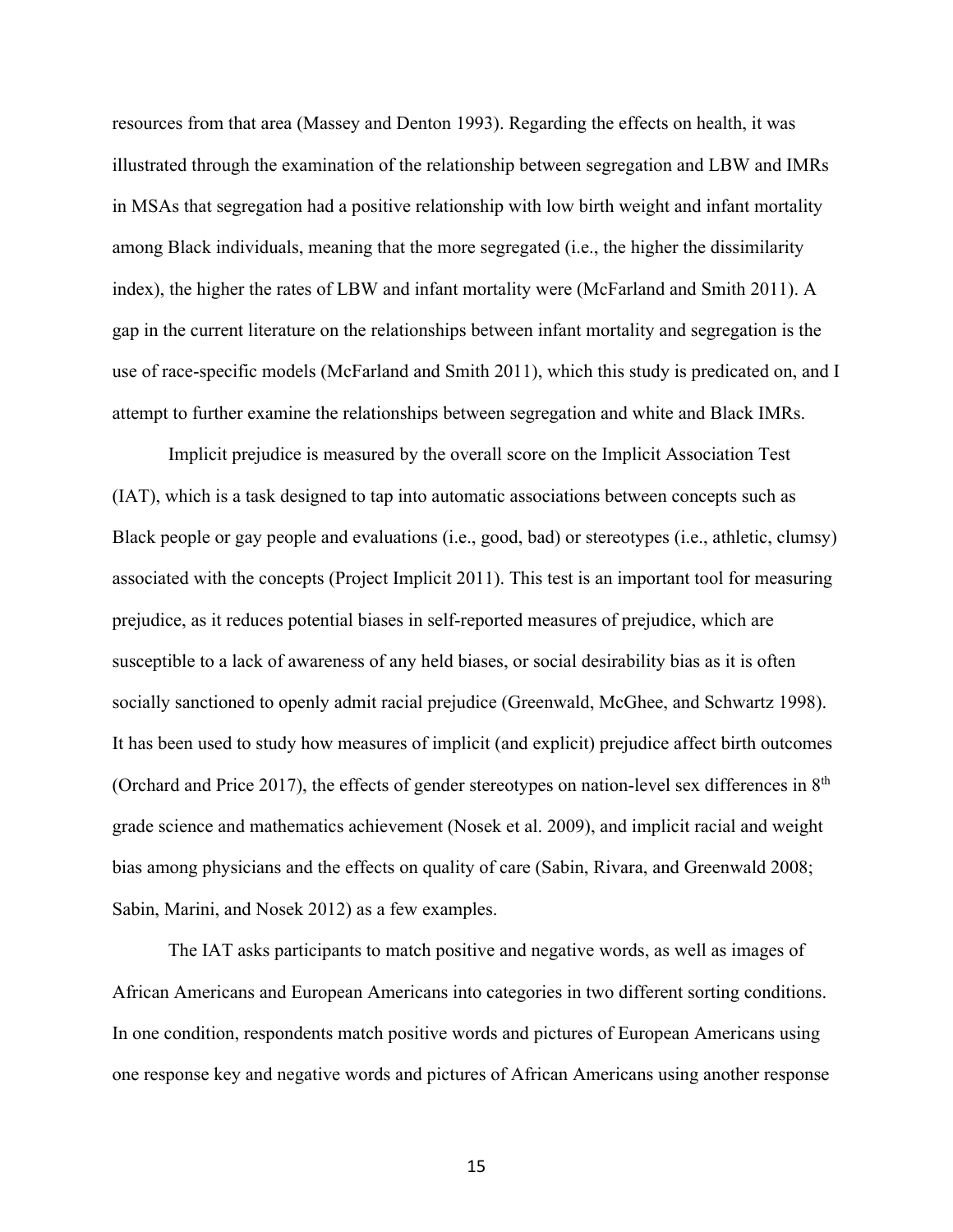resources from that area (Massey and Denton 1993). Regarding the effects on health, it was illustrated through the examination of the relationship between segregation and LBW and IMRs in MSAs that segregation had a positive relationship with low birth weight and infant mortality among Black individuals, meaning that the more segregated (i.e., the higher the dissimilarity index), the higher the rates of LBW and infant mortality were (McFarland and Smith 2011). A gap in the current literature on the relationships between infant mortality and segregation is the use of race-specific models (McFarland and Smith 2011), which this study is predicated on, and I attempt to further examine the relationships between segregation and white and Black IMRs.

Implicit prejudice is measured by the overall score on the Implicit Association Test (IAT), which is a task designed to tap into automatic associations between concepts such as Black people or gay people and evaluations (i.e., good, bad) or stereotypes (i.e., athletic, clumsy) associated with the concepts (Project Implicit 2011). This test is an important tool for measuring prejudice, as it reduces potential biases in self-reported measures of prejudice, which are susceptible to a lack of awareness of any held biases, or social desirability bias as it is often socially sanctioned to openly admit racial prejudice (Greenwald, McGhee, and Schwartz 1998). It has been used to study how measures of implicit (and explicit) prejudice affect birth outcomes (Orchard and Price 2017), the effects of gender stereotypes on nation-level sex differences in  $8<sup>th</sup>$ grade science and mathematics achievement (Nosek et al. 2009), and implicit racial and weight bias among physicians and the effects on quality of care (Sabin, Rivara, and Greenwald 2008; Sabin, Marini, and Nosek 2012) as a few examples.

The IAT asks participants to match positive and negative words, as well as images of African Americans and European Americans into categories in two different sorting conditions. In one condition, respondents match positive words and pictures of European Americans using one response key and negative words and pictures of African Americans using another response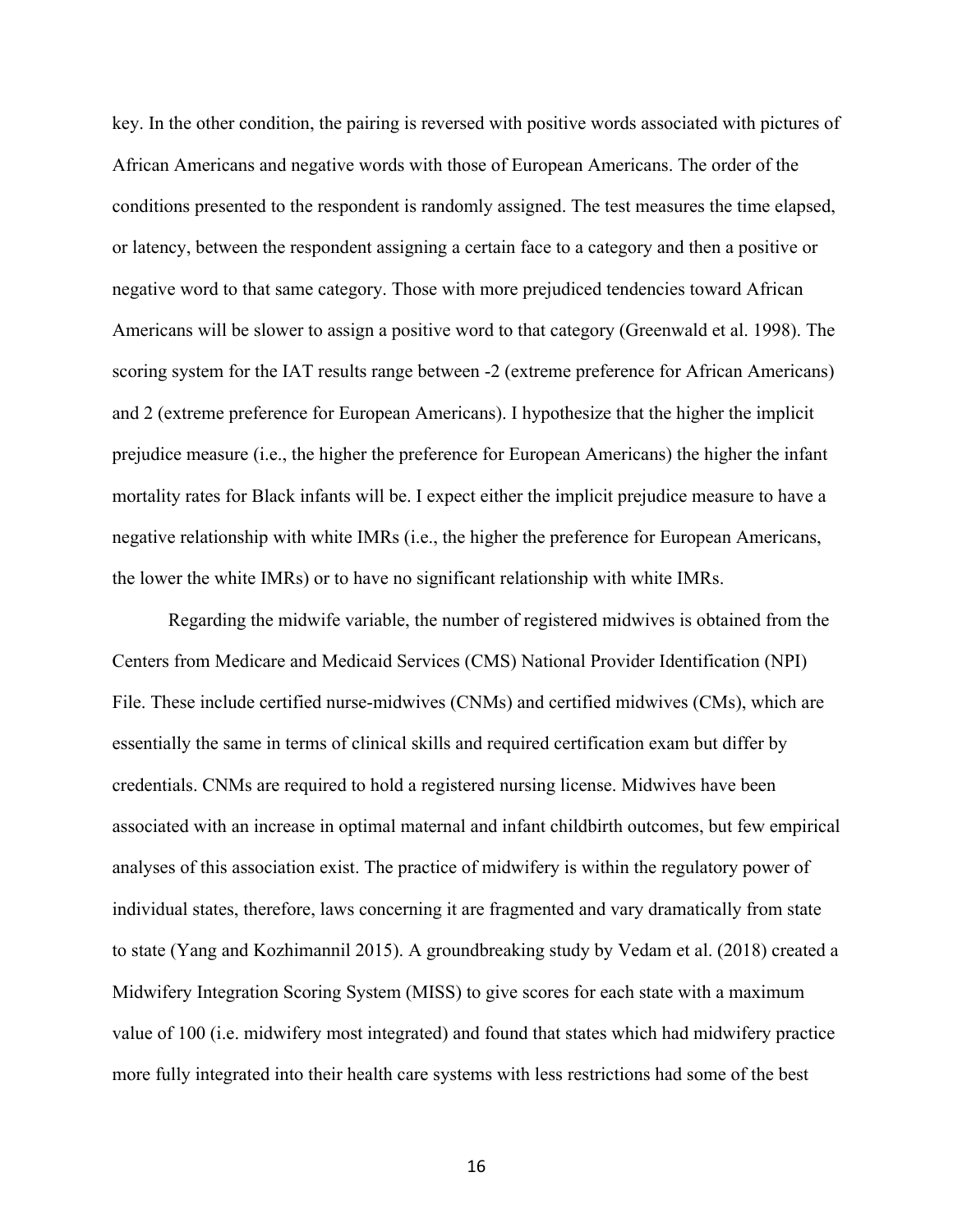key. In the other condition, the pairing is reversed with positive words associated with pictures of African Americans and negative words with those of European Americans. The order of the conditions presented to the respondent is randomly assigned. The test measures the time elapsed, or latency, between the respondent assigning a certain face to a category and then a positive or negative word to that same category. Those with more prejudiced tendencies toward African Americans will be slower to assign a positive word to that category (Greenwald et al. 1998). The scoring system for the IAT results range between -2 (extreme preference for African Americans) and 2 (extreme preference for European Americans). I hypothesize that the higher the implicit prejudice measure (i.e., the higher the preference for European Americans) the higher the infant mortality rates for Black infants will be. I expect either the implicit prejudice measure to have a negative relationship with white IMRs (i.e., the higher the preference for European Americans, the lower the white IMRs) or to have no significant relationship with white IMRs.

Regarding the midwife variable, the number of registered midwives is obtained from the Centers from Medicare and Medicaid Services (CMS) National Provider Identification (NPI) File. These include certified nurse-midwives (CNMs) and certified midwives (CMs), which are essentially the same in terms of clinical skills and required certification exam but differ by credentials. CNMs are required to hold a registered nursing license. Midwives have been associated with an increase in optimal maternal and infant childbirth outcomes, but few empirical analyses of this association exist. The practice of midwifery is within the regulatory power of individual states, therefore, laws concerning it are fragmented and vary dramatically from state to state (Yang and Kozhimannil 2015). A groundbreaking study by Vedam et al. (2018) created a Midwifery Integration Scoring System (MISS) to give scores for each state with a maximum value of 100 (i.e. midwifery most integrated) and found that states which had midwifery practice more fully integrated into their health care systems with less restrictions had some of the best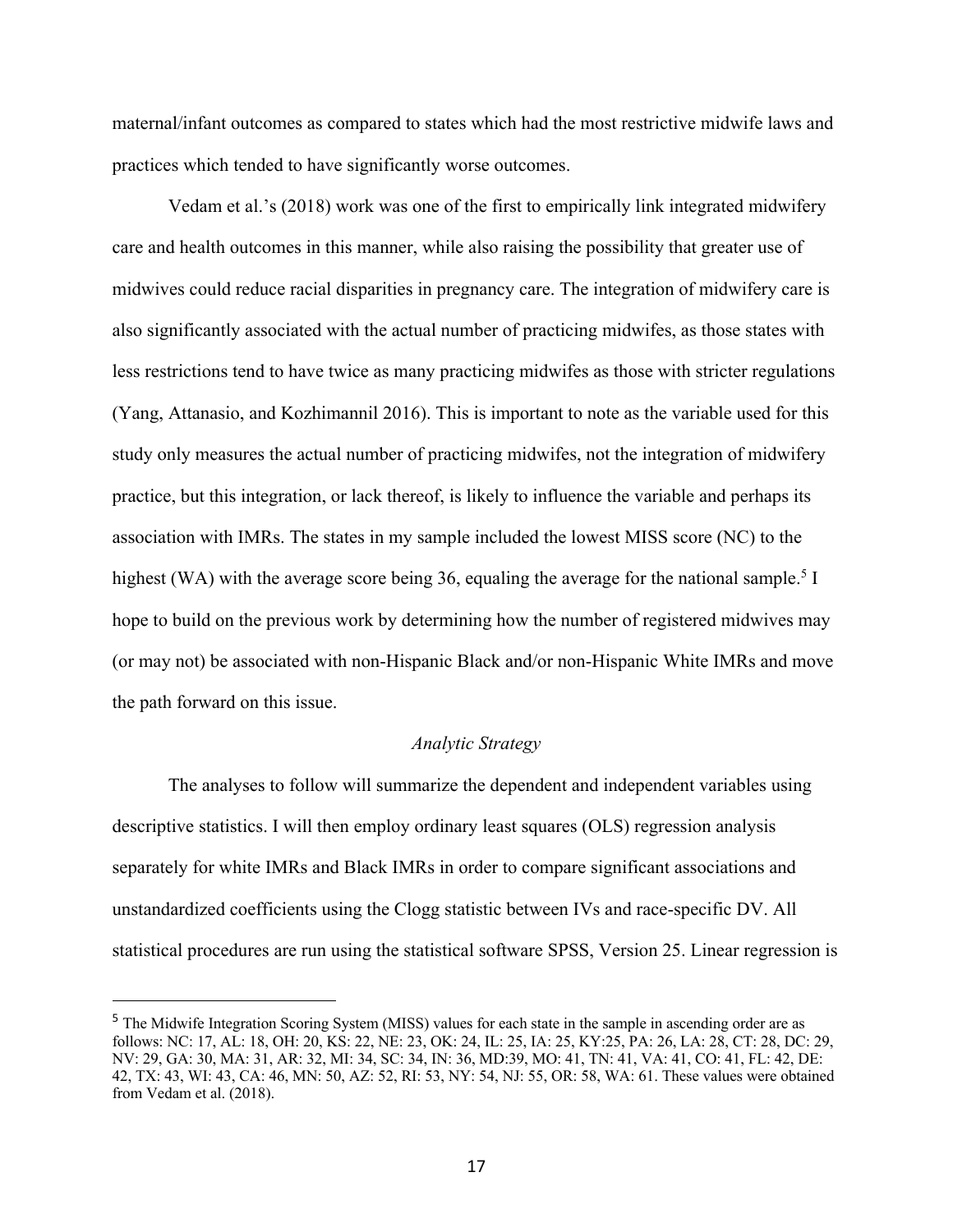maternal/infant outcomes as compared to states which had the most restrictive midwife laws and practices which tended to have significantly worse outcomes.

Vedam et al.'s (2018) work was one of the first to empirically link integrated midwifery care and health outcomes in this manner, while also raising the possibility that greater use of midwives could reduce racial disparities in pregnancy care. The integration of midwifery care is also significantly associated with the actual number of practicing midwifes, as those states with less restrictions tend to have twice as many practicing midwifes as those with stricter regulations (Yang, Attanasio, and Kozhimannil 2016). This is important to note as the variable used for this study only measures the actual number of practicing midwifes, not the integration of midwifery practice, but this integration, or lack thereof, is likely to influence the variable and perhaps its association with IMRs. The states in my sample included the lowest MISS score (NC) to the highest (WA) with the average score being 36, equaling the average for the national sample.<sup>5</sup> I hope to build on the previous work by determining how the number of registered midwives may (or may not) be associated with non-Hispanic Black and/or non-Hispanic White IMRs and move the path forward on this issue.

#### *Analytic Strategy*

The analyses to follow will summarize the dependent and independent variables using descriptive statistics. I will then employ ordinary least squares (OLS) regression analysis separately for white IMRs and Black IMRs in order to compare significant associations and unstandardized coefficients using the Clogg statistic between IVs and race-specific DV. All statistical procedures are run using the statistical software SPSS, Version 25. Linear regression is

<sup>&</sup>lt;sup>5</sup> The Midwife Integration Scoring System (MISS) values for each state in the sample in ascending order are as follows: NC: 17, AL: 18, OH: 20, KS: 22, NE: 23, OK: 24, IL: 25, IA: 25, KY:25, PA: 26, LA: 28, CT: 28, DC: 29, NV: 29, GA: 30, MA: 31, AR: 32, MI: 34, SC: 34, IN: 36, MD:39, MO: 41, TN: 41, VA: 41, CO: 41, FL: 42, DE: 42, TX: 43, WI: 43, CA: 46, MN: 50, AZ: 52, RI: 53, NY: 54, NJ: 55, OR: 58, WA: 61. These values were obtained from Vedam et al. (2018).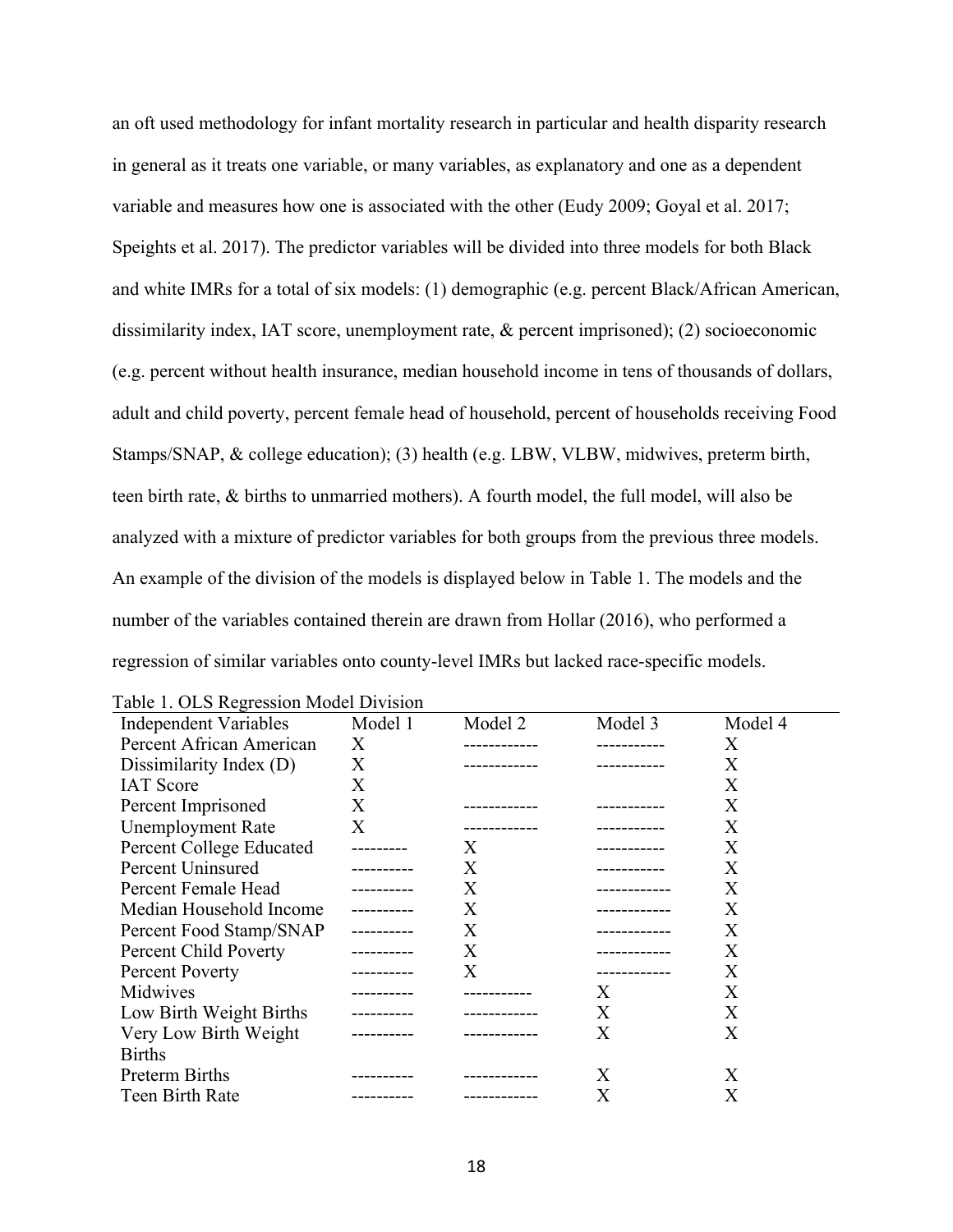an oft used methodology for infant mortality research in particular and health disparity research in general as it treats one variable, or many variables, as explanatory and one as a dependent variable and measures how one is associated with the other (Eudy 2009; Goyal et al. 2017; Speights et al. 2017). The predictor variables will be divided into three models for both Black and white IMRs for a total of six models: (1) demographic (e.g. percent Black/African American, dissimilarity index, IAT score, unemployment rate, & percent imprisoned); (2) socioeconomic (e.g. percent without health insurance, median household income in tens of thousands of dollars, adult and child poverty, percent female head of household, percent of households receiving Food Stamps/SNAP, & college education); (3) health (e.g. LBW, VLBW, midwives, preterm birth, teen birth rate, & births to unmarried mothers). A fourth model, the full model, will also be analyzed with a mixture of predictor variables for both groups from the previous three models. An example of the division of the models is displayed below in Table 1. The models and the number of the variables contained therein are drawn from Hollar (2016), who performed a regression of similar variables onto county-level IMRs but lacked race-specific models.

| raone 1. Old negrossion model Division |             |         |              |         |
|----------------------------------------|-------------|---------|--------------|---------|
| <b>Independent Variables</b>           | Model 1     | Model 2 | Model 3      | Model 4 |
| Percent African American               | X           |         |              | Χ       |
| Dissimilarity Index (D)                | X           |         |              | Χ       |
| <b>IAT</b> Score                       | X           |         |              | X       |
| Percent Imprisoned                     | X           |         |              | X       |
| <b>Unemployment Rate</b>               | X           |         |              | X       |
| <b>Percent College Educated</b>        |             | X       |              | X       |
| Percent Uninsured                      |             | X       |              | X       |
| Percent Female Head                    |             | X       |              | X       |
| Median Household Income                | ----------- | X       |              | X       |
| Percent Food Stamp/SNAP                | ----------  | Χ       | ------------ | X       |
| Percent Child Poverty                  |             | Χ       |              | X       |
| <b>Percent Poverty</b>                 |             | Χ       | -----------  | X       |
| Midwives                               |             |         | X            | X       |
| Low Birth Weight Births                |             |         | X            | X       |
| Very Low Birth Weight                  |             |         | X            | X       |
| <b>Births</b>                          |             |         |              |         |
| Preterm Births                         |             |         | Χ            | Χ       |
| Teen Birth Rate                        |             |         | Х            | Х       |

Table 1. OLS Regression Model Division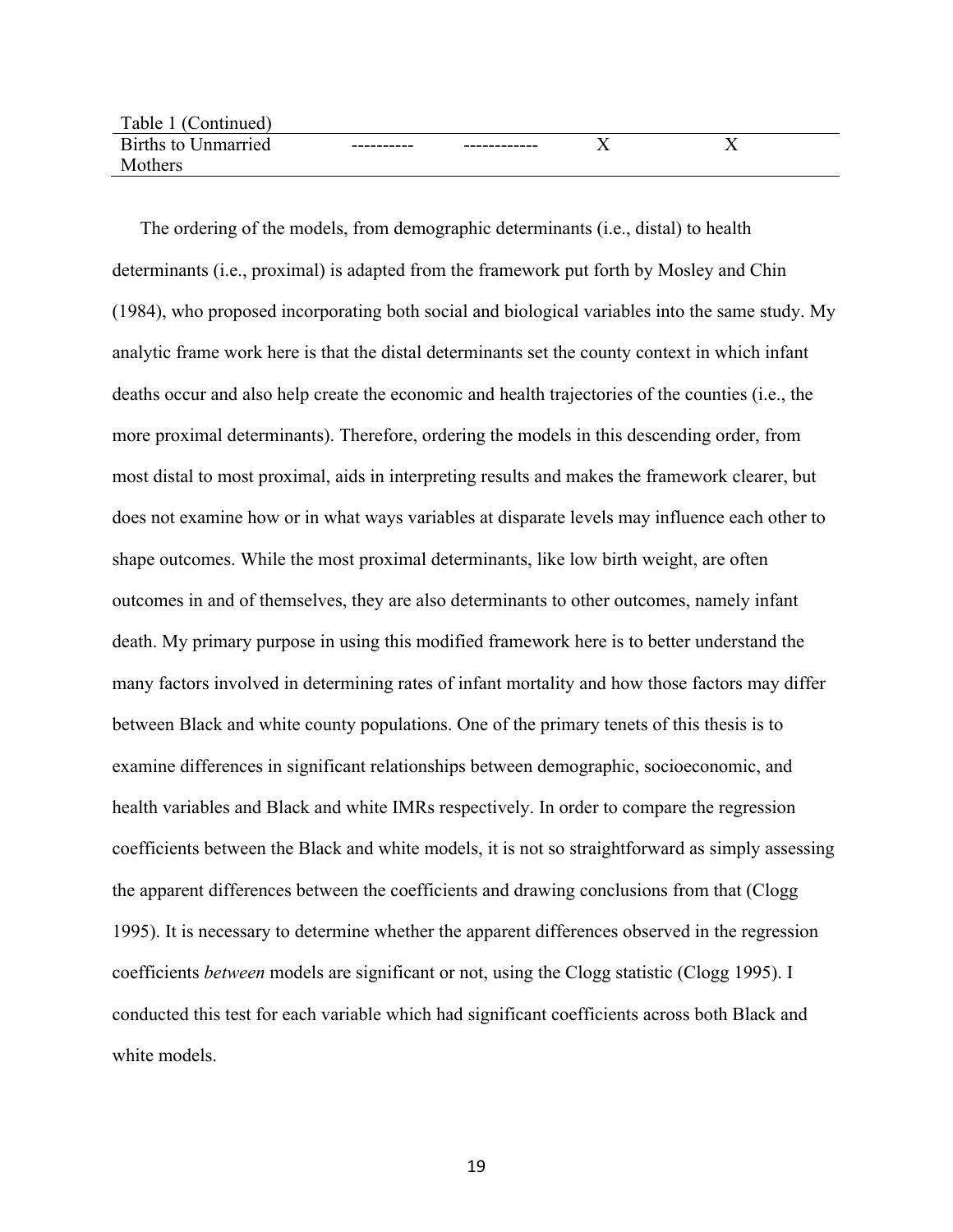| Table<br>`ontinued            |            |              |                           |                   |  |
|-------------------------------|------------|--------------|---------------------------|-------------------|--|
| Births to<br><u>Inmarried</u> | ---------- | ------------ | $\mathbf{v}$<br>$\lambda$ | $ -$<br>$\lambda$ |  |
| М<br>others                   |            |              |                           |                   |  |

The ordering of the models, from demographic determinants (i.e., distal) to health determinants (i.e., proximal) is adapted from the framework put forth by Mosley and Chin (1984), who proposed incorporating both social and biological variables into the same study. My analytic frame work here is that the distal determinants set the county context in which infant deaths occur and also help create the economic and health trajectories of the counties (i.e., the more proximal determinants). Therefore, ordering the models in this descending order, from most distal to most proximal, aids in interpreting results and makes the framework clearer, but does not examine how or in what ways variables at disparate levels may influence each other to shape outcomes. While the most proximal determinants, like low birth weight, are often outcomes in and of themselves, they are also determinants to other outcomes, namely infant death. My primary purpose in using this modified framework here is to better understand the many factors involved in determining rates of infant mortality and how those factors may differ between Black and white county populations. One of the primary tenets of this thesis is to examine differences in significant relationships between demographic, socioeconomic, and health variables and Black and white IMRs respectively. In order to compare the regression coefficients between the Black and white models, it is not so straightforward as simply assessing the apparent differences between the coefficients and drawing conclusions from that (Clogg 1995). It is necessary to determine whether the apparent differences observed in the regression coefficients *between* models are significant or not, using the Clogg statistic (Clogg 1995). I conducted this test for each variable which had significant coefficients across both Black and white models.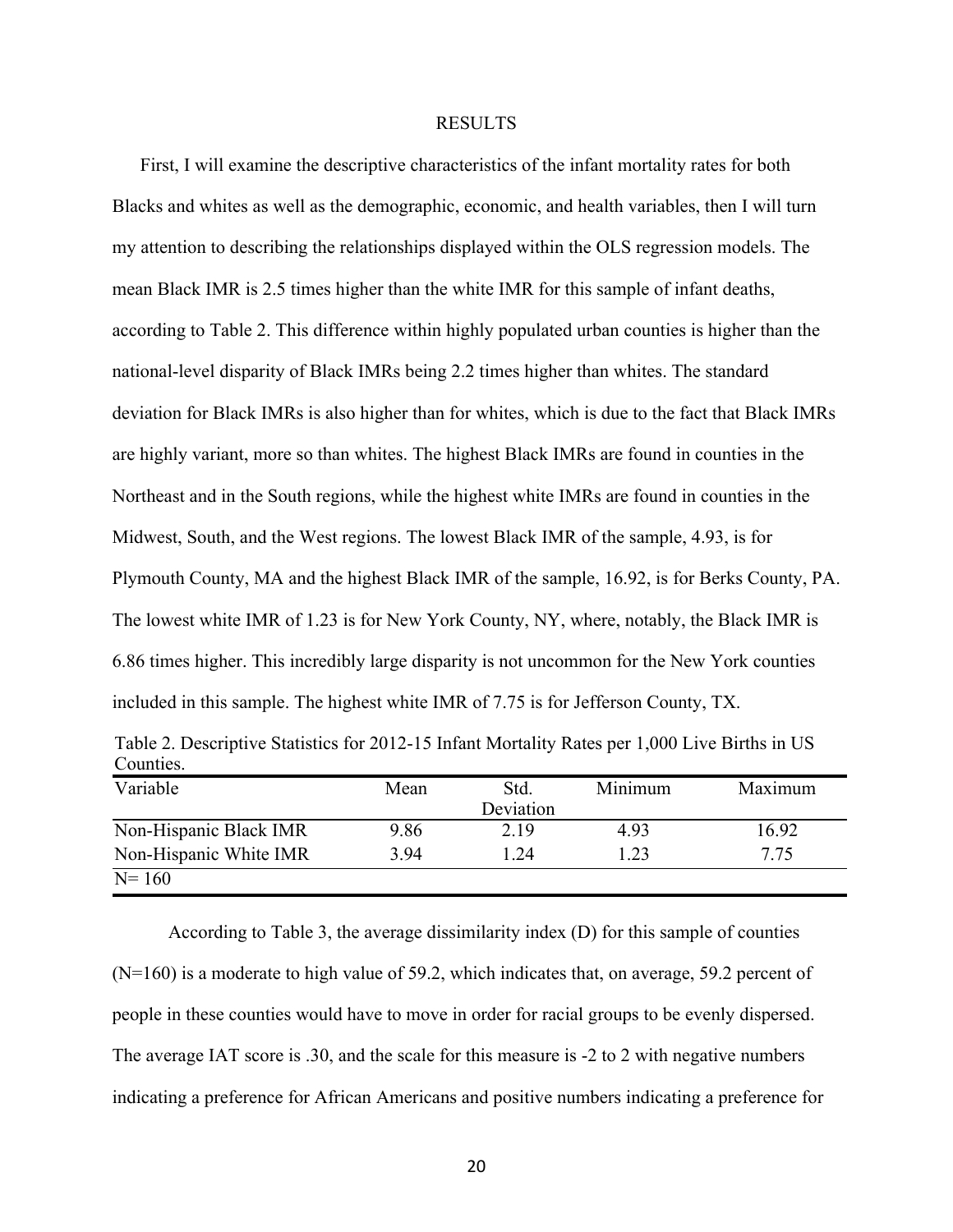#### RESULTS

First, I will examine the descriptive characteristics of the infant mortality rates for both Blacks and whites as well as the demographic, economic, and health variables, then I will turn my attention to describing the relationships displayed within the OLS regression models. The mean Black IMR is 2.5 times higher than the white IMR for this sample of infant deaths, according to Table 2. This difference within highly populated urban counties is higher than the national-level disparity of Black IMRs being 2.2 times higher than whites. The standard deviation for Black IMRs is also higher than for whites, which is due to the fact that Black IMRs are highly variant, more so than whites. The highest Black IMRs are found in counties in the Northeast and in the South regions, while the highest white IMRs are found in counties in the Midwest, South, and the West regions. The lowest Black IMR of the sample, 4.93, is for Plymouth County, MA and the highest Black IMR of the sample, 16.92, is for Berks County, PA. The lowest white IMR of 1.23 is for New York County, NY, where, notably, the Black IMR is 6.86 times higher. This incredibly large disparity is not uncommon for the New York counties included in this sample. The highest white IMR of 7.75 is for Jefferson County, TX.

| Table 2. Descriptive Statistics for 2012-15 Infant Mortality Rates per 1,000 Live Births in US |  |  |
|------------------------------------------------------------------------------------------------|--|--|
| Counties.                                                                                      |  |  |
| ___ _ _                                                                                        |  |  |

| Variable               | Mean | Std.      | Minimum | Maximum |
|------------------------|------|-----------|---------|---------|
|                        |      | Deviation |         |         |
| Non-Hispanic Black IMR | 9.86 | 2.19      | 4.93    | 16.92   |
| Non-Hispanic White IMR | 3.94 | 24. ا     | 1.23    | 7.75    |
| $N = 160$              |      |           |         |         |

According to Table 3, the average dissimilarity index (D) for this sample of counties  $(N=160)$  is a moderate to high value of 59.2, which indicates that, on average, 59.2 percent of people in these counties would have to move in order for racial groups to be evenly dispersed. The average IAT score is .30, and the scale for this measure is -2 to 2 with negative numbers indicating a preference for African Americans and positive numbers indicating a preference for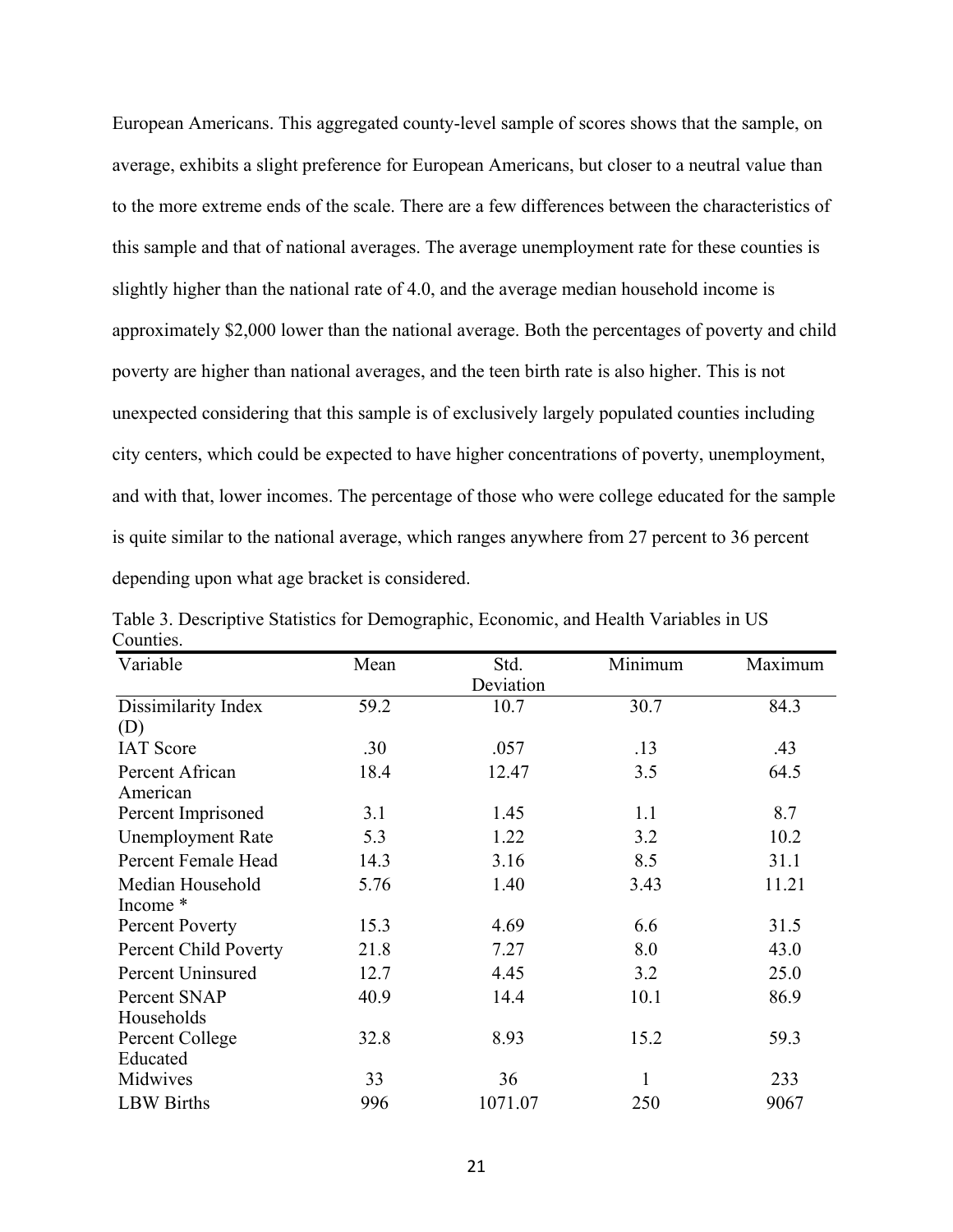European Americans. This aggregated county-level sample of scores shows that the sample, on average, exhibits a slight preference for European Americans, but closer to a neutral value than to the more extreme ends of the scale. There are a few differences between the characteristics of this sample and that of national averages. The average unemployment rate for these counties is slightly higher than the national rate of 4.0, and the average median household income is approximately \$2,000 lower than the national average. Both the percentages of poverty and child poverty are higher than national averages, and the teen birth rate is also higher. This is not unexpected considering that this sample is of exclusively largely populated counties including city centers, which could be expected to have higher concentrations of poverty, unemployment, and with that, lower incomes. The percentage of those who were college educated for the sample is quite similar to the national average, which ranges anywhere from 27 percent to 36 percent depending upon what age bracket is considered.

| Variable                 | Mean | Std.      | Minimum | Maximum |
|--------------------------|------|-----------|---------|---------|
|                          |      | Deviation |         |         |
| Dissimilarity Index      | 59.2 | 10.7      | 30.7    | 84.3    |
| (D)                      |      |           |         |         |
| <b>IAT</b> Score         | .30  | .057      | .13     | .43     |
| Percent African          | 18.4 | 12.47     | 3.5     | 64.5    |
| American                 |      |           |         |         |
| Percent Imprisoned       | 3.1  | 1.45      | 1.1     | 8.7     |
| <b>Unemployment Rate</b> | 5.3  | 1.22      | 3.2     | 10.2    |
| Percent Female Head      | 14.3 | 3.16      | 8.5     | 31.1    |
| Median Household         | 5.76 | 1.40      | 3.43    | 11.21   |
| Income *                 |      |           |         |         |
| <b>Percent Poverty</b>   | 15.3 | 4.69      | 6.6     | 31.5    |
| Percent Child Poverty    | 21.8 | 7.27      | 8.0     | 43.0    |
| <b>Percent Uninsured</b> | 12.7 | 4.45      | 3.2     | 25.0    |
| Percent SNAP             | 40.9 | 14.4      | 10.1    | 86.9    |
| Households               |      |           |         |         |
| Percent College          | 32.8 | 8.93      | 15.2    | 59.3    |
| Educated                 |      |           |         |         |
| Midwives                 | 33   | 36        | 1       | 233     |
| <b>LBW</b> Births        | 996  | 1071.07   | 250     | 9067    |

Table 3. Descriptive Statistics for Demographic, Economic, and Health Variables in US Counties.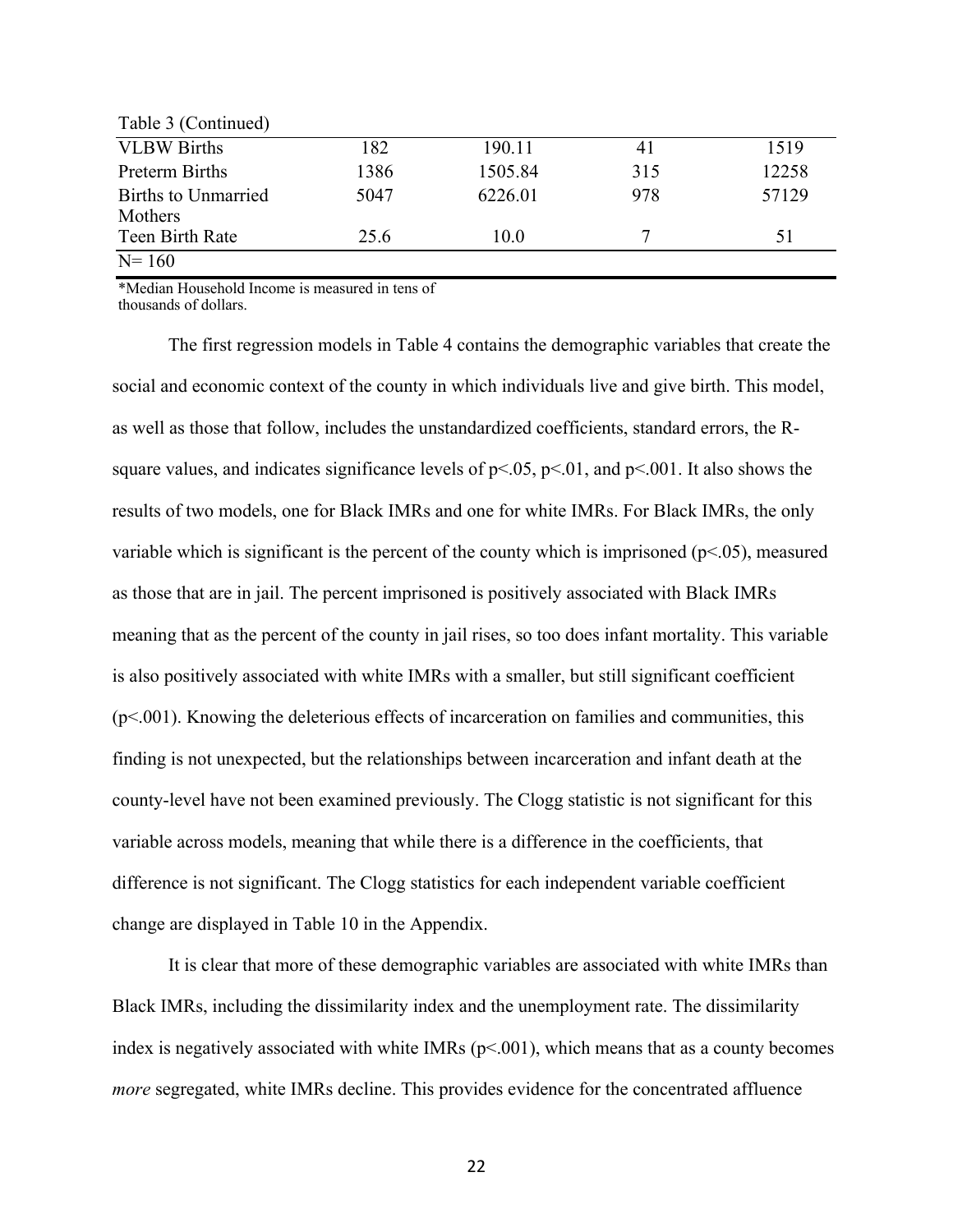| Table 3 (Continued)            |      |         |     |       |
|--------------------------------|------|---------|-----|-------|
| <b>VLBW Births</b>             | 182  | 190.11  | 41  | 1519  |
| Preterm Births                 | 1386 | 1505.84 | 315 | 12258 |
| Births to Unmarried<br>Mothers | 5047 | 6226.01 | 978 | 57129 |
| Teen Birth Rate                | 25.6 | 10.0    |     | 51    |
| $N = 160$                      |      |         |     |       |

\*Median Household Income is measured in tens of thousands of dollars.

The first regression models in Table 4 contains the demographic variables that create the social and economic context of the county in which individuals live and give birth. This model, as well as those that follow, includes the unstandardized coefficients, standard errors, the Rsquare values, and indicates significance levels of  $p<0.05$ ,  $p<0.01$ , and  $p<0.01$ . It also shows the results of two models, one for Black IMRs and one for white IMRs. For Black IMRs, the only variable which is significant is the percent of the county which is imprisoned ( $p$ <.05), measured as those that are in jail. The percent imprisoned is positively associated with Black IMRs meaning that as the percent of the county in jail rises, so too does infant mortality. This variable is also positively associated with white IMRs with a smaller, but still significant coefficient (p<.001). Knowing the deleterious effects of incarceration on families and communities, this finding is not unexpected, but the relationships between incarceration and infant death at the county-level have not been examined previously. The Clogg statistic is not significant for this variable across models, meaning that while there is a difference in the coefficients, that difference is not significant. The Clogg statistics for each independent variable coefficient change are displayed in Table 10 in the Appendix.

It is clear that more of these demographic variables are associated with white IMRs than Black IMRs, including the dissimilarity index and the unemployment rate. The dissimilarity index is negatively associated with white IMRs  $(p<0.001)$ , which means that as a county becomes *more* segregated, white IMRs decline. This provides evidence for the concentrated affluence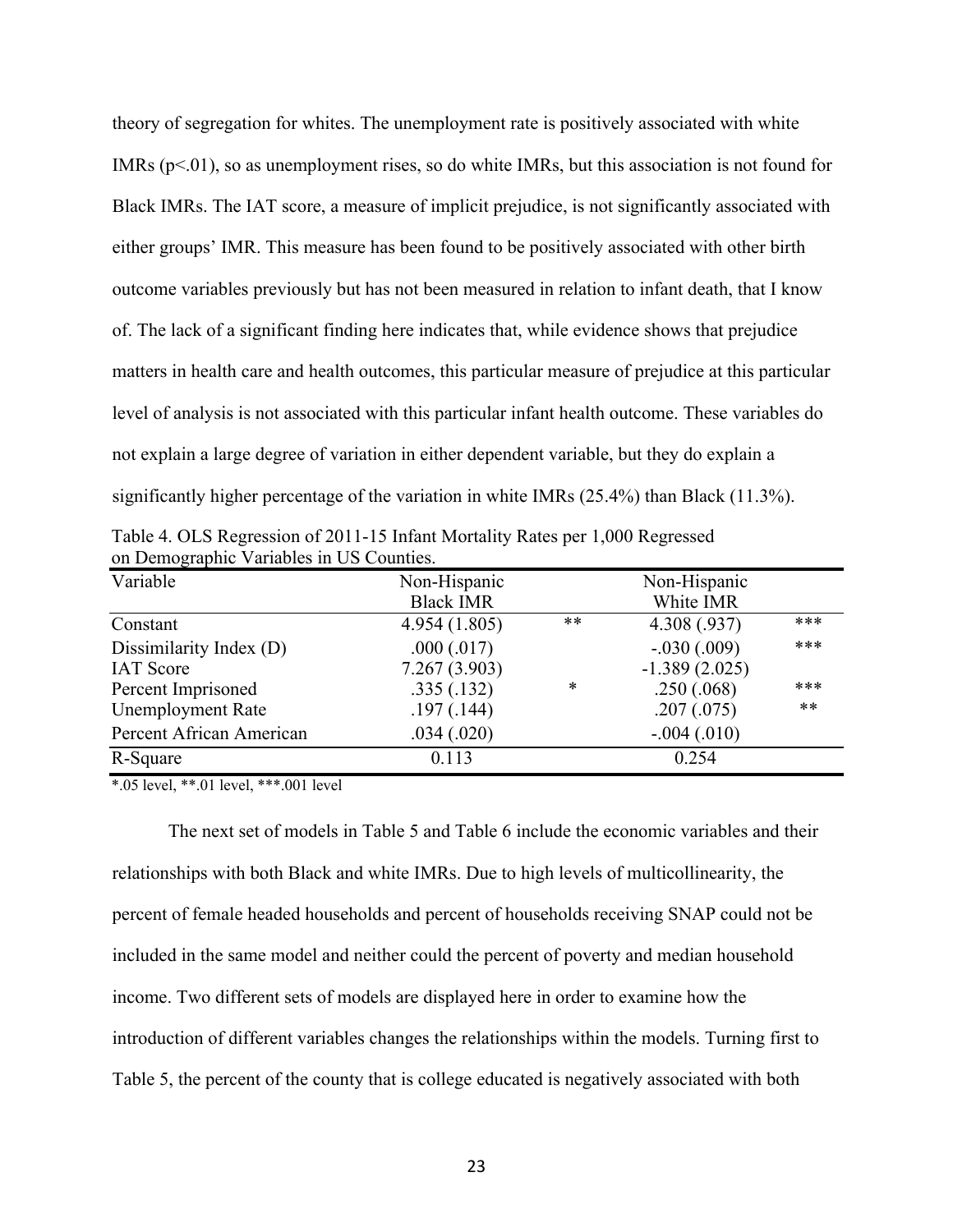theory of segregation for whites. The unemployment rate is positively associated with white IMRs  $(p<0.01)$ , so as unemployment rises, so do white IMRs, but this association is not found for Black IMRs. The IAT score, a measure of implicit prejudice, is not significantly associated with either groups' IMR. This measure has been found to be positively associated with other birth outcome variables previously but has not been measured in relation to infant death, that I know of. The lack of a significant finding here indicates that, while evidence shows that prejudice matters in health care and health outcomes, this particular measure of prejudice at this particular level of analysis is not associated with this particular infant health outcome. These variables do not explain a large degree of variation in either dependent variable, but they do explain a significantly higher percentage of the variation in white IMRs (25.4%) than Black (11.3%).

Table 4. OLS Regression of 2011-15 Infant Mortality Rates per 1,000 Regressed on Demographic Variables in US Counties.

| Variable                                    | Non-Hispanic<br><b>Black IMR</b> |       | Non-Hispanic<br>White IMR        |     |
|---------------------------------------------|----------------------------------|-------|----------------------------------|-----|
| Constant                                    | 4.954(1.805)                     | $***$ | 4.308 (.937)                     | *** |
| Dissimilarity Index (D)<br><b>IAT</b> Score | .000(.017)<br>7.267(3.903)       |       | $-.030(.009)$<br>$-1.389(2.025)$ | *** |
| Percent Imprisoned                          | .335(.132)                       | *     | .250(.068)                       | *** |
| <b>Unemployment Rate</b>                    | .197(.144)                       |       | .207(.075)                       | **  |
| Percent African American                    | .034(.020)                       |       | $-.004(.010)$                    |     |
| R-Square                                    | 0.113                            |       | 0.254                            |     |

\*.05 level, \*\*.01 level, \*\*\*.001 level

The next set of models in Table 5 and Table 6 include the economic variables and their relationships with both Black and white IMRs. Due to high levels of multicollinearity, the percent of female headed households and percent of households receiving SNAP could not be included in the same model and neither could the percent of poverty and median household income. Two different sets of models are displayed here in order to examine how the introduction of different variables changes the relationships within the models. Turning first to Table 5, the percent of the county that is college educated is negatively associated with both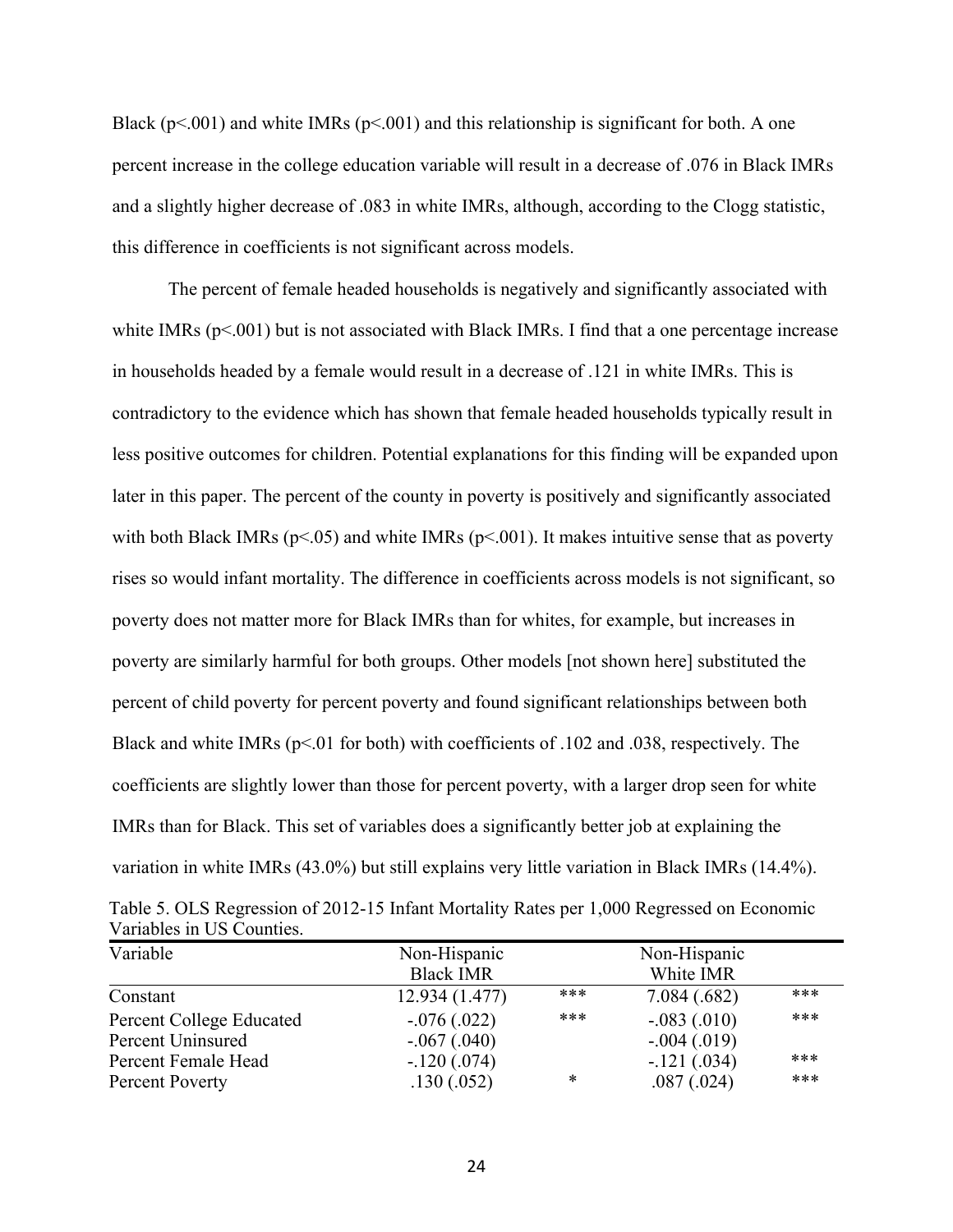Black ( $p<0.001$ ) and white IMRs ( $p<0.001$ ) and this relationship is significant for both. A one percent increase in the college education variable will result in a decrease of .076 in Black IMRs and a slightly higher decrease of .083 in white IMRs, although, according to the Clogg statistic, this difference in coefficients is not significant across models.

The percent of female headed households is negatively and significantly associated with white IMRs ( $p<001$ ) but is not associated with Black IMRs. I find that a one percentage increase in households headed by a female would result in a decrease of .121 in white IMRs. This is contradictory to the evidence which has shown that female headed households typically result in less positive outcomes for children. Potential explanations for this finding will be expanded upon later in this paper. The percent of the county in poverty is positively and significantly associated with both Black IMRs ( $p<.05$ ) and white IMRs ( $p<.001$ ). It makes intuitive sense that as poverty rises so would infant mortality. The difference in coefficients across models is not significant, so poverty does not matter more for Black IMRs than for whites, for example, but increases in poverty are similarly harmful for both groups. Other models [not shown here] substituted the percent of child poverty for percent poverty and found significant relationships between both Black and white IMRs ( $p<.01$  for both) with coefficients of .102 and .038, respectively. The coefficients are slightly lower than those for percent poverty, with a larger drop seen for white IMRs than for Black. This set of variables does a significantly better job at explaining the variation in white IMRs (43.0%) but still explains very little variation in Black IMRs (14.4%).

| Table 5. OLS Regression of 2012-15 Infant Mortality Rates per 1,000 Regressed on Economic |  |  |
|-------------------------------------------------------------------------------------------|--|--|
| Variables in US Counties.                                                                 |  |  |

| Variable                 | Non-Hispanic     |     | Non-Hispanic  |     |  |
|--------------------------|------------------|-----|---------------|-----|--|
|                          | <b>Black IMR</b> |     | White IMR     |     |  |
| Constant                 | 12.934 (1.477)   | *** | 7.084(.682)   | *** |  |
| Percent College Educated | $-.076(.022)$    | *** | $-.083(.010)$ | *** |  |
| Percent Uninsured        | $-.067(.040)$    |     | $-.004(.019)$ |     |  |
| Percent Female Head      | $-.120(.074)$    |     | $-.121(.034)$ | *** |  |
| Percent Poverty          | .130(.052)       | *   | .087(.024)    | *** |  |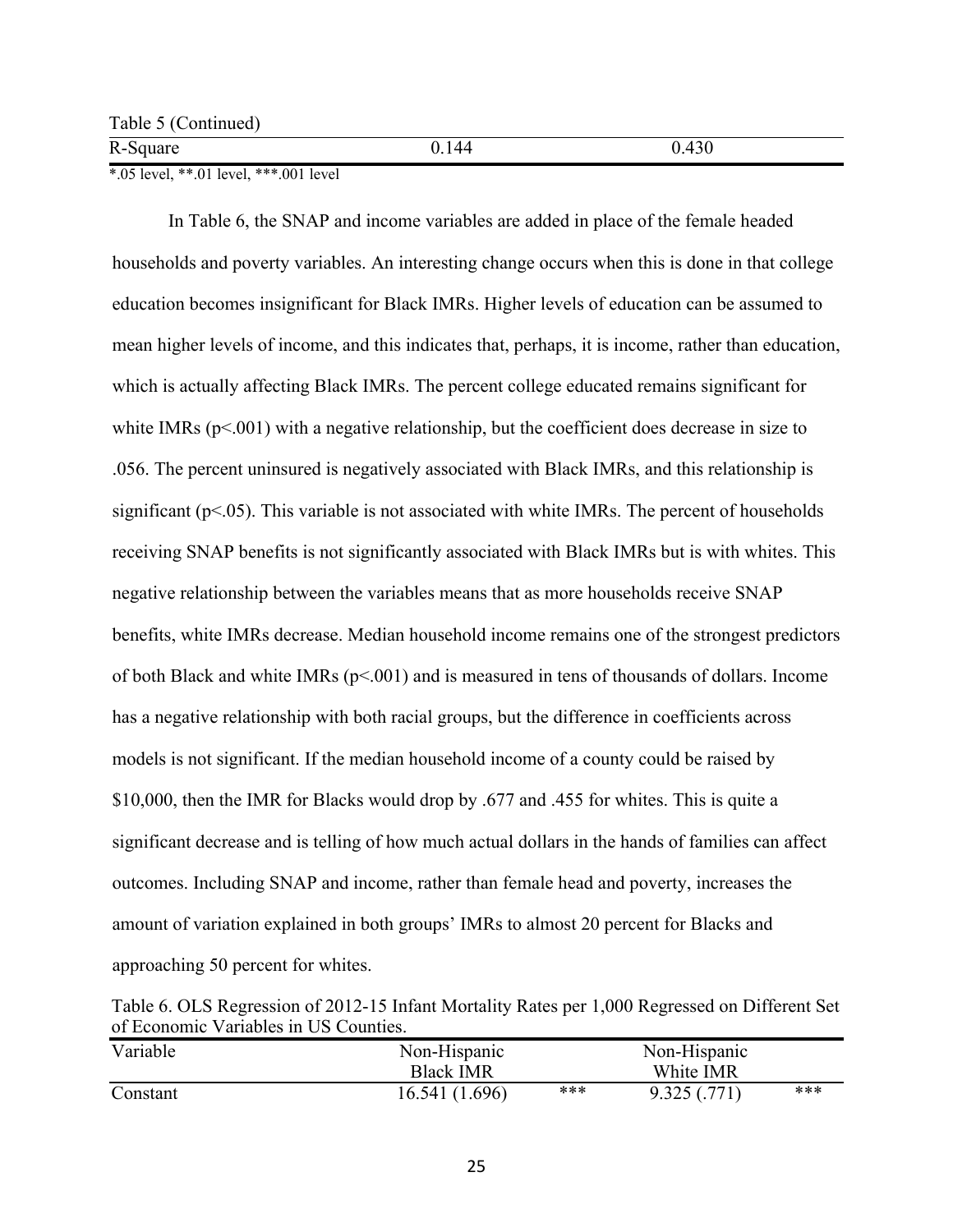R-Square 0.144 0.430

\*.05 level, \*\*.01 level, \*\*\*.001 level

In Table 6, the SNAP and income variables are added in place of the female headed households and poverty variables. An interesting change occurs when this is done in that college education becomes insignificant for Black IMRs. Higher levels of education can be assumed to mean higher levels of income, and this indicates that, perhaps, it is income, rather than education, which is actually affecting Black IMRs. The percent college educated remains significant for white IMRs  $(p<.001)$  with a negative relationship, but the coefficient does decrease in size to .056. The percent uninsured is negatively associated with Black IMRs, and this relationship is significant ( $p$ <.05). This variable is not associated with white IMRs. The percent of households receiving SNAP benefits is not significantly associated with Black IMRs but is with whites. This negative relationship between the variables means that as more households receive SNAP benefits, white IMRs decrease. Median household income remains one of the strongest predictors of both Black and white IMRs (p<.001) and is measured in tens of thousands of dollars. Income has a negative relationship with both racial groups, but the difference in coefficients across models is not significant. If the median household income of a county could be raised by \$10,000, then the IMR for Blacks would drop by .677 and .455 for whites. This is quite a significant decrease and is telling of how much actual dollars in the hands of families can affect outcomes. Including SNAP and income, rather than female head and poverty, increases the amount of variation explained in both groups' IMRs to almost 20 percent for Blacks and approaching 50 percent for whites.

Table 6. OLS Regression of 2012-15 Infant Mortality Rates per 1,000 Regressed on Different Set of Economic Variables in US Counties.

| Variable | Non-Hispanic<br><b>Black IMR</b> | Non-Hispanic<br>White IMR |             |     |
|----------|----------------------------------|---------------------------|-------------|-----|
| Constant | 16.541 (1.696)                   | ***                       | 9.325(.771) | *** |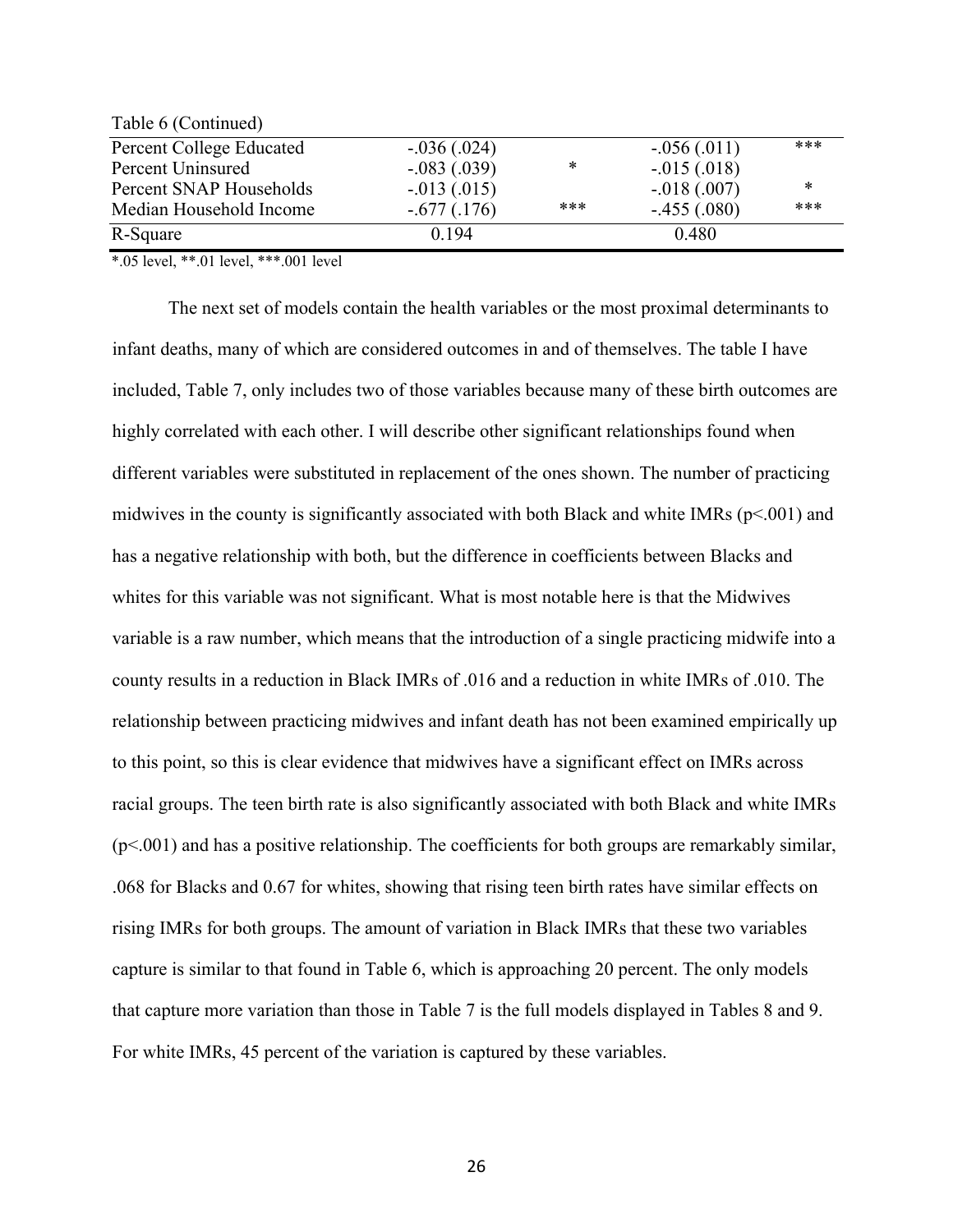| Table 6 (Continued)      |               |     |               |        |
|--------------------------|---------------|-----|---------------|--------|
| Percent College Educated | $-.036(.024)$ |     | $-.056(.011)$ | ***    |
| Percent Uninsured        | $-.083(.039)$ | *   | $-.015(.018)$ |        |
| Percent SNAP Households  | $-.013(.015)$ |     | $-.018(.007)$ | $\ast$ |
| Median Household Income  | $-.677(.176)$ | *** | $-.455(.080)$ | ***    |
| R-Square                 | 0.194         |     | 0.480         |        |

\*.05 level, \*\*.01 level, \*\*\*.001 level

 $T_1$  11  $\zeta$  (C i)  $\zeta$ 

The next set of models contain the health variables or the most proximal determinants to infant deaths, many of which are considered outcomes in and of themselves. The table I have included, Table 7, only includes two of those variables because many of these birth outcomes are highly correlated with each other. I will describe other significant relationships found when different variables were substituted in replacement of the ones shown. The number of practicing midwives in the county is significantly associated with both Black and white IMRs ( $p$ <.001) and has a negative relationship with both, but the difference in coefficients between Blacks and whites for this variable was not significant. What is most notable here is that the Midwives variable is a raw number, which means that the introduction of a single practicing midwife into a county results in a reduction in Black IMRs of .016 and a reduction in white IMRs of .010. The relationship between practicing midwives and infant death has not been examined empirically up to this point, so this is clear evidence that midwives have a significant effect on IMRs across racial groups. The teen birth rate is also significantly associated with both Black and white IMRs  $(p<.001)$  and has a positive relationship. The coefficients for both groups are remarkably similar, .068 for Blacks and 0.67 for whites, showing that rising teen birth rates have similar effects on rising IMRs for both groups. The amount of variation in Black IMRs that these two variables capture is similar to that found in Table 6, which is approaching 20 percent. The only models that capture more variation than those in Table 7 is the full models displayed in Tables 8 and 9. For white IMRs, 45 percent of the variation is captured by these variables.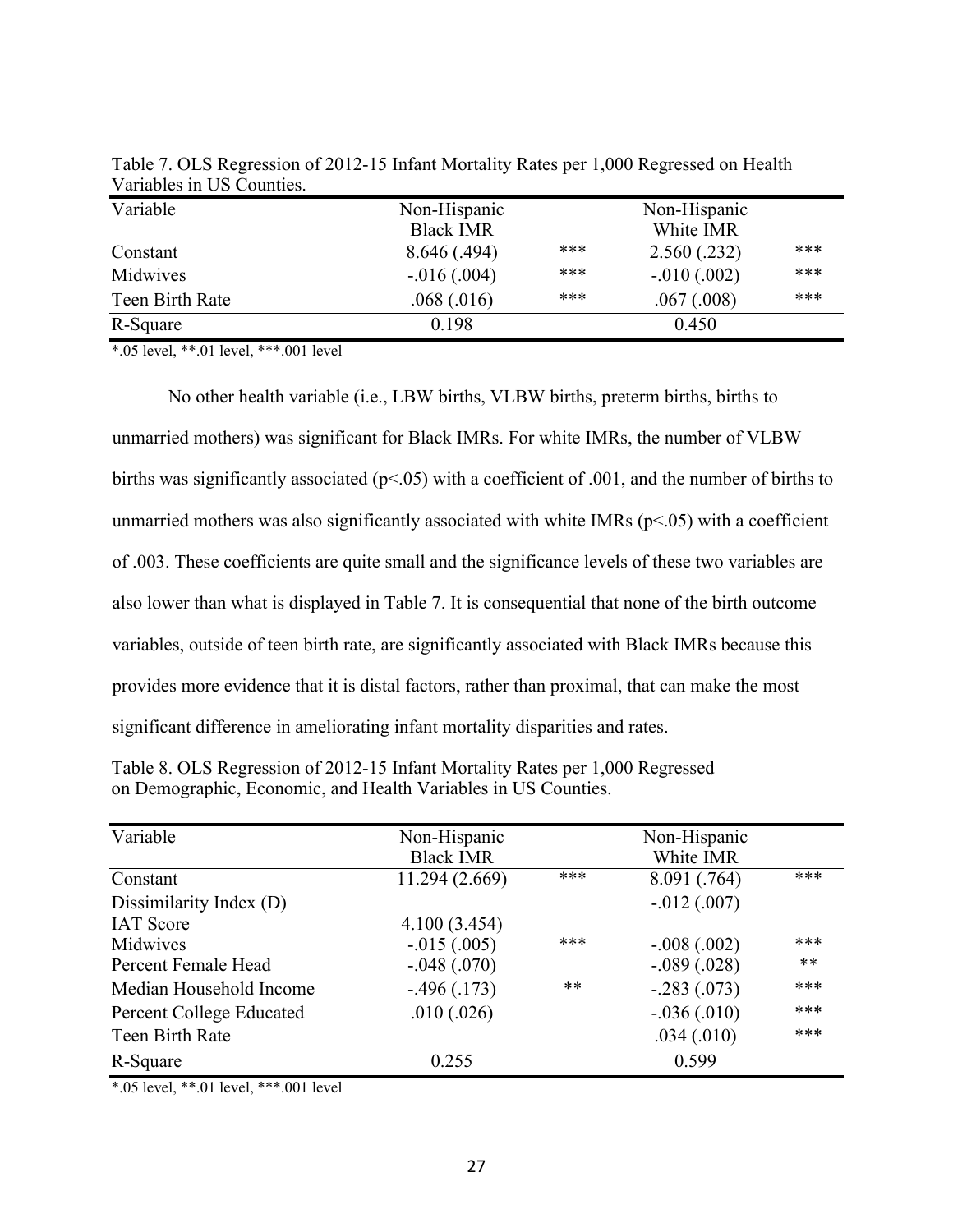| Variable        | Non-Hispanic<br><b>Black IMR</b> |     |               |     |
|-----------------|----------------------------------|-----|---------------|-----|
| Constant        | 8.646(.494)                      | *** | 2.560(.232)   | *** |
| Midwives        | $-0.016(0.004)$                  | *** | $-.010(.002)$ | *** |
| Teen Birth Rate | .068(.016)                       | *** | .067(.008)    | *** |
| R-Square        | 0.198                            |     | 0.450         |     |

Table 7. OLS Regression of 2012-15 Infant Mortality Rates per 1,000 Regressed on Health Variables in US Counties.

\*.05 level, \*\*.01 level, \*\*\*.001 level

No other health variable (i.e., LBW births, VLBW births, preterm births, births to unmarried mothers) was significant for Black IMRs. For white IMRs, the number of VLBW births was significantly associated ( $p$ <.05) with a coefficient of .001, and the number of births to unmarried mothers was also significantly associated with white IMRs ( $p$ <.05) with a coefficient of .003. These coefficients are quite small and the significance levels of these two variables are also lower than what is displayed in Table 7. It is consequential that none of the birth outcome variables, outside of teen birth rate, are significantly associated with Black IMRs because this provides more evidence that it is distal factors, rather than proximal, that can make the most significant difference in ameliorating infant mortality disparities and rates.

| Table 8. OLS Regression of 2012-15 Infant Mortality Rates per 1,000 Regressed |
|-------------------------------------------------------------------------------|
| on Demographic, Economic, and Health Variables in US Counties.                |

| Variable                        | Non-Hispanic     | Non-Hispanic |               |       |  |
|---------------------------------|------------------|--------------|---------------|-------|--|
|                                 | <b>Black IMR</b> |              | White IMR     |       |  |
| Constant                        | 11.294 (2.669)   | ***          | 8.091 (.764)  | ***   |  |
| Dissimilarity Index (D)         |                  |              | $-.012(.007)$ |       |  |
| <b>IAT</b> Score                | 4.100(3.454)     |              |               |       |  |
| Midwives                        | $-.015(.005)$    | ***          | $-.008(.002)$ | ***   |  |
| Percent Female Head             | $-.048(.070)$    |              | $-.089(.028)$ | $***$ |  |
| Median Household Income         | $-.496(.173)$    | $**$         | $-.283(.073)$ | ***   |  |
| <b>Percent College Educated</b> | .010(.026)       |              | $-.036(.010)$ | ***   |  |
| Teen Birth Rate                 |                  |              | .034(.010)    | ***   |  |
| R-Square                        | 0.255            |              | 0.599         |       |  |

\*.05 level, \*\*.01 level, \*\*\*.001 level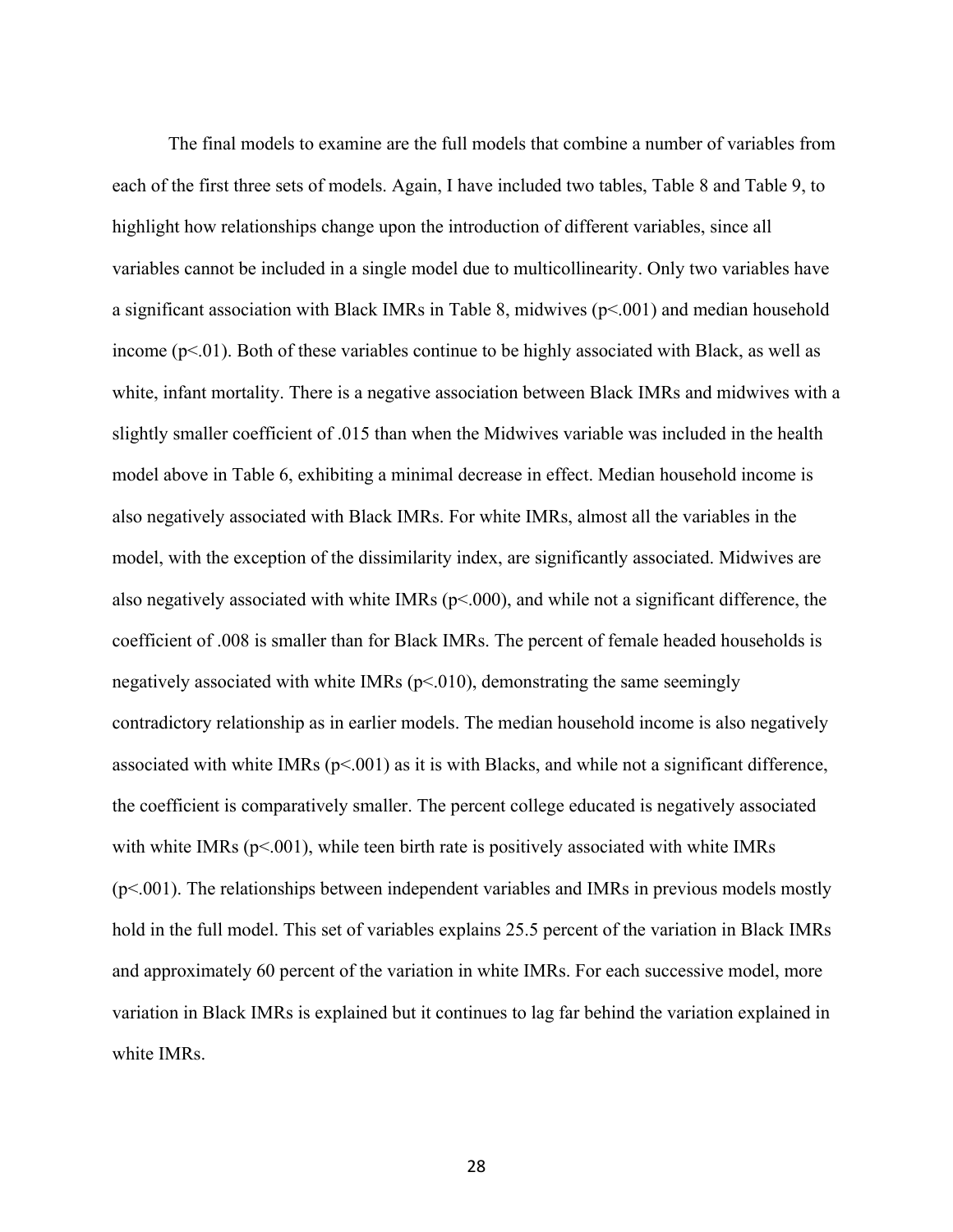The final models to examine are the full models that combine a number of variables from each of the first three sets of models. Again, I have included two tables, Table 8 and Table 9, to highlight how relationships change upon the introduction of different variables, since all variables cannot be included in a single model due to multicollinearity. Only two variables have a significant association with Black IMRs in Table 8, midwives (p<.001) and median household income  $(p<.01)$ . Both of these variables continue to be highly associated with Black, as well as white, infant mortality. There is a negative association between Black IMRs and midwives with a slightly smaller coefficient of .015 than when the Midwives variable was included in the health model above in Table 6, exhibiting a minimal decrease in effect. Median household income is also negatively associated with Black IMRs. For white IMRs, almost all the variables in the model, with the exception of the dissimilarity index, are significantly associated. Midwives are also negatively associated with white IMRs  $(p< 000)$ , and while not a significant difference, the coefficient of .008 is smaller than for Black IMRs. The percent of female headed households is negatively associated with white IMRs ( $p<010$ ), demonstrating the same seemingly contradictory relationship as in earlier models. The median household income is also negatively associated with white IMRs ( $p<0.001$ ) as it is with Blacks, and while not a significant difference, the coefficient is comparatively smaller. The percent college educated is negatively associated with white IMRs  $(p< 0.001)$ , while teen birth rate is positively associated with white IMRs (p<.001). The relationships between independent variables and IMRs in previous models mostly hold in the full model. This set of variables explains 25.5 percent of the variation in Black IMRs and approximately 60 percent of the variation in white IMRs. For each successive model, more variation in Black IMRs is explained but it continues to lag far behind the variation explained in white IMRs.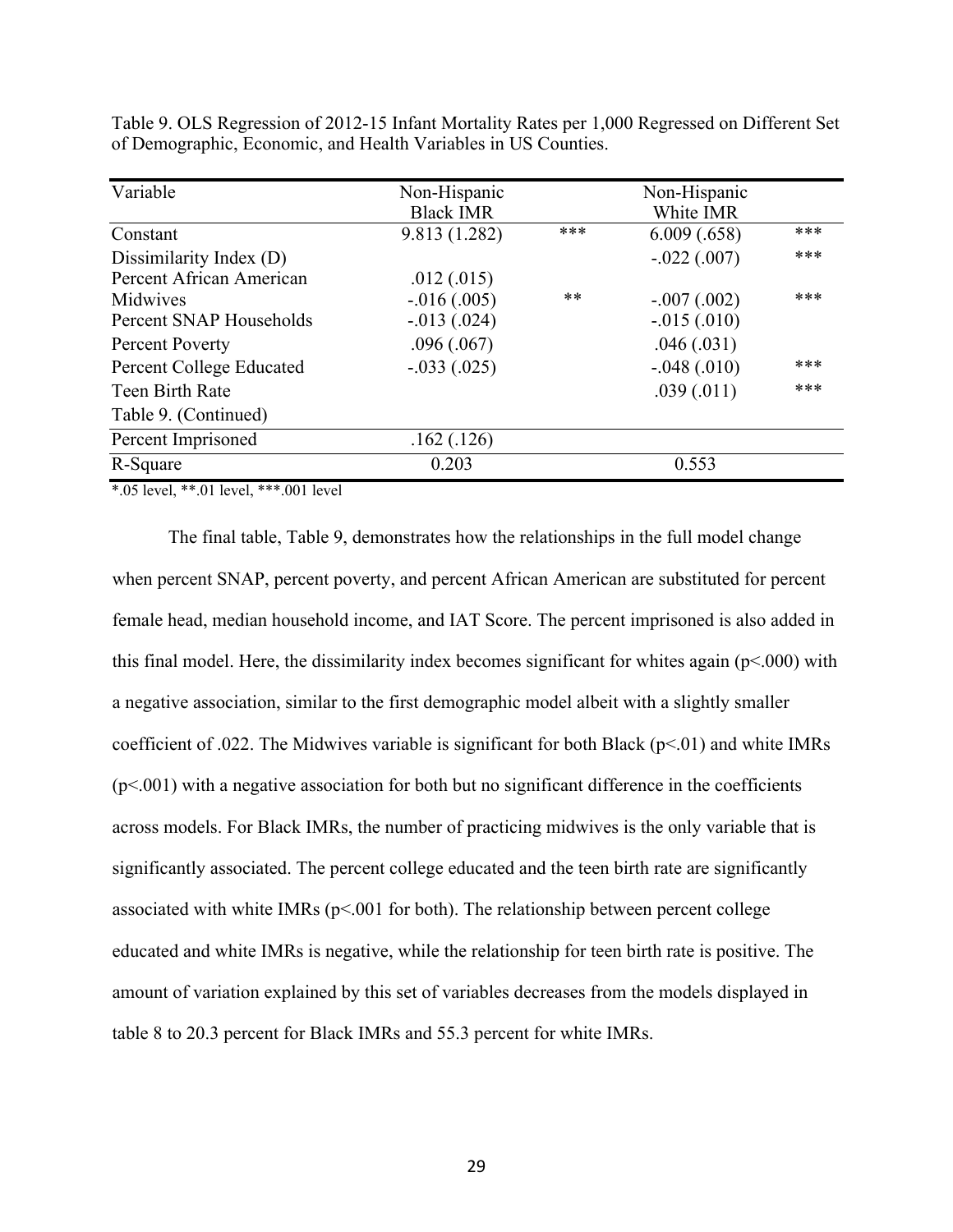| Variable                        | Non-Hispanic     |               | Non-Hispanic  |     |
|---------------------------------|------------------|---------------|---------------|-----|
|                                 | <b>Black IMR</b> |               | White IMR     |     |
| Constant                        | 9.813 (1.282)    | ***           | 6.009(.658)   | *** |
| Dissimilarity Index (D)         |                  |               | $-.022(.007)$ | *** |
| Percent African American        | .012(.015)       |               |               |     |
| Midwives                        | $-.016(.005)$    | $**$          | $-.007(.002)$ | *** |
| Percent SNAP Households         | $-.013(.024)$    |               | $-.015(.010)$ |     |
| <b>Percent Poverty</b>          | .096(.067)       | .046(.031)    |               |     |
| <b>Percent College Educated</b> | $-.033(.025)$    | $-.048(.010)$ |               | *** |
| Teen Birth Rate                 |                  |               | .039(.011)    | *** |
| Table 9. (Continued)            |                  |               |               |     |
| Percent Imprisoned              | .162(.126)       |               |               |     |
| R-Square                        | 0.203            |               | 0.553         |     |

Table 9. OLS Regression of 2012-15 Infant Mortality Rates per 1,000 Regressed on Different Set of Demographic, Economic, and Health Variables in US Counties.

\*.05 level, \*\*.01 level, \*\*\*.001 level

The final table, Table 9, demonstrates how the relationships in the full model change when percent SNAP, percent poverty, and percent African American are substituted for percent female head, median household income, and IAT Score. The percent imprisoned is also added in this final model. Here, the dissimilarity index becomes significant for whites again ( $p<.000$ ) with a negative association, similar to the first demographic model albeit with a slightly smaller coefficient of .022. The Midwives variable is significant for both Black ( $p<01$ ) and white IMRs  $(p<.001)$  with a negative association for both but no significant difference in the coefficients across models. For Black IMRs, the number of practicing midwives is the only variable that is significantly associated. The percent college educated and the teen birth rate are significantly associated with white IMRs ( $p<001$  for both). The relationship between percent college educated and white IMRs is negative, while the relationship for teen birth rate is positive. The amount of variation explained by this set of variables decreases from the models displayed in table 8 to 20.3 percent for Black IMRs and 55.3 percent for white IMRs.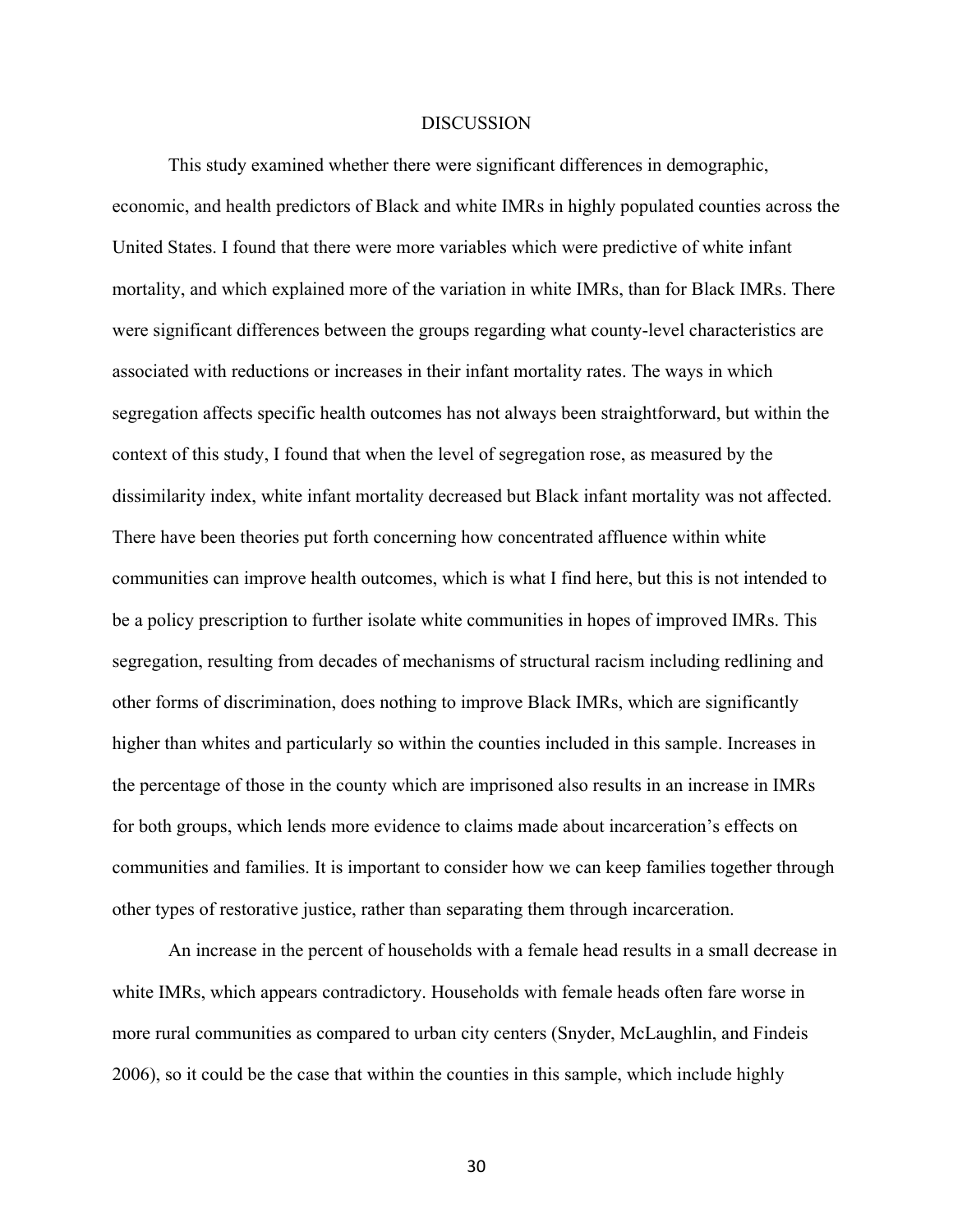#### **DISCUSSION**

This study examined whether there were significant differences in demographic, economic, and health predictors of Black and white IMRs in highly populated counties across the United States. I found that there were more variables which were predictive of white infant mortality, and which explained more of the variation in white IMRs, than for Black IMRs. There were significant differences between the groups regarding what county-level characteristics are associated with reductions or increases in their infant mortality rates. The ways in which segregation affects specific health outcomes has not always been straightforward, but within the context of this study, I found that when the level of segregation rose, as measured by the dissimilarity index, white infant mortality decreased but Black infant mortality was not affected. There have been theories put forth concerning how concentrated affluence within white communities can improve health outcomes, which is what I find here, but this is not intended to be a policy prescription to further isolate white communities in hopes of improved IMRs. This segregation, resulting from decades of mechanisms of structural racism including redlining and other forms of discrimination, does nothing to improve Black IMRs, which are significantly higher than whites and particularly so within the counties included in this sample. Increases in the percentage of those in the county which are imprisoned also results in an increase in IMRs for both groups, which lends more evidence to claims made about incarceration's effects on communities and families. It is important to consider how we can keep families together through other types of restorative justice, rather than separating them through incarceration.

An increase in the percent of households with a female head results in a small decrease in white IMRs, which appears contradictory. Households with female heads often fare worse in more rural communities as compared to urban city centers (Snyder, McLaughlin, and Findeis 2006), so it could be the case that within the counties in this sample, which include highly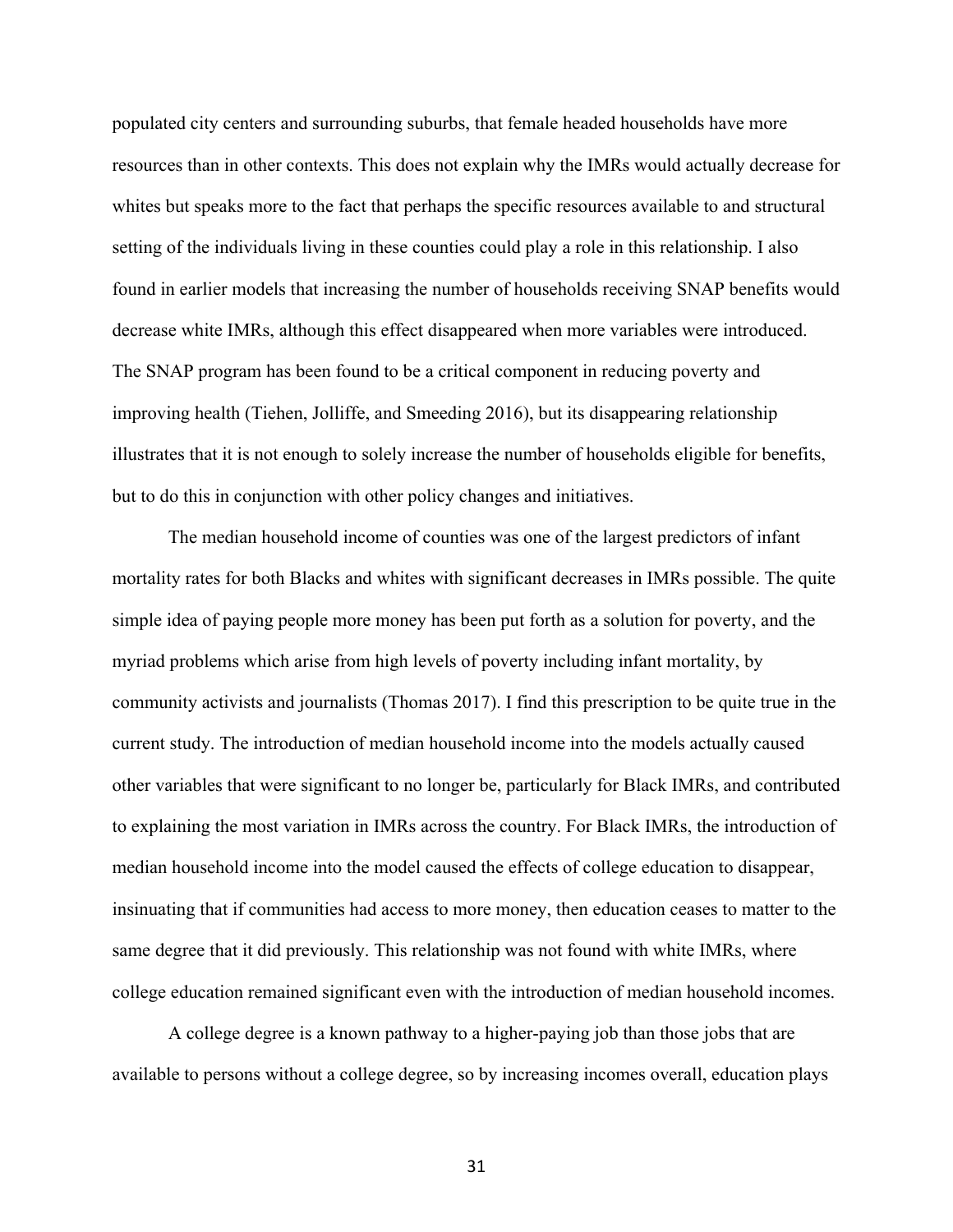populated city centers and surrounding suburbs, that female headed households have more resources than in other contexts. This does not explain why the IMRs would actually decrease for whites but speaks more to the fact that perhaps the specific resources available to and structural setting of the individuals living in these counties could play a role in this relationship. I also found in earlier models that increasing the number of households receiving SNAP benefits would decrease white IMRs, although this effect disappeared when more variables were introduced. The SNAP program has been found to be a critical component in reducing poverty and improving health (Tiehen, Jolliffe, and Smeeding 2016), but its disappearing relationship illustrates that it is not enough to solely increase the number of households eligible for benefits, but to do this in conjunction with other policy changes and initiatives.

The median household income of counties was one of the largest predictors of infant mortality rates for both Blacks and whites with significant decreases in IMRs possible. The quite simple idea of paying people more money has been put forth as a solution for poverty, and the myriad problems which arise from high levels of poverty including infant mortality, by community activists and journalists (Thomas 2017). I find this prescription to be quite true in the current study. The introduction of median household income into the models actually caused other variables that were significant to no longer be, particularly for Black IMRs, and contributed to explaining the most variation in IMRs across the country. For Black IMRs, the introduction of median household income into the model caused the effects of college education to disappear, insinuating that if communities had access to more money, then education ceases to matter to the same degree that it did previously. This relationship was not found with white IMRs, where college education remained significant even with the introduction of median household incomes.

A college degree is a known pathway to a higher-paying job than those jobs that are available to persons without a college degree, so by increasing incomes overall, education plays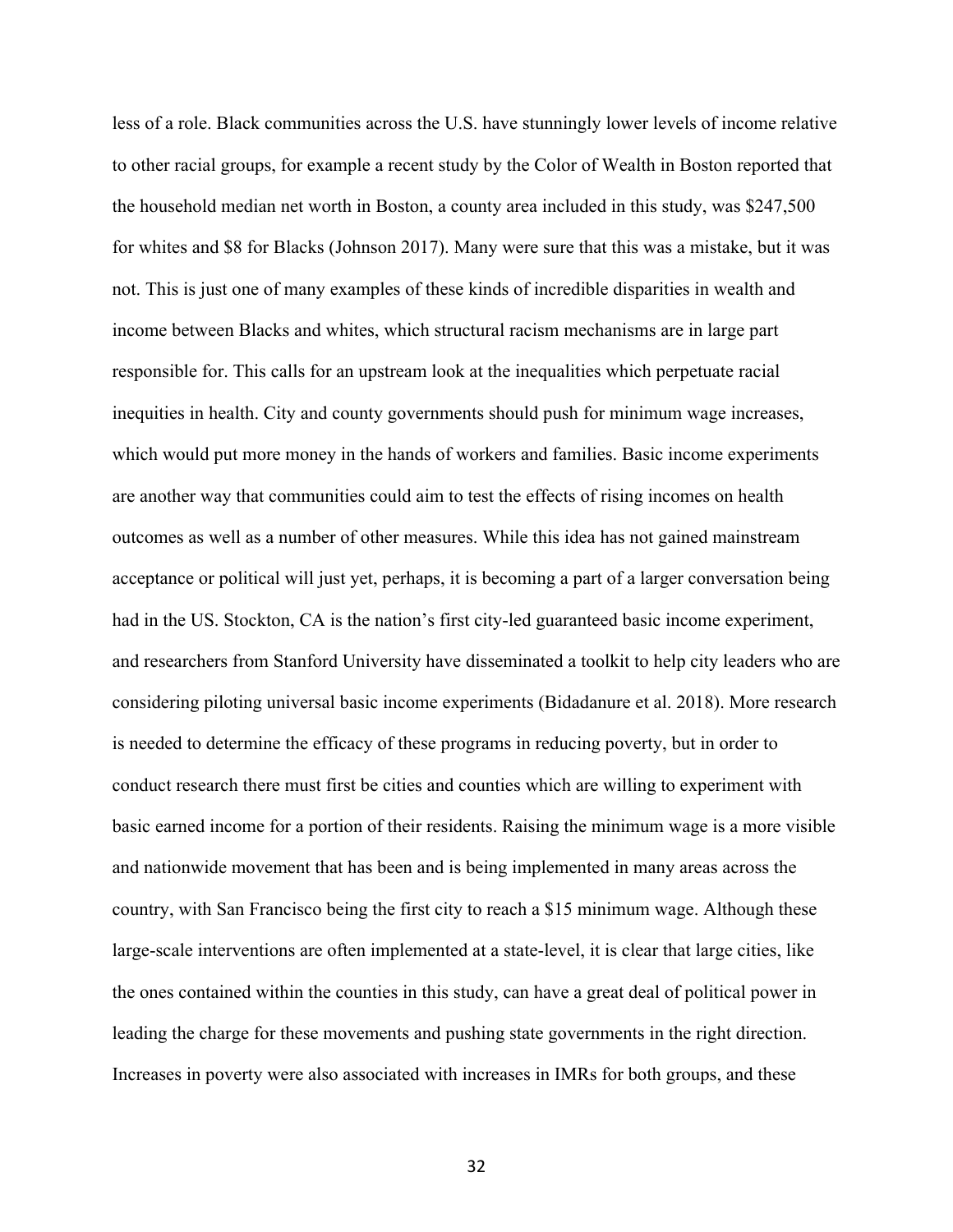less of a role. Black communities across the U.S. have stunningly lower levels of income relative to other racial groups, for example a recent study by the Color of Wealth in Boston reported that the household median net worth in Boston, a county area included in this study, was \$247,500 for whites and \$8 for Blacks (Johnson 2017). Many were sure that this was a mistake, but it was not. This is just one of many examples of these kinds of incredible disparities in wealth and income between Blacks and whites, which structural racism mechanisms are in large part responsible for. This calls for an upstream look at the inequalities which perpetuate racial inequities in health. City and county governments should push for minimum wage increases, which would put more money in the hands of workers and families. Basic income experiments are another way that communities could aim to test the effects of rising incomes on health outcomes as well as a number of other measures. While this idea has not gained mainstream acceptance or political will just yet, perhaps, it is becoming a part of a larger conversation being had in the US. Stockton, CA is the nation's first city-led guaranteed basic income experiment, and researchers from Stanford University have disseminated a toolkit to help city leaders who are considering piloting universal basic income experiments (Bidadanure et al. 2018). More research is needed to determine the efficacy of these programs in reducing poverty, but in order to conduct research there must first be cities and counties which are willing to experiment with basic earned income for a portion of their residents. Raising the minimum wage is a more visible and nationwide movement that has been and is being implemented in many areas across the country, with San Francisco being the first city to reach a \$15 minimum wage. Although these large-scale interventions are often implemented at a state-level, it is clear that large cities, like the ones contained within the counties in this study, can have a great deal of political power in leading the charge for these movements and pushing state governments in the right direction. Increases in poverty were also associated with increases in IMRs for both groups, and these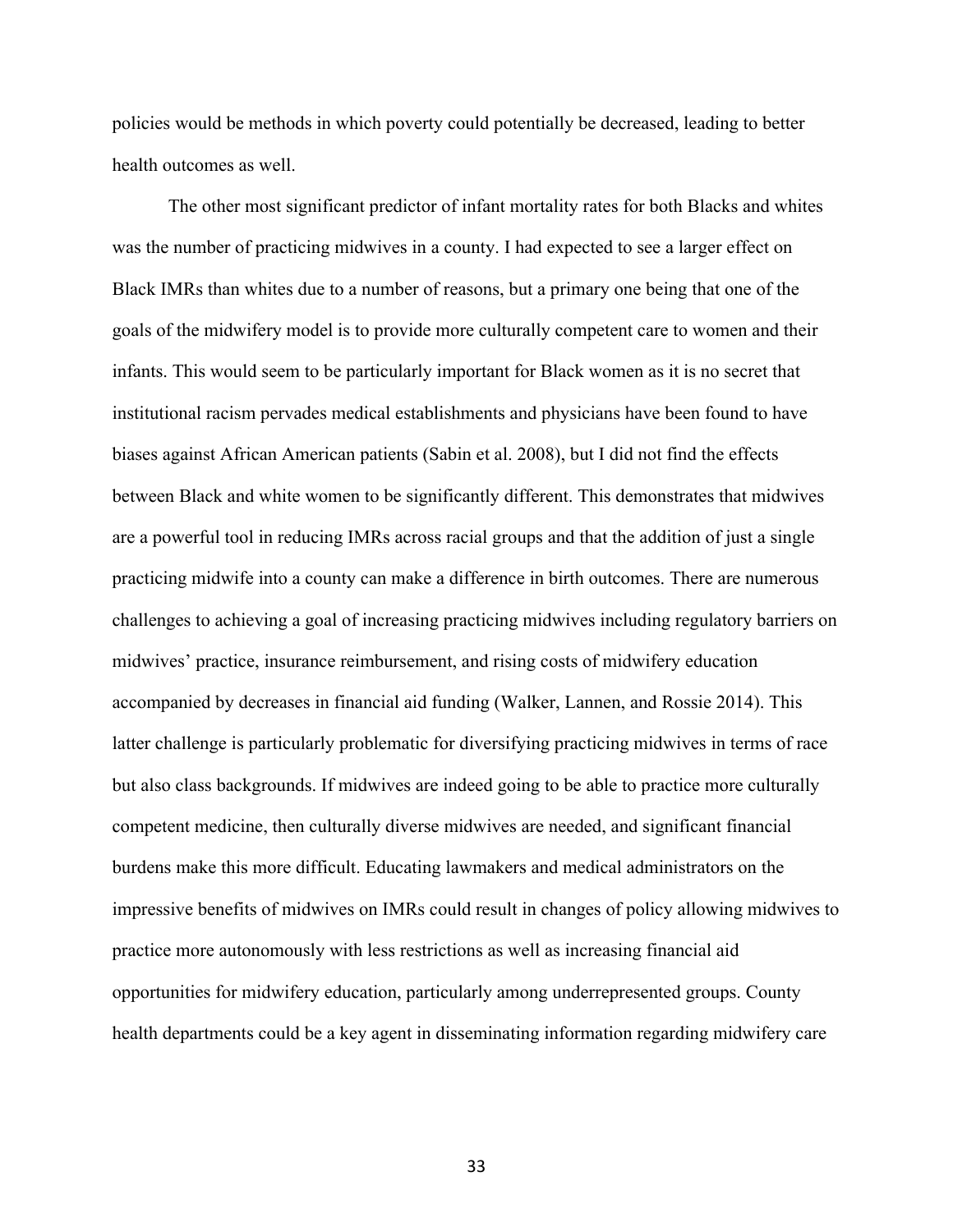policies would be methods in which poverty could potentially be decreased, leading to better health outcomes as well.

The other most significant predictor of infant mortality rates for both Blacks and whites was the number of practicing midwives in a county. I had expected to see a larger effect on Black IMRs than whites due to a number of reasons, but a primary one being that one of the goals of the midwifery model is to provide more culturally competent care to women and their infants. This would seem to be particularly important for Black women as it is no secret that institutional racism pervades medical establishments and physicians have been found to have biases against African American patients (Sabin et al. 2008), but I did not find the effects between Black and white women to be significantly different. This demonstrates that midwives are a powerful tool in reducing IMRs across racial groups and that the addition of just a single practicing midwife into a county can make a difference in birth outcomes. There are numerous challenges to achieving a goal of increasing practicing midwives including regulatory barriers on midwives' practice, insurance reimbursement, and rising costs of midwifery education accompanied by decreases in financial aid funding (Walker, Lannen, and Rossie 2014). This latter challenge is particularly problematic for diversifying practicing midwives in terms of race but also class backgrounds. If midwives are indeed going to be able to practice more culturally competent medicine, then culturally diverse midwives are needed, and significant financial burdens make this more difficult. Educating lawmakers and medical administrators on the impressive benefits of midwives on IMRs could result in changes of policy allowing midwives to practice more autonomously with less restrictions as well as increasing financial aid opportunities for midwifery education, particularly among underrepresented groups. County health departments could be a key agent in disseminating information regarding midwifery care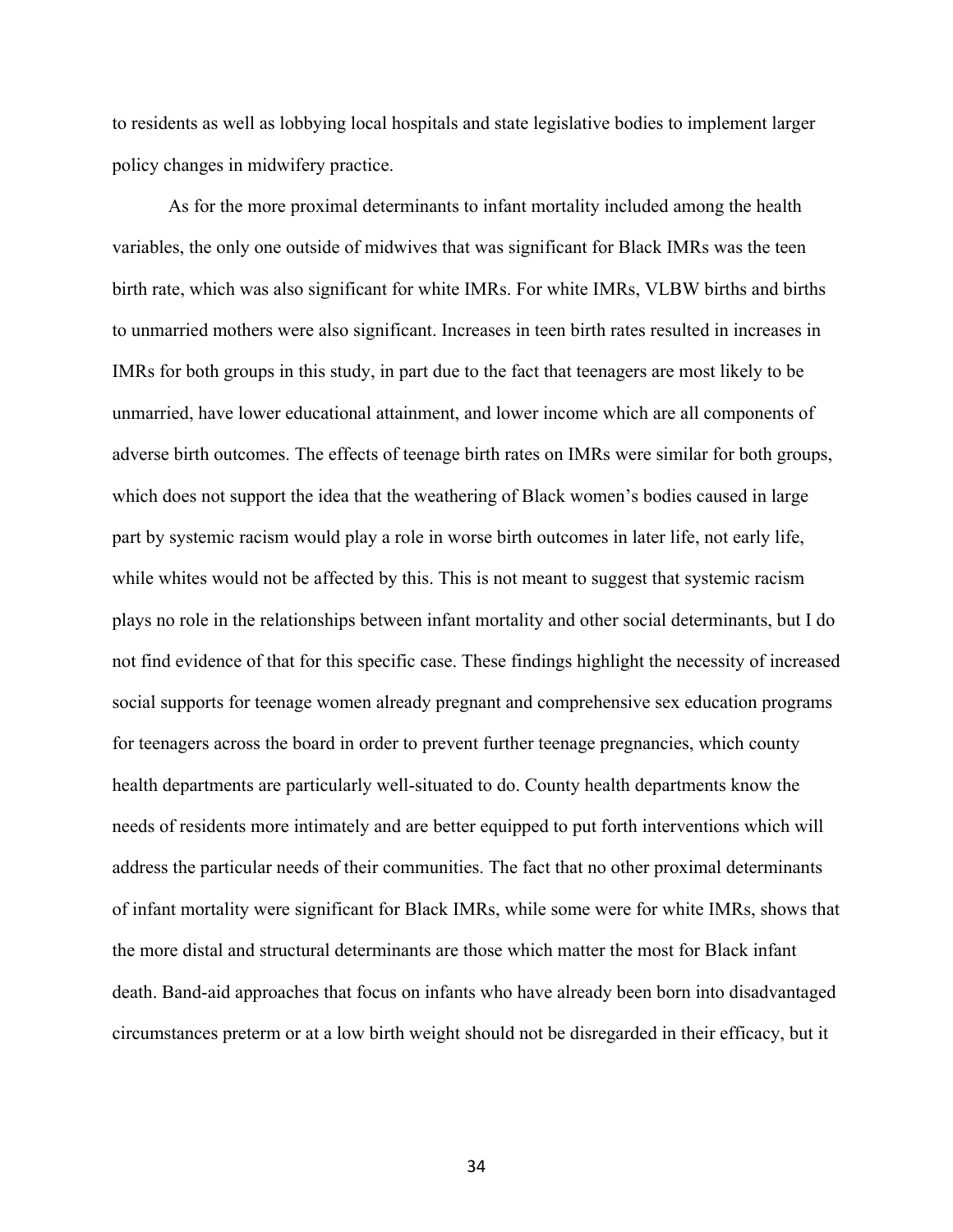to residents as well as lobbying local hospitals and state legislative bodies to implement larger policy changes in midwifery practice.

As for the more proximal determinants to infant mortality included among the health variables, the only one outside of midwives that was significant for Black IMRs was the teen birth rate, which was also significant for white IMRs. For white IMRs, VLBW births and births to unmarried mothers were also significant. Increases in teen birth rates resulted in increases in IMRs for both groups in this study, in part due to the fact that teenagers are most likely to be unmarried, have lower educational attainment, and lower income which are all components of adverse birth outcomes. The effects of teenage birth rates on IMRs were similar for both groups, which does not support the idea that the weathering of Black women's bodies caused in large part by systemic racism would play a role in worse birth outcomes in later life, not early life, while whites would not be affected by this. This is not meant to suggest that systemic racism plays no role in the relationships between infant mortality and other social determinants, but I do not find evidence of that for this specific case. These findings highlight the necessity of increased social supports for teenage women already pregnant and comprehensive sex education programs for teenagers across the board in order to prevent further teenage pregnancies, which county health departments are particularly well-situated to do. County health departments know the needs of residents more intimately and are better equipped to put forth interventions which will address the particular needs of their communities. The fact that no other proximal determinants of infant mortality were significant for Black IMRs, while some were for white IMRs, shows that the more distal and structural determinants are those which matter the most for Black infant death. Band-aid approaches that focus on infants who have already been born into disadvantaged circumstances preterm or at a low birth weight should not be disregarded in their efficacy, but it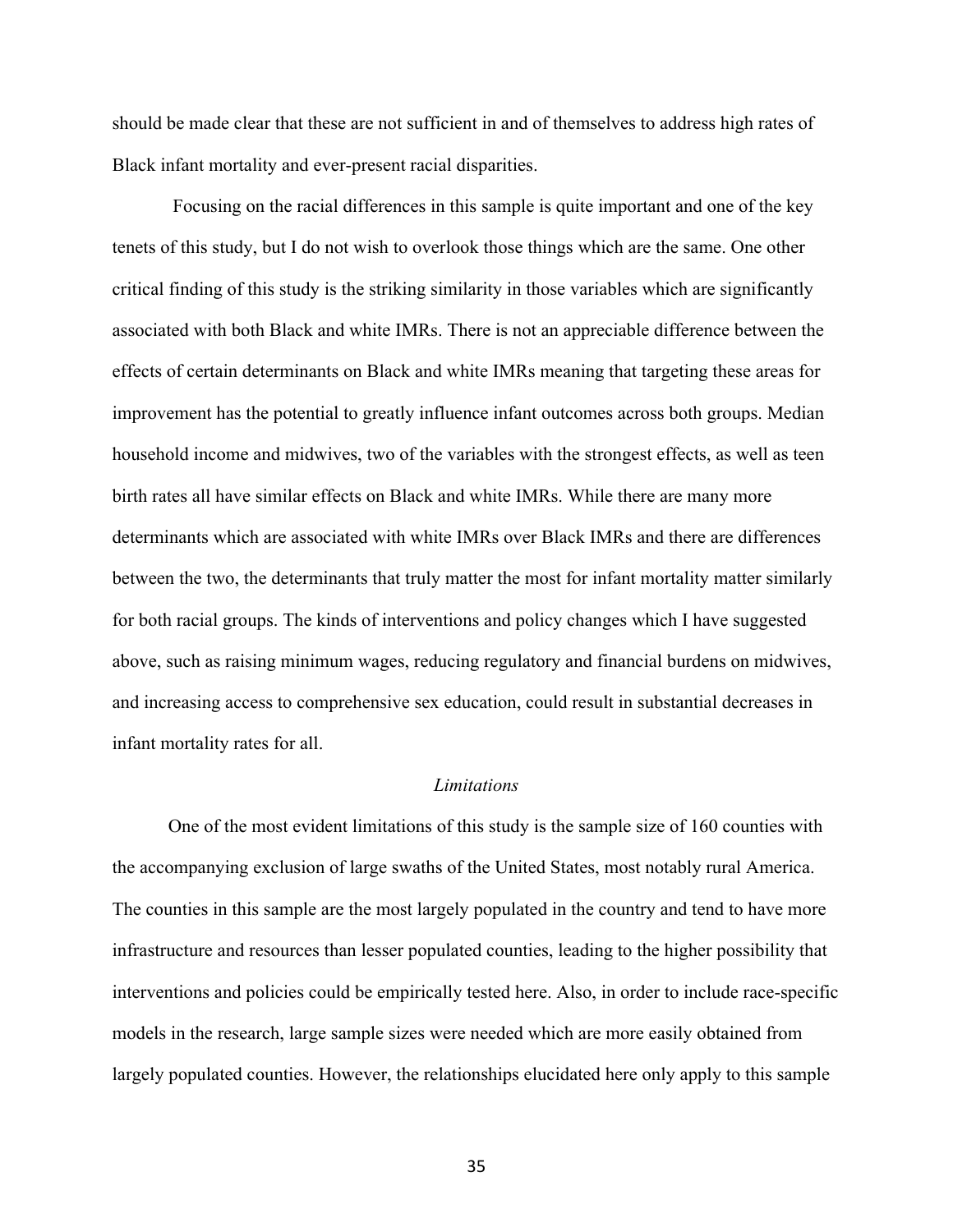should be made clear that these are not sufficient in and of themselves to address high rates of Black infant mortality and ever-present racial disparities.

Focusing on the racial differences in this sample is quite important and one of the key tenets of this study, but I do not wish to overlook those things which are the same. One other critical finding of this study is the striking similarity in those variables which are significantly associated with both Black and white IMRs. There is not an appreciable difference between the effects of certain determinants on Black and white IMRs meaning that targeting these areas for improvement has the potential to greatly influence infant outcomes across both groups. Median household income and midwives, two of the variables with the strongest effects, as well as teen birth rates all have similar effects on Black and white IMRs. While there are many more determinants which are associated with white IMRs over Black IMRs and there are differences between the two, the determinants that truly matter the most for infant mortality matter similarly for both racial groups. The kinds of interventions and policy changes which I have suggested above, such as raising minimum wages, reducing regulatory and financial burdens on midwives, and increasing access to comprehensive sex education, could result in substantial decreases in infant mortality rates for all.

#### *Limitations*

One of the most evident limitations of this study is the sample size of 160 counties with the accompanying exclusion of large swaths of the United States, most notably rural America. The counties in this sample are the most largely populated in the country and tend to have more infrastructure and resources than lesser populated counties, leading to the higher possibility that interventions and policies could be empirically tested here. Also, in order to include race-specific models in the research, large sample sizes were needed which are more easily obtained from largely populated counties. However, the relationships elucidated here only apply to this sample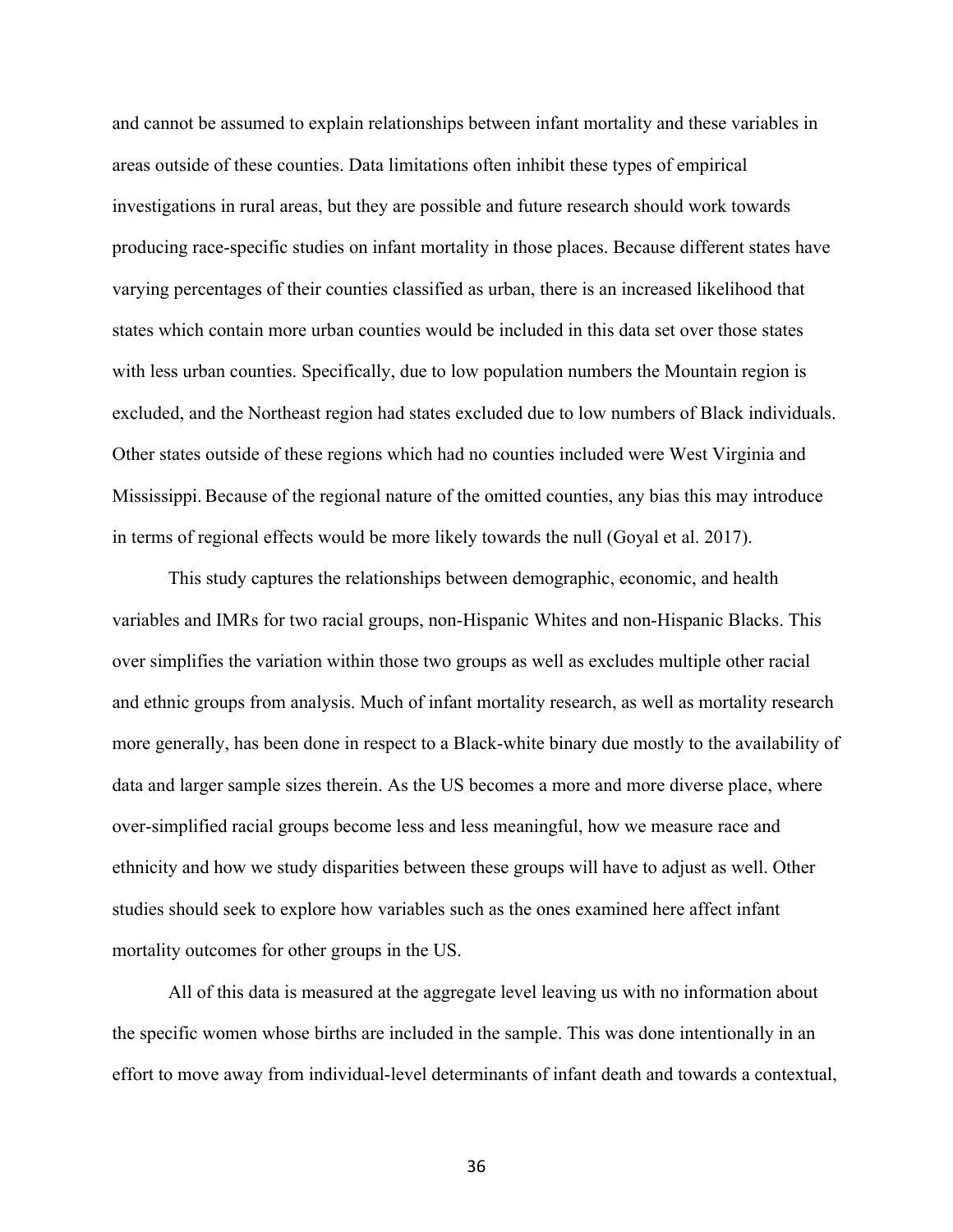and cannot be assumed to explain relationships between infant mortality and these variables in areas outside of these counties. Data limitations often inhibit these types of empirical investigations in rural areas, but they are possible and future research should work towards producing race-specific studies on infant mortality in those places. Because different states have varying percentages of their counties classified as urban, there is an increased likelihood that states which contain more urban counties would be included in this data set over those states with less urban counties. Specifically, due to low population numbers the Mountain region is excluded, and the Northeast region had states excluded due to low numbers of Black individuals. Other states outside of these regions which had no counties included were West Virginia and Mississippi.Because of the regional nature of the omitted counties, any bias this may introduce in terms of regional effects would be more likely towards the null (Goyal et al. 2017).

This study captures the relationships between demographic, economic, and health variables and IMRs for two racial groups, non-Hispanic Whites and non-Hispanic Blacks. This over simplifies the variation within those two groups as well as excludes multiple other racial and ethnic groups from analysis. Much of infant mortality research, as well as mortality research more generally, has been done in respect to a Black-white binary due mostly to the availability of data and larger sample sizes therein. As the US becomes a more and more diverse place, where over-simplified racial groups become less and less meaningful, how we measure race and ethnicity and how we study disparities between these groups will have to adjust as well. Other studies should seek to explore how variables such as the ones examined here affect infant mortality outcomes for other groups in the US.

All of this data is measured at the aggregate level leaving us with no information about the specific women whose births are included in the sample. This was done intentionally in an effort to move away from individual-level determinants of infant death and towards a contextual,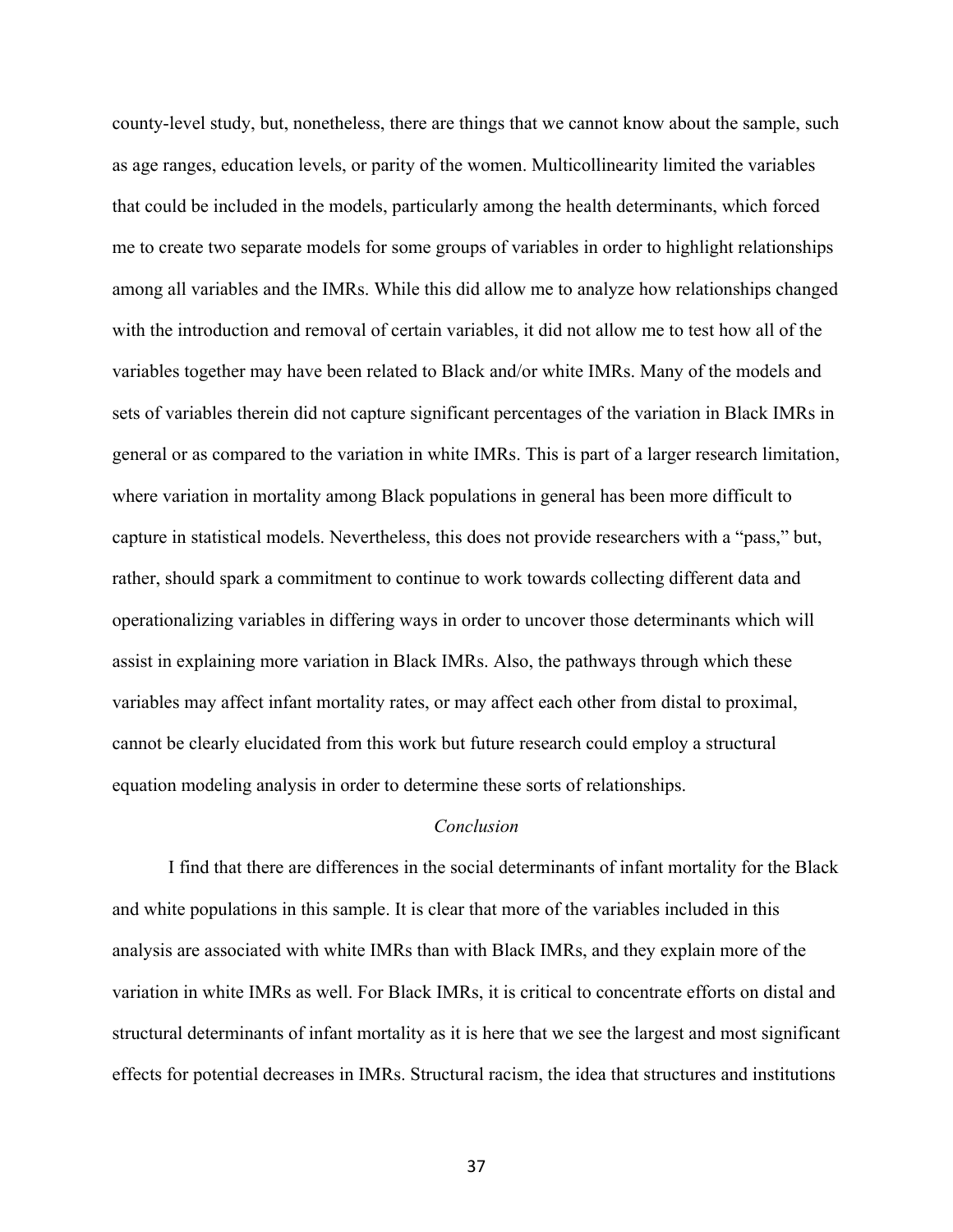county-level study, but, nonetheless, there are things that we cannot know about the sample, such as age ranges, education levels, or parity of the women. Multicollinearity limited the variables that could be included in the models, particularly among the health determinants, which forced me to create two separate models for some groups of variables in order to highlight relationships among all variables and the IMRs. While this did allow me to analyze how relationships changed with the introduction and removal of certain variables, it did not allow me to test how all of the variables together may have been related to Black and/or white IMRs. Many of the models and sets of variables therein did not capture significant percentages of the variation in Black IMRs in general or as compared to the variation in white IMRs. This is part of a larger research limitation, where variation in mortality among Black populations in general has been more difficult to capture in statistical models. Nevertheless, this does not provide researchers with a "pass," but, rather, should spark a commitment to continue to work towards collecting different data and operationalizing variables in differing ways in order to uncover those determinants which will assist in explaining more variation in Black IMRs. Also, the pathways through which these variables may affect infant mortality rates, or may affect each other from distal to proximal, cannot be clearly elucidated from this work but future research could employ a structural equation modeling analysis in order to determine these sorts of relationships.

#### *Conclusion*

I find that there are differences in the social determinants of infant mortality for the Black and white populations in this sample. It is clear that more of the variables included in this analysis are associated with white IMRs than with Black IMRs, and they explain more of the variation in white IMRs as well. For Black IMRs, it is critical to concentrate efforts on distal and structural determinants of infant mortality as it is here that we see the largest and most significant effects for potential decreases in IMRs. Structural racism, the idea that structures and institutions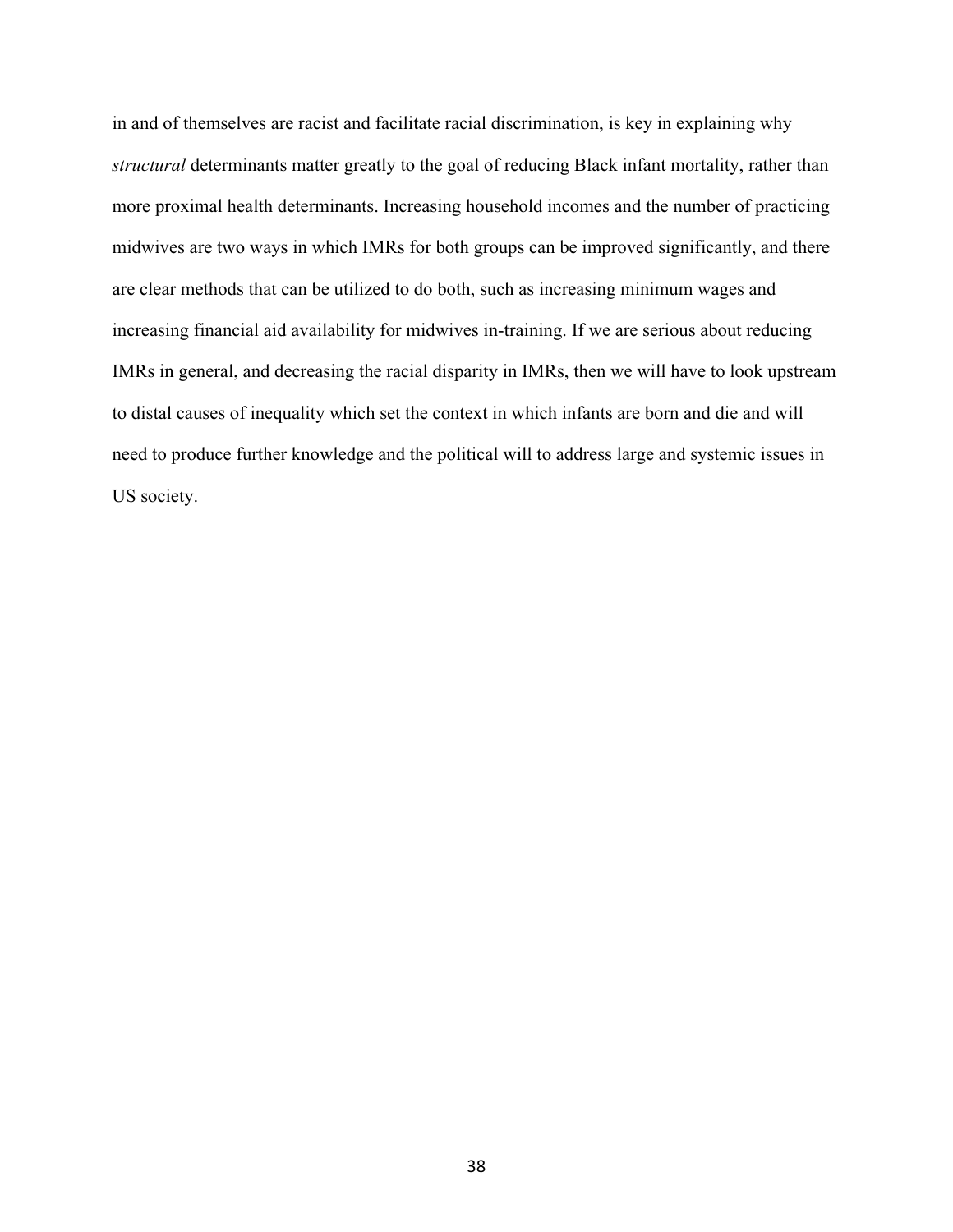in and of themselves are racist and facilitate racial discrimination, is key in explaining why *structural* determinants matter greatly to the goal of reducing Black infant mortality, rather than more proximal health determinants. Increasing household incomes and the number of practicing midwives are two ways in which IMRs for both groups can be improved significantly, and there are clear methods that can be utilized to do both, such as increasing minimum wages and increasing financial aid availability for midwives in-training. If we are serious about reducing IMRs in general, and decreasing the racial disparity in IMRs, then we will have to look upstream to distal causes of inequality which set the context in which infants are born and die and will need to produce further knowledge and the political will to address large and systemic issues in US society.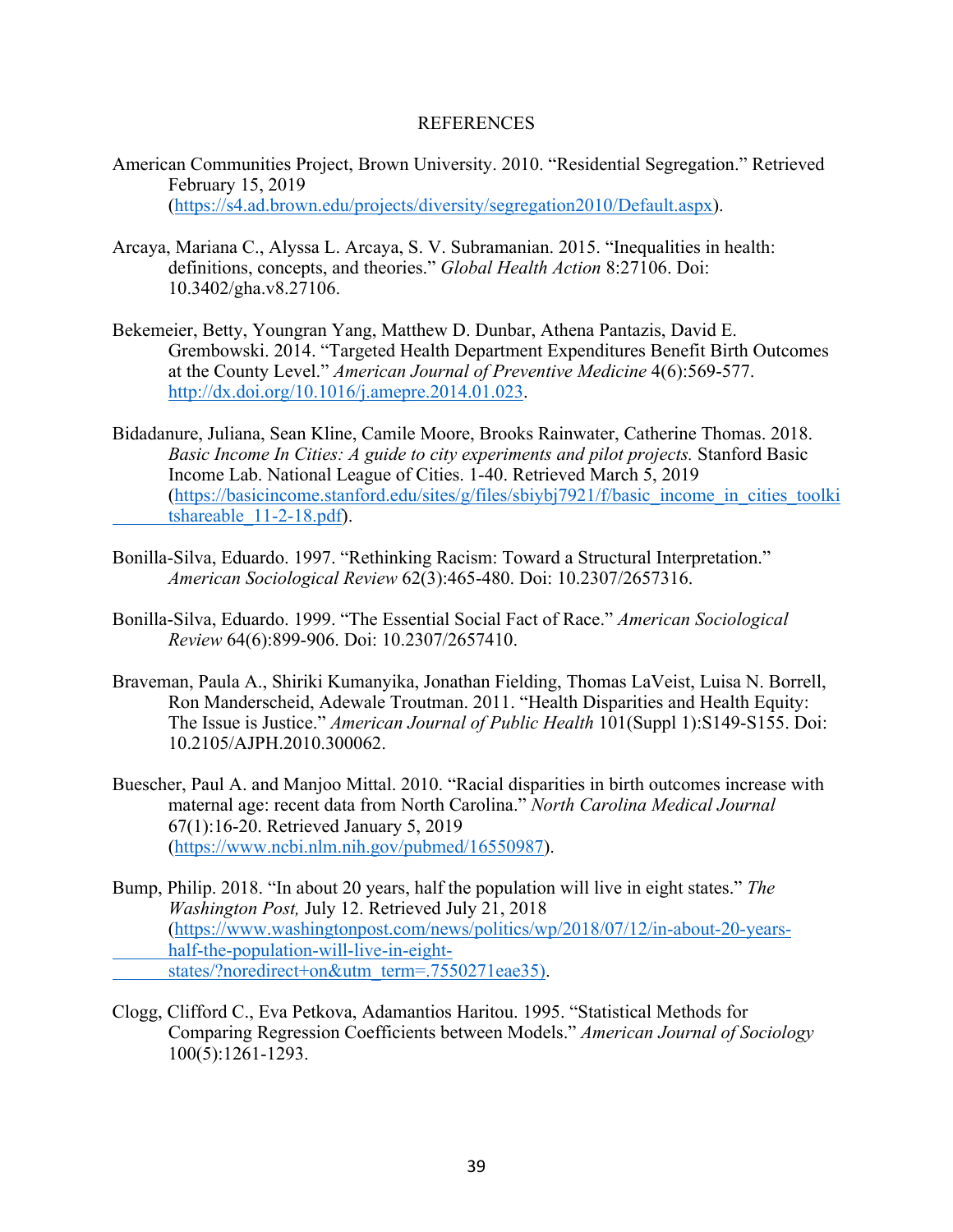#### REFERENCES

- American Communities Project, Brown University. 2010. "Residential Segregation." Retrieved February 15, 2019 (https://s4.ad.brown.edu/projects/diversity/segregation2010/Default.aspx).
- Arcaya, Mariana C., Alyssa L. Arcaya, S. V. Subramanian. 2015. "Inequalities in health: definitions, concepts, and theories." *Global Health Action* 8:27106. Doi: 10.3402/gha.v8.27106.
- Bekemeier, Betty, Youngran Yang, Matthew D. Dunbar, Athena Pantazis, David E. Grembowski. 2014. "Targeted Health Department Expenditures Benefit Birth Outcomes at the County Level." *American Journal of Preventive Medicine* 4(6):569-577. http://dx.doi.org/10.1016/j.amepre.2014.01.023.
- Bidadanure, Juliana, Sean Kline, Camile Moore, Brooks Rainwater, Catherine Thomas. 2018. *Basic Income In Cities: A guide to city experiments and pilot projects.* Stanford Basic Income Lab. National League of Cities. 1-40. Retrieved March 5, 2019 (https://basicincome.stanford.edu/sites/g/files/sbiybj7921/f/basic\_income\_in\_cities\_toolki tshareable\_11-2-18.pdf).
- Bonilla-Silva, Eduardo. 1997. "Rethinking Racism: Toward a Structural Interpretation." *American Sociological Review* 62(3):465-480. Doi: 10.2307/2657316.
- Bonilla-Silva, Eduardo. 1999. "The Essential Social Fact of Race." *American Sociological Review* 64(6):899-906. Doi: 10.2307/2657410.
- Braveman, Paula A., Shiriki Kumanyika, Jonathan Fielding, Thomas LaVeist, Luisa N. Borrell, Ron Manderscheid, Adewale Troutman. 2011. "Health Disparities and Health Equity: The Issue is Justice." *American Journal of Public Health* 101(Suppl 1):S149-S155. Doi: 10.2105/AJPH.2010.300062.
- Buescher, Paul A. and Manjoo Mittal. 2010. "Racial disparities in birth outcomes increase with maternal age: recent data from North Carolina." *North Carolina Medical Journal* 67(1):16-20. Retrieved January 5, 2019 (https://www.ncbi.nlm.nih.gov/pubmed/16550987).
- Bump, Philip. 2018. "In about 20 years, half the population will live in eight states." *The Washington Post,* July 12. Retrieved July 21, 2018 (https://www.washingtonpost.com/news/politics/wp/2018/07/12/in-about-20-yearshalf-the-population-will-live-in-eightstates/?noredirect+on&utm\_term=.7550271eae35).
- Clogg, Clifford C., Eva Petkova, Adamantios Haritou. 1995. "Statistical Methods for Comparing Regression Coefficients between Models." *American Journal of Sociology*  100(5):1261-1293.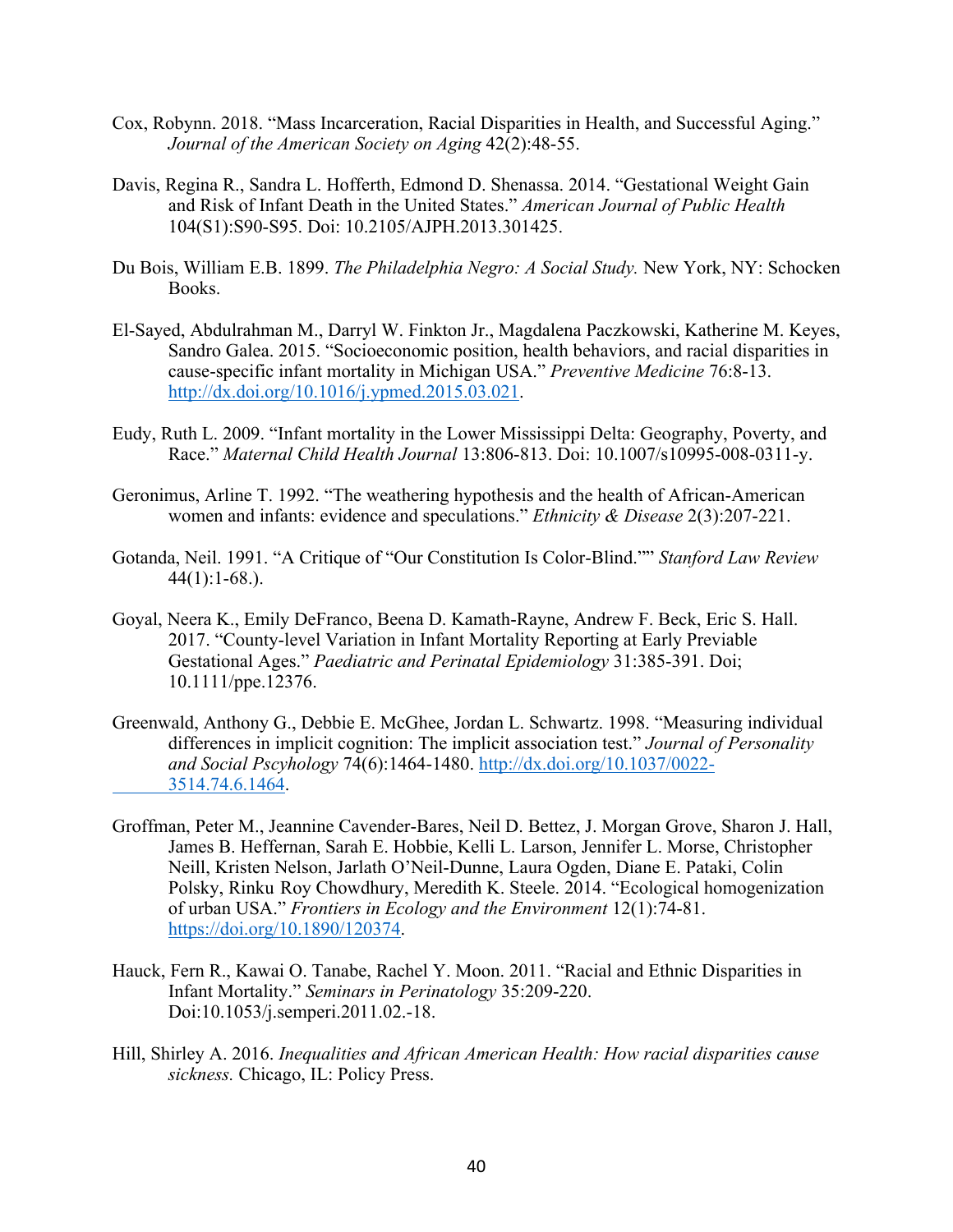- Cox, Robynn. 2018. "Mass Incarceration, Racial Disparities in Health, and Successful Aging." *Journal of the American Society on Aging* 42(2):48-55.
- Davis, Regina R., Sandra L. Hofferth, Edmond D. Shenassa. 2014. "Gestational Weight Gain and Risk of Infant Death in the United States." *American Journal of Public Health*  104(S1):S90-S95. Doi: 10.2105/AJPH.2013.301425.
- Du Bois, William E.B. 1899. *The Philadelphia Negro: A Social Study.* New York, NY: Schocken Books.
- El-Sayed, Abdulrahman M., Darryl W. Finkton Jr., Magdalena Paczkowski, Katherine M. Keyes, Sandro Galea. 2015. "Socioeconomic position, health behaviors, and racial disparities in cause-specific infant mortality in Michigan USA." *Preventive Medicine* 76:8-13. http://dx.doi.org/10.1016/j.ypmed.2015.03.021.
- Eudy, Ruth L. 2009. "Infant mortality in the Lower Mississippi Delta: Geography, Poverty, and Race." *Maternal Child Health Journal* 13:806-813. Doi: 10.1007/s10995-008-0311-y.
- Geronimus, Arline T. 1992. "The weathering hypothesis and the health of African-American women and infants: evidence and speculations." *Ethnicity & Disease* 2(3):207-221.
- Gotanda, Neil. 1991. "A Critique of "Our Constitution Is Color-Blind."" *Stanford Law Review* 44(1):1-68.).
- Goyal, Neera K., Emily DeFranco, Beena D. Kamath-Rayne, Andrew F. Beck, Eric S. Hall. 2017. "County-level Variation in Infant Mortality Reporting at Early Previable Gestational Ages." *Paediatric and Perinatal Epidemiology* 31:385-391. Doi; 10.1111/ppe.12376.
- Greenwald, Anthony G., Debbie E. McGhee, Jordan L. Schwartz. 1998. "Measuring individual differences in implicit cognition: The implicit association test." *Journal of Personality and Social Pscyhology* 74(6):1464-1480. http://dx.doi.org/10.1037/0022- 3514.74.6.1464.
- Groffman, Peter M., Jeannine Cavender-Bares, Neil D. Bettez, J. Morgan Grove, Sharon J. Hall, James B. Heffernan, Sarah E. Hobbie, Kelli L. Larson, Jennifer L. Morse, Christopher Neill, Kristen Nelson, Jarlath O'Neil-Dunne, Laura Ogden, Diane E. Pataki, Colin Polsky, Rinku Roy Chowdhury, Meredith K. Steele. 2014. "Ecological homogenization of urban USA." *Frontiers in Ecology and the Environment* 12(1):74-81. https://doi.org/10.1890/120374.
- Hauck, Fern R., Kawai O. Tanabe, Rachel Y. Moon. 2011. "Racial and Ethnic Disparities in Infant Mortality." *Seminars in Perinatology* 35:209-220. Doi:10.1053/j.semperi.2011.02.-18.
- Hill, Shirley A. 2016. *Inequalities and African American Health: How racial disparities cause sickness.* Chicago, IL: Policy Press.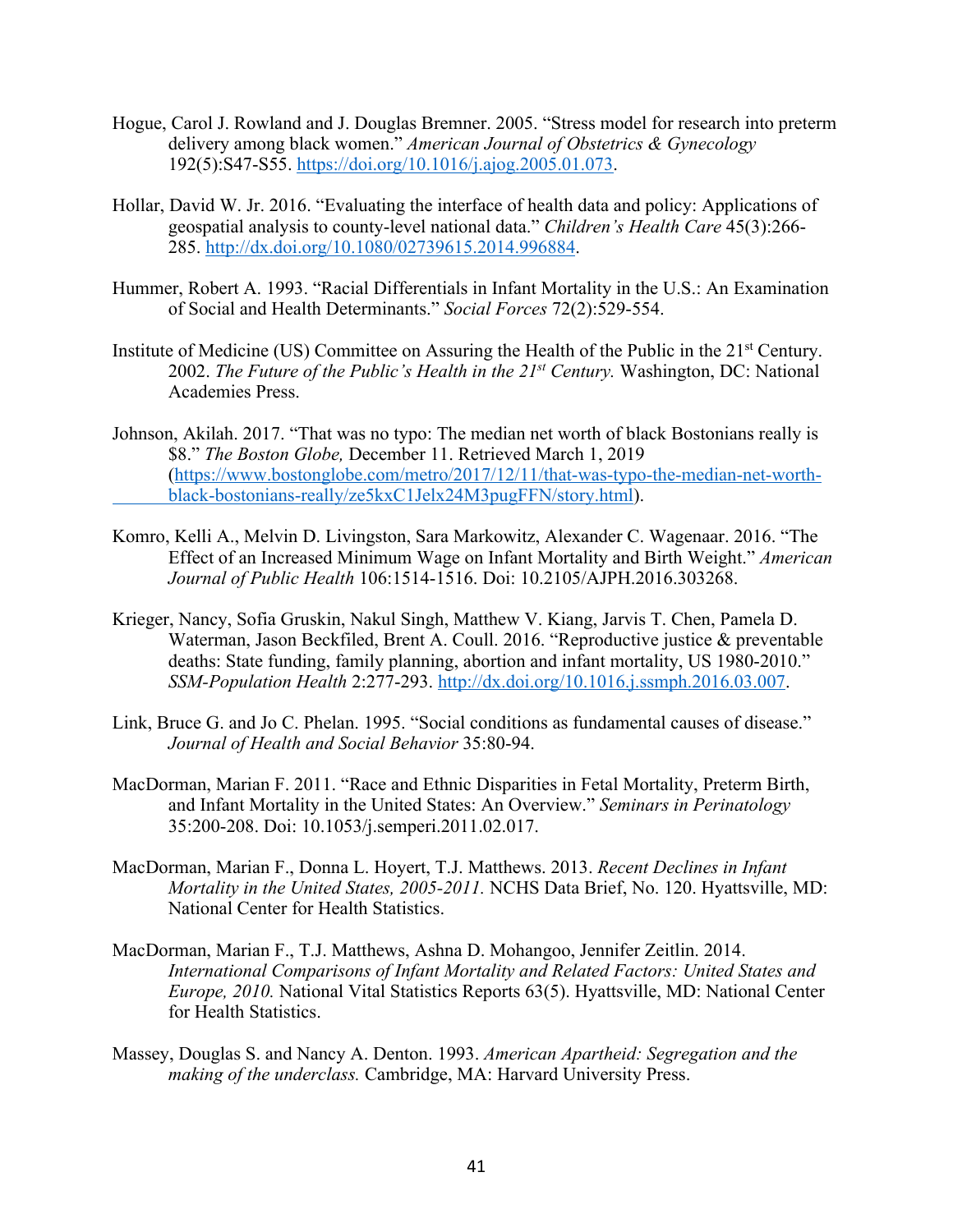- Hogue, Carol J. Rowland and J. Douglas Bremner. 2005. "Stress model for research into preterm delivery among black women." *American Journal of Obstetrics & Gynecology*  192(5):S47-S55. https://doi.org/10.1016/j.ajog.2005.01.073.
- Hollar, David W. Jr. 2016. "Evaluating the interface of health data and policy: Applications of geospatial analysis to county-level national data." *Children's Health Care* 45(3):266- 285. http://dx.doi.org/10.1080/02739615.2014.996884.
- Hummer, Robert A. 1993. "Racial Differentials in Infant Mortality in the U.S.: An Examination of Social and Health Determinants." *Social Forces* 72(2):529-554.
- Institute of Medicine (US) Committee on Assuring the Health of the Public in the 21st Century. 2002. *The Future of the Public's Health in the 21st Century.* Washington, DC: National Academies Press.
- Johnson, Akilah. 2017. "That was no typo: The median net worth of black Bostonians really is \$8." *The Boston Globe,* December 11. Retrieved March 1, 2019 (https://www.bostonglobe.com/metro/2017/12/11/that-was-typo-the-median-net-worthblack-bostonians-really/ze5kxC1Jelx24M3pugFFN/story.html).
- Komro, Kelli A., Melvin D. Livingston, Sara Markowitz, Alexander C. Wagenaar. 2016. "The Effect of an Increased Minimum Wage on Infant Mortality and Birth Weight." *American Journal of Public Health* 106:1514-1516. Doi: 10.2105/AJPH.2016.303268.
- Krieger, Nancy, Sofia Gruskin, Nakul Singh, Matthew V. Kiang, Jarvis T. Chen, Pamela D. Waterman, Jason Beckfiled, Brent A. Coull. 2016. "Reproductive justice & preventable deaths: State funding, family planning, abortion and infant mortality, US 1980-2010." *SSM-Population Health* 2:277-293. http://dx.doi.org/10.1016.j.ssmph.2016.03.007.
- Link, Bruce G. and Jo C. Phelan. 1995. "Social conditions as fundamental causes of disease." *Journal of Health and Social Behavior* 35:80-94.
- MacDorman, Marian F. 2011. "Race and Ethnic Disparities in Fetal Mortality, Preterm Birth, and Infant Mortality in the United States: An Overview." *Seminars in Perinatology* 35:200-208. Doi: 10.1053/j.semperi.2011.02.017.
- MacDorman, Marian F., Donna L. Hoyert, T.J. Matthews. 2013. *Recent Declines in Infant Mortality in the United States, 2005-2011.* NCHS Data Brief, No. 120. Hyattsville, MD: National Center for Health Statistics.
- MacDorman, Marian F., T.J. Matthews, Ashna D. Mohangoo, Jennifer Zeitlin. 2014. *International Comparisons of Infant Mortality and Related Factors: United States and Europe, 2010.* National Vital Statistics Reports 63(5). Hyattsville, MD: National Center for Health Statistics.
- Massey, Douglas S. and Nancy A. Denton. 1993. *American Apartheid: Segregation and the making of the underclass.* Cambridge, MA: Harvard University Press.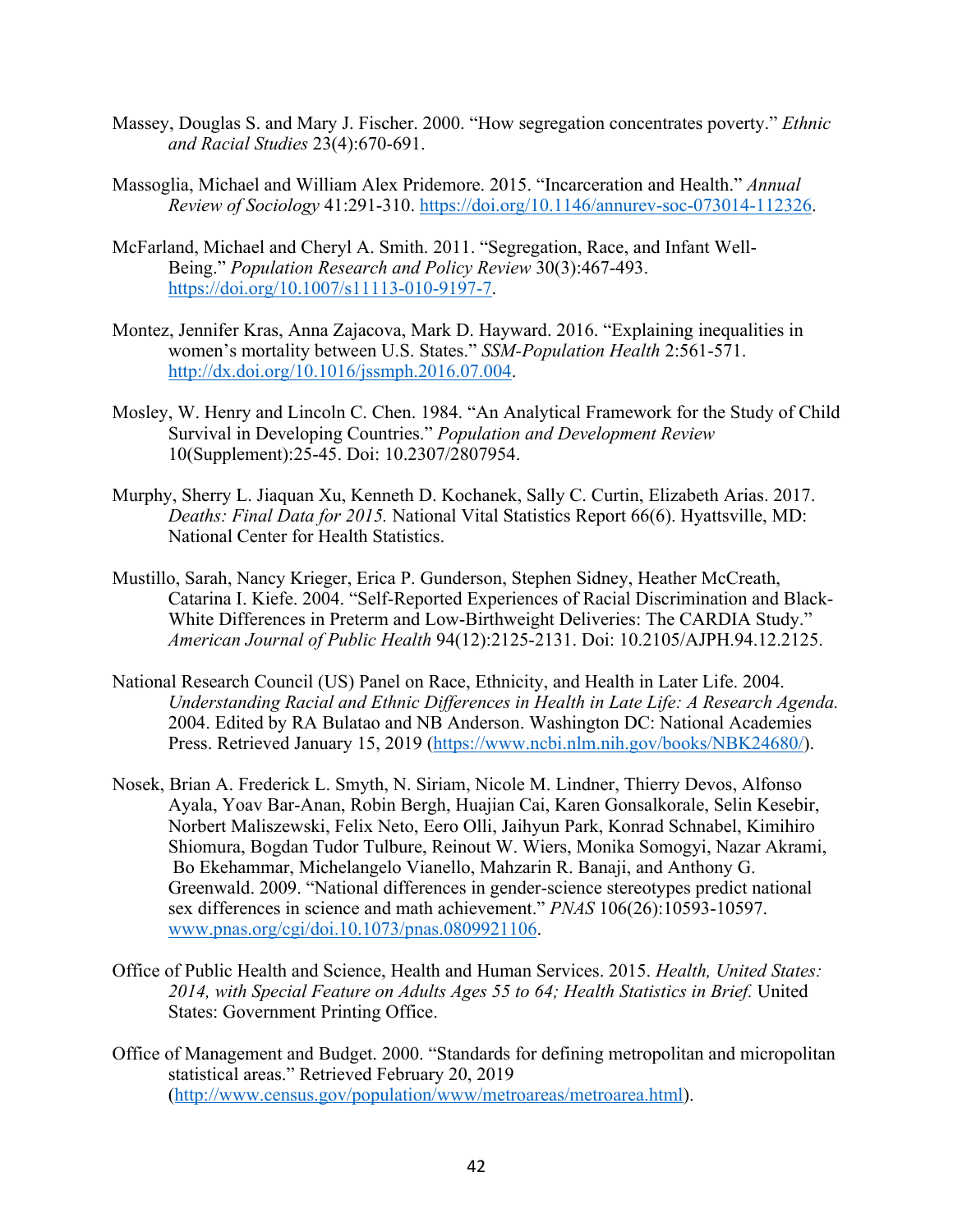- Massey, Douglas S. and Mary J. Fischer. 2000. "How segregation concentrates poverty." *Ethnic and Racial Studies* 23(4):670-691.
- Massoglia, Michael and William Alex Pridemore. 2015. "Incarceration and Health." *Annual Review of Sociology* 41:291-310. https://doi.org/10.1146/annurev-soc-073014-112326.
- McFarland, Michael and Cheryl A. Smith. 2011. "Segregation, Race, and Infant Well-Being." *Population Research and Policy Review* 30(3):467-493. https://doi.org/10.1007/s11113-010-9197-7.
- Montez, Jennifer Kras, Anna Zajacova, Mark D. Hayward. 2016. "Explaining inequalities in women's mortality between U.S. States." *SSM-Population Health* 2:561-571. http://dx.doi.org/10.1016/jssmph.2016.07.004.
- Mosley, W. Henry and Lincoln C. Chen. 1984. "An Analytical Framework for the Study of Child Survival in Developing Countries." *Population and Development Review* 10(Supplement):25-45. Doi: 10.2307/2807954.
- Murphy, Sherry L. Jiaquan Xu, Kenneth D. Kochanek, Sally C. Curtin, Elizabeth Arias. 2017. *Deaths: Final Data for 2015.* National Vital Statistics Report 66(6). Hyattsville, MD: National Center for Health Statistics.
- Mustillo, Sarah, Nancy Krieger, Erica P. Gunderson, Stephen Sidney, Heather McCreath, Catarina I. Kiefe. 2004. "Self-Reported Experiences of Racial Discrimination and Black-White Differences in Preterm and Low-Birthweight Deliveries: The CARDIA Study." *American Journal of Public Health* 94(12):2125-2131. Doi: 10.2105/AJPH.94.12.2125.
- National Research Council (US) Panel on Race, Ethnicity, and Health in Later Life. 2004. *Understanding Racial and Ethnic Differences in Health in Late Life: A Research Agenda.*  2004. Edited by RA Bulatao and NB Anderson. Washington DC: National Academies Press. Retrieved January 15, 2019 (https://www.ncbi.nlm.nih.gov/books/NBK24680/).
- Nosek, Brian A. Frederick L. Smyth, N. Siriam, Nicole M. Lindner, Thierry Devos, Alfonso Ayala, Yoav Bar-Anan, Robin Bergh, Huajian Cai, Karen Gonsalkorale, Selin Kesebir, Norbert Maliszewski, Felix Neto, Eero Olli, Jaihyun Park, Konrad Schnabel, Kimihiro Shiomura, Bogdan Tudor Tulbure, Reinout W. Wiers, Monika Somogyi, Nazar Akrami, Bo Ekehammar, Michelangelo Vianello, Mahzarin R. Banaji, and Anthony G. Greenwald. 2009. "National differences in gender-science stereotypes predict national sex differences in science and math achievement." *PNAS* 106(26):10593-10597. www.pnas.org/cgi/doi.10.1073/pnas.0809921106.
- Office of Public Health and Science, Health and Human Services. 2015. *Health, United States: 2014, with Special Feature on Adults Ages 55 to 64; Health Statistics in Brief.* United States: Government Printing Office.
- Office of Management and Budget. 2000. "Standards for defining metropolitan and micropolitan statistical areas." Retrieved February 20, 2019 (http://www.census.gov/population/www/metroareas/metroarea.html).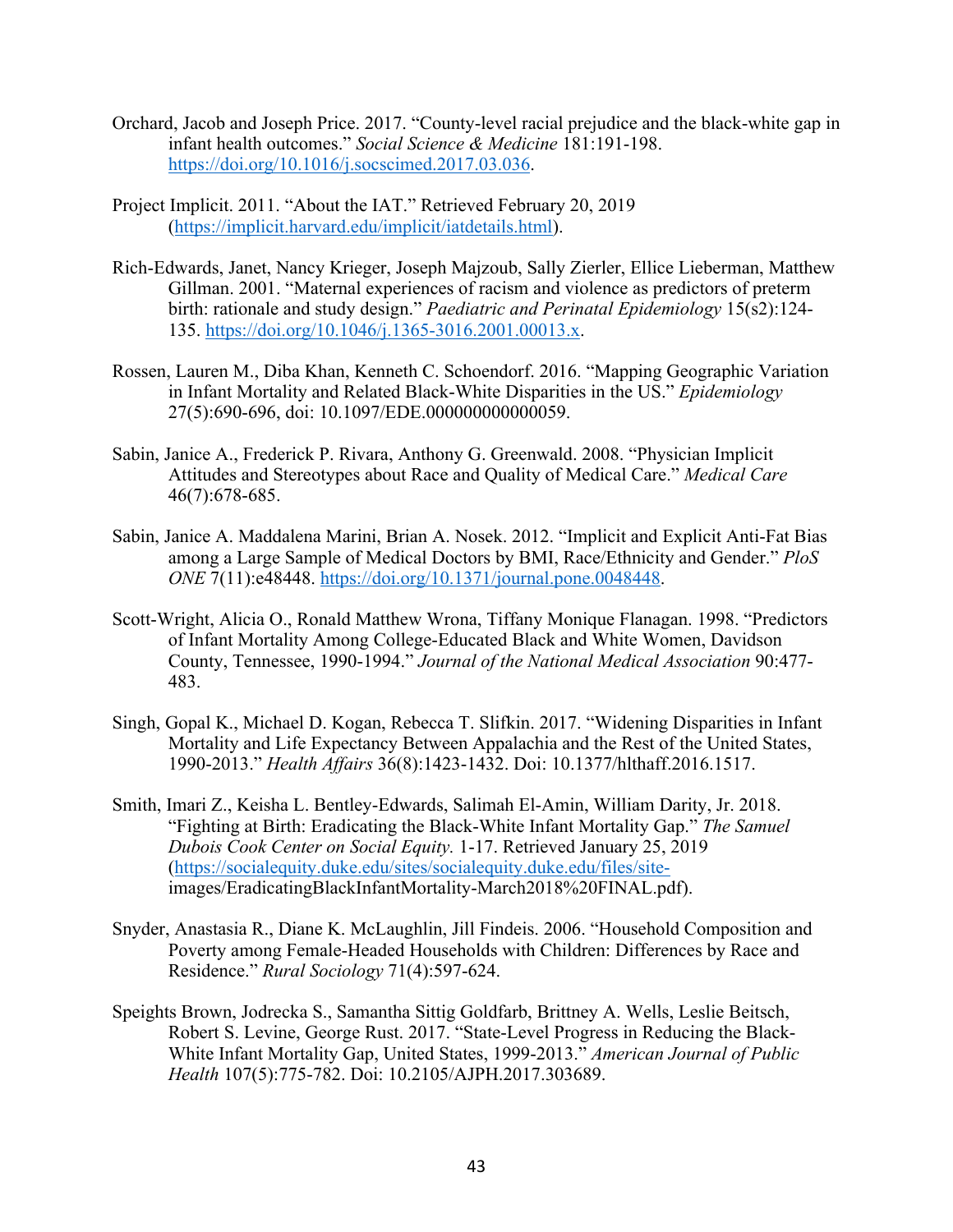- Orchard, Jacob and Joseph Price. 2017. "County-level racial prejudice and the black-white gap in infant health outcomes." *Social Science & Medicine* 181:191-198. https://doi.org/10.1016/j.socscimed.2017.03.036.
- Project Implicit. 2011. "About the IAT." Retrieved February 20, 2019 (https://implicit.harvard.edu/implicit/iatdetails.html).
- Rich-Edwards, Janet, Nancy Krieger, Joseph Majzoub, Sally Zierler, Ellice Lieberman, Matthew Gillman. 2001. "Maternal experiences of racism and violence as predictors of preterm birth: rationale and study design." *Paediatric and Perinatal Epidemiology* 15(s2):124- 135. https://doi.org/10.1046/j.1365-3016.2001.00013.x.
- Rossen, Lauren M., Diba Khan, Kenneth C. Schoendorf. 2016. "Mapping Geographic Variation in Infant Mortality and Related Black-White Disparities in the US." *Epidemiology* 27(5):690-696, doi: 10.1097/EDE.000000000000059.
- Sabin, Janice A., Frederick P. Rivara, Anthony G. Greenwald. 2008. "Physician Implicit Attitudes and Stereotypes about Race and Quality of Medical Care." *Medical Care*  46(7):678-685.
- Sabin, Janice A. Maddalena Marini, Brian A. Nosek. 2012. "Implicit and Explicit Anti-Fat Bias among a Large Sample of Medical Doctors by BMI, Race/Ethnicity and Gender." *PloS ONE* 7(11):e48448. https://doi.org/10.1371/journal.pone.0048448.
- Scott-Wright, Alicia O., Ronald Matthew Wrona, Tiffany Monique Flanagan. 1998. "Predictors of Infant Mortality Among College-Educated Black and White Women, Davidson County, Tennessee, 1990-1994." *Journal of the National Medical Association* 90:477- 483.
- Singh, Gopal K., Michael D. Kogan, Rebecca T. Slifkin. 2017. "Widening Disparities in Infant Mortality and Life Expectancy Between Appalachia and the Rest of the United States, 1990-2013." *Health Affairs* 36(8):1423-1432. Doi: 10.1377/hlthaff.2016.1517.
- Smith, Imari Z., Keisha L. Bentley-Edwards, Salimah El-Amin, William Darity, Jr. 2018. "Fighting at Birth: Eradicating the Black-White Infant Mortality Gap." *The Samuel Dubois Cook Center on Social Equity.* 1-17. Retrieved January 25, 2019 (https://socialequity.duke.edu/sites/socialequity.duke.edu/files/siteimages/EradicatingBlackInfantMortality-March2018%20FINAL.pdf).
- Snyder, Anastasia R., Diane K. McLaughlin, Jill Findeis. 2006. "Household Composition and Poverty among Female-Headed Households with Children: Differences by Race and Residence." *Rural Sociology* 71(4):597-624.
- Speights Brown, Jodrecka S., Samantha Sittig Goldfarb, Brittney A. Wells, Leslie Beitsch, Robert S. Levine, George Rust. 2017. "State-Level Progress in Reducing the Black-White Infant Mortality Gap, United States, 1999-2013." *American Journal of Public Health* 107(5):775-782. Doi: 10.2105/AJPH.2017.303689.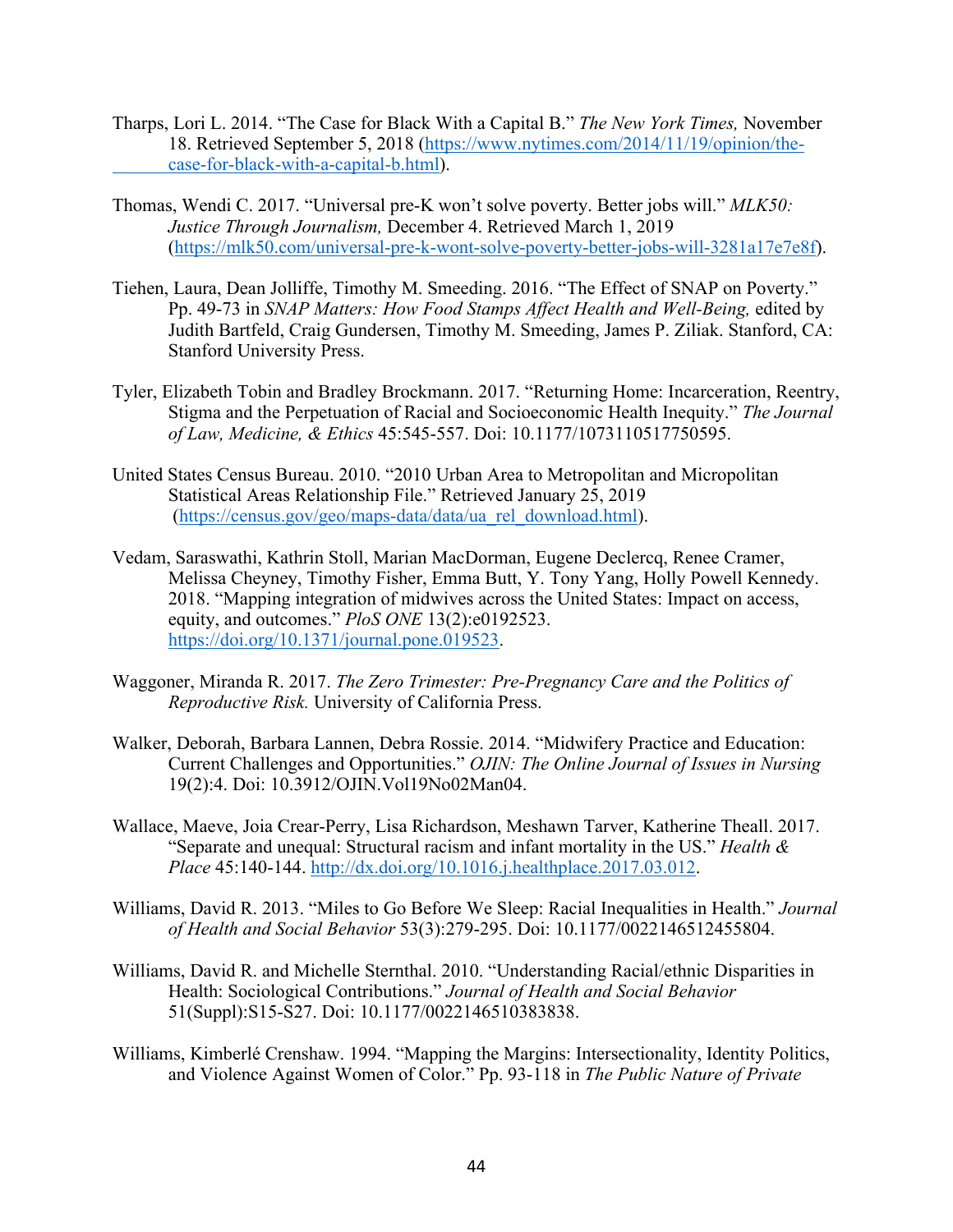- Tharps, Lori L. 2014. "The Case for Black With a Capital B." *The New York Times,* November 18. Retrieved September 5, 2018 (https://www.nytimes.com/2014/11/19/opinion/thecase-for-black-with-a-capital-b.html).
- Thomas, Wendi C. 2017. "Universal pre-K won't solve poverty. Better jobs will." *MLK50: Justice Through Journalism,* December 4. Retrieved March 1, 2019 (https://mlk50.com/universal-pre-k-wont-solve-poverty-better-jobs-will-3281a17e7e8f).
- Tiehen, Laura, Dean Jolliffe, Timothy M. Smeeding. 2016. "The Effect of SNAP on Poverty." Pp. 49-73 in *SNAP Matters: How Food Stamps Affect Health and Well-Being,* edited by Judith Bartfeld, Craig Gundersen, Timothy M. Smeeding, James P. Ziliak. Stanford, CA: Stanford University Press.
- Tyler, Elizabeth Tobin and Bradley Brockmann. 2017. "Returning Home: Incarceration, Reentry, Stigma and the Perpetuation of Racial and Socioeconomic Health Inequity." *The Journal of Law, Medicine, & Ethics* 45:545-557. Doi: 10.1177/1073110517750595.
- United States Census Bureau. 2010. "2010 Urban Area to Metropolitan and Micropolitan Statistical Areas Relationship File." Retrieved January 25, 2019 (https://census.gov/geo/maps-data/data/ua\_rel\_download.html).
- Vedam, Saraswathi, Kathrin Stoll, Marian MacDorman, Eugene Declercq, Renee Cramer, Melissa Cheyney, Timothy Fisher, Emma Butt, Y. Tony Yang, Holly Powell Kennedy. 2018. "Mapping integration of midwives across the United States: Impact on access, equity, and outcomes." *PloS ONE* 13(2):e0192523. https://doi.org/10.1371/journal.pone.019523.
- Waggoner, Miranda R. 2017. *The Zero Trimester: Pre-Pregnancy Care and the Politics of Reproductive Risk.* University of California Press.
- Walker, Deborah, Barbara Lannen, Debra Rossie. 2014. "Midwifery Practice and Education: Current Challenges and Opportunities." *OJIN: The Online Journal of Issues in Nursing*  19(2):4. Doi: 10.3912/OJIN.Vol19No02Man04.
- Wallace, Maeve, Joia Crear-Perry, Lisa Richardson, Meshawn Tarver, Katherine Theall. 2017. "Separate and unequal: Structural racism and infant mortality in the US." *Health & Place* 45:140-144. http://dx.doi.org/10.1016.j.healthplace.2017.03.012.
- Williams, David R. 2013. "Miles to Go Before We Sleep: Racial Inequalities in Health." *Journal of Health and Social Behavior* 53(3):279-295. Doi: 10.1177/0022146512455804.
- Williams, David R. and Michelle Sternthal. 2010. "Understanding Racial/ethnic Disparities in Health: Sociological Contributions." *Journal of Health and Social Behavior* 51(Suppl):S15-S27. Doi: 10.1177/0022146510383838.
- Williams, Kimberlé Crenshaw. 1994. "Mapping the Margins: Intersectionality, Identity Politics, and Violence Against Women of Color." Pp. 93-118 in *The Public Nature of Private*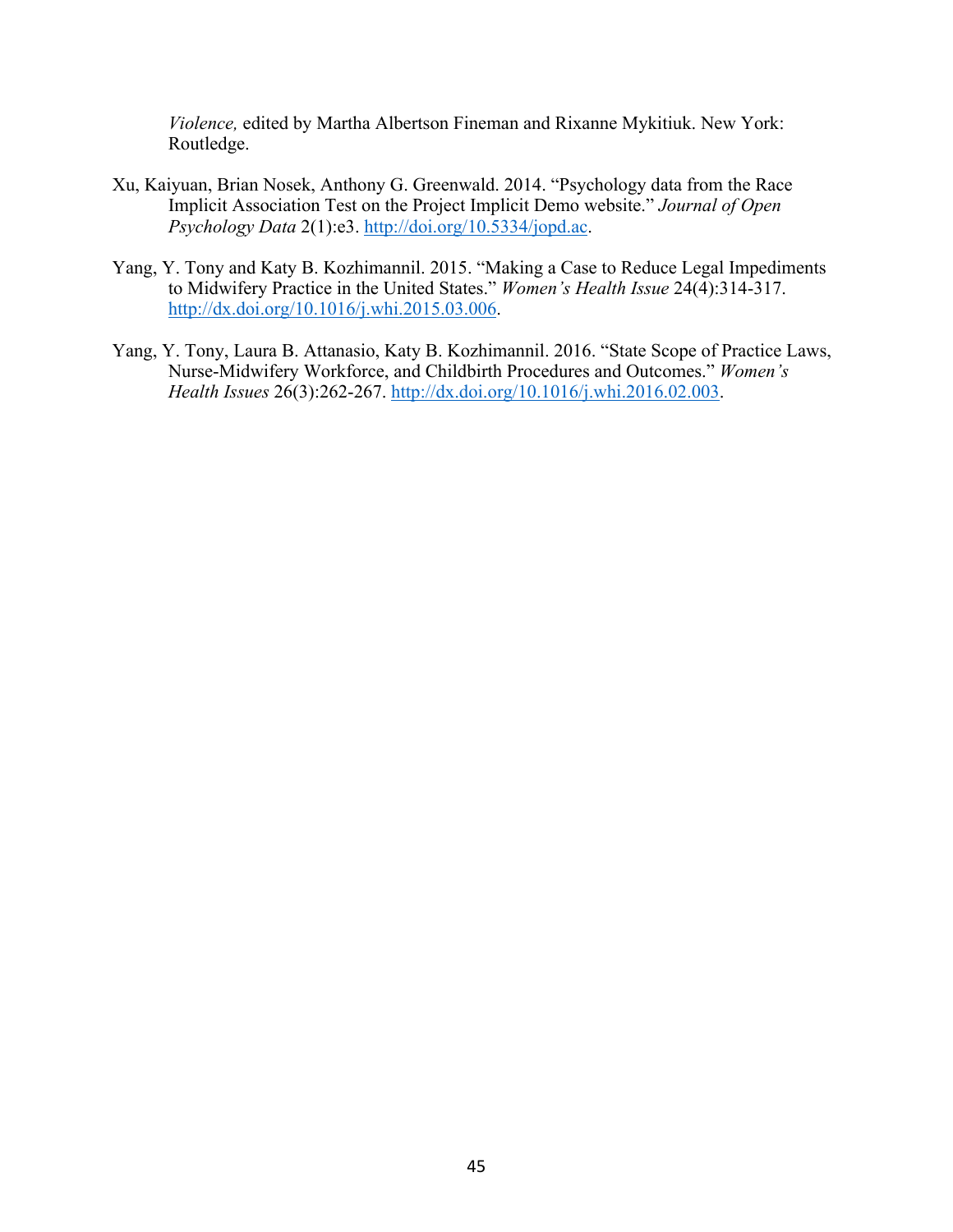*Violence,* edited by Martha Albertson Fineman and Rixanne Mykitiuk. New York: Routledge.

- Xu, Kaiyuan, Brian Nosek, Anthony G. Greenwald. 2014. "Psychology data from the Race Implicit Association Test on the Project Implicit Demo website." *Journal of Open Psychology Data* 2(1):e3. http://doi.org/10.5334/jopd.ac.
- Yang, Y. Tony and Katy B. Kozhimannil. 2015. "Making a Case to Reduce Legal Impediments to Midwifery Practice in the United States." *Women's Health Issue* 24(4):314-317. http://dx.doi.org/10.1016/j.whi.2015.03.006.
- Yang, Y. Tony, Laura B. Attanasio, Katy B. Kozhimannil. 2016. "State Scope of Practice Laws, Nurse-Midwifery Workforce, and Childbirth Procedures and Outcomes." *Women's Health Issues* 26(3):262-267. http://dx.doi.org/10.1016/j.whi.2016.02.003.